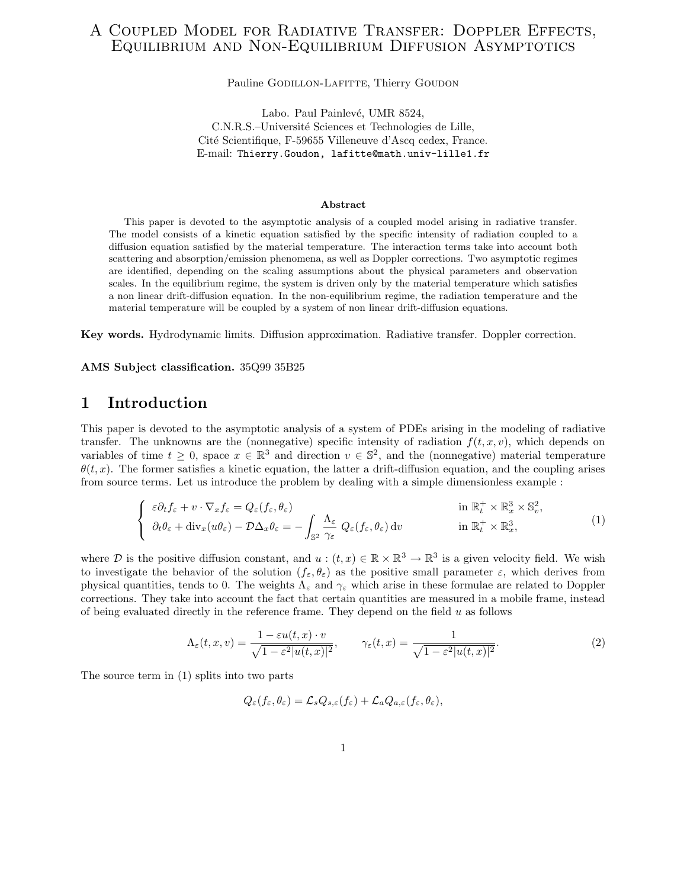## A Coupled Model for Radiative Transfer: Doppler Effects, Equilibrium and Non-Equilibrium Diffusion Asymptotics

Pauline GODILLON-LAFITTE, Thierry GOUDON

Labo. Paul Painlevé, UMR 8524, C.N.R.S.–Université Sciences et Technologies de Lille, Cité Scientifique, F-59655 Villeneuve d'Ascq cedex, France. E-mail: Thierry.Goudon, lafitte@math.univ-lille1.fr

#### Abstract

This paper is devoted to the asymptotic analysis of a coupled model arising in radiative transfer. The model consists of a kinetic equation satisfied by the specific intensity of radiation coupled to a diffusion equation satisfied by the material temperature. The interaction terms take into account both scattering and absorption/emission phenomena, as well as Doppler corrections. Two asymptotic regimes are identified, depending on the scaling assumptions about the physical parameters and observation scales. In the equilibrium regime, the system is driven only by the material temperature which satisfies a non linear drift-diffusion equation. In the non-equilibrium regime, the radiation temperature and the material temperature will be coupled by a system of non linear drift-diffusion equations.

Key words. Hydrodynamic limits. Diffusion approximation. Radiative transfer. Doppler correction.

AMS Subject classification. 35Q99 35B25

## 1 Introduction

This paper is devoted to the asymptotic analysis of a system of PDEs arising in the modeling of radiative transfer. The unknowns are the (nonnegative) specific intensity of radiation  $f(t, x, v)$ , which depends on variables of time  $t \geq 0$ , space  $x \in \mathbb{R}^3$  and direction  $v \in \mathbb{S}^2$ , and the (nonnegative) material temperature  $\theta(t, x)$ . The former satisfies a kinetic equation, the latter a drift-diffusion equation, and the coupling arises from source terms. Let us introduce the problem by dealing with a simple dimensionless example :

$$
\begin{cases}\n\varepsilon \partial_t f_{\varepsilon} + v \cdot \nabla_x f_{\varepsilon} = Q_{\varepsilon}(f_{\varepsilon}, \theta_{\varepsilon}) & \text{in } \mathbb{R}_t^+ \times \mathbb{R}_x^3 \times \mathbb{S}_v^2, \\
\partial_t \theta_{\varepsilon} + \text{div}_x(u\theta_{\varepsilon}) - \mathcal{D}\Delta_x \theta_{\varepsilon} = -\int_{\mathbb{S}^2} \frac{\Lambda_{\varepsilon}}{\gamma_{\varepsilon}} Q_{\varepsilon}(f_{\varepsilon}, \theta_{\varepsilon}) dv & \text{in } \mathbb{R}_t^+ \times \mathbb{R}_x^3,\n\end{cases} (1)
$$

where D is the positive diffusion constant, and  $u:(t,x)\in\mathbb{R}\times\mathbb{R}^3\to\mathbb{R}^3$  is a given velocity field. We wish to investigate the behavior of the solution  $(f_{\varepsilon}, \theta_{\varepsilon})$  as the positive small parameter  $\varepsilon$ , which derives from physical quantities, tends to 0. The weights  $\Lambda_{\varepsilon}$  and  $\gamma_{\varepsilon}$  which arise in these formulae are related to Doppler corrections. They take into account the fact that certain quantities are measured in a mobile frame, instead of being evaluated directly in the reference frame. They depend on the field u as follows

$$
\Lambda_{\varepsilon}(t,x,v) = \frac{1 - \varepsilon u(t,x) \cdot v}{\sqrt{1 - \varepsilon^2 |u(t,x)|^2}}, \qquad \gamma_{\varepsilon}(t,x) = \frac{1}{\sqrt{1 - \varepsilon^2 |u(t,x)|^2}}.
$$
\n(2)

The source term in (1) splits into two parts

$$
Q_{\varepsilon}(f_{\varepsilon},\theta_{\varepsilon})=\mathcal{L}_s Q_{s,\varepsilon}(f_{\varepsilon})+\mathcal{L}_a Q_{a,\varepsilon}(f_{\varepsilon},\theta_{\varepsilon}),
$$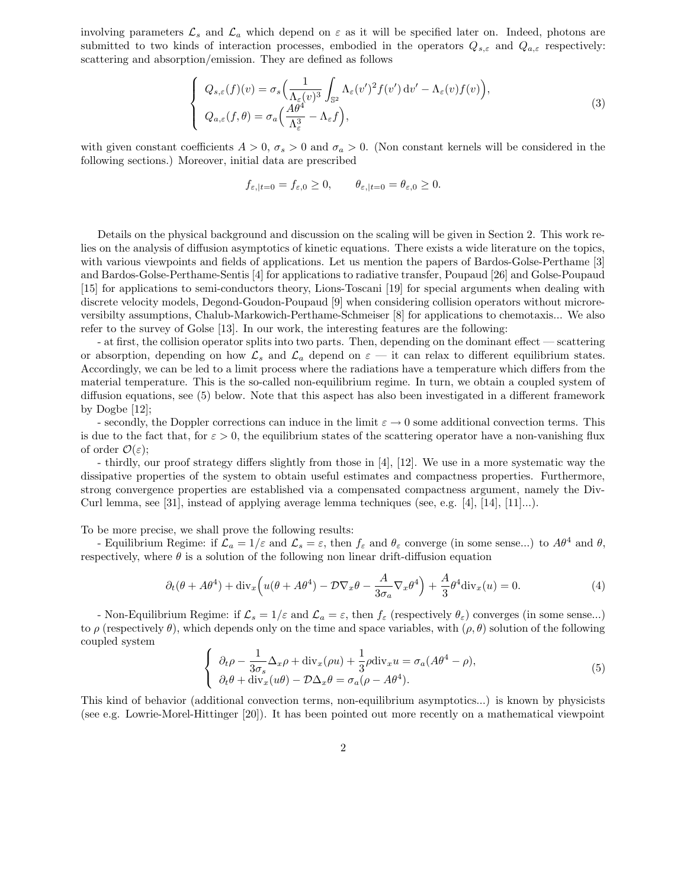involving parameters  $\mathcal{L}_s$  and  $\mathcal{L}_a$  which depend on  $\varepsilon$  as it will be specified later on. Indeed, photons are submitted to two kinds of interaction processes, embodied in the operators  $Q_{s,\varepsilon}$  and  $Q_{a,\varepsilon}$  respectively: scattering and absorption/emission. They are defined as follows

$$
\begin{cases}\nQ_{s,\varepsilon}(f)(v) = \sigma_s \Big( \frac{1}{\Lambda_{\varepsilon}(v)^3} \int_{\mathbb{S}^2} \Lambda_{\varepsilon}(v')^2 f(v') \, dv' - \Lambda_{\varepsilon}(v) f(v) \Big), \\
Q_{a,\varepsilon}(f,\theta) = \sigma_a \Big( \frac{A\theta^4}{\Lambda_{\varepsilon}^3} - \Lambda_{\varepsilon} f \Big),\n\end{cases} \tag{3}
$$

with given constant coefficients  $A > 0$ ,  $\sigma_s > 0$  and  $\sigma_a > 0$ . (Non constant kernels will be considered in the following sections.) Moreover, initial data are prescribed

$$
f_{\varepsilon,|t=0} = f_{\varepsilon,0} \ge 0, \qquad \theta_{\varepsilon,|t=0} = \theta_{\varepsilon,0} \ge 0.
$$

Details on the physical background and discussion on the scaling will be given in Section 2. This work relies on the analysis of diffusion asymptotics of kinetic equations. There exists a wide literature on the topics, with various viewpoints and fields of applications. Let us mention the papers of Bardos-Golse-Perthame [3] and Bardos-Golse-Perthame-Sentis [4] for applications to radiative transfer, Poupaud [26] and Golse-Poupaud [15] for applications to semi-conductors theory, Lions-Toscani [19] for special arguments when dealing with discrete velocity models, Degond-Goudon-Poupaud [9] when considering collision operators without microreversibilty assumptions, Chalub-Markowich-Perthame-Schmeiser [8] for applications to chemotaxis... We also refer to the survey of Golse [13]. In our work, the interesting features are the following:

- at first, the collision operator splits into two parts. Then, depending on the dominant effect — scattering or absorption, depending on how  $\mathcal{L}_s$  and  $\mathcal{L}_a$  depend on  $\varepsilon$  — it can relax to different equilibrium states. Accordingly, we can be led to a limit process where the radiations have a temperature which differs from the material temperature. This is the so-called non-equilibrium regime. In turn, we obtain a coupled system of diffusion equations, see (5) below. Note that this aspect has also been investigated in a different framework by Dogbe [12];

- secondly, the Doppler corrections can induce in the limit  $\varepsilon \to 0$  some additional convection terms. This is due to the fact that, for  $\varepsilon > 0$ , the equilibrium states of the scattering operator have a non-vanishing flux of order  $\mathcal{O}(\varepsilon)$ ;

- thirdly, our proof strategy differs slightly from those in [4], [12]. We use in a more systematic way the dissipative properties of the system to obtain useful estimates and compactness properties. Furthermore, strong convergence properties are established via a compensated compactness argument, namely the Div-Curl lemma, see [31], instead of applying average lemma techniques (see, e.g. [4], [14], [11]...).

To be more precise, we shall prove the following results:

- Equilibrium Regime: if  $\mathcal{L}_a = 1/\varepsilon$  and  $\mathcal{L}_s = \varepsilon$ , then  $f_\varepsilon$  and  $\theta_\varepsilon$  converge (in some sense...) to  $A\theta^4$  and  $\theta$ , respectively, where  $\theta$  is a solution of the following non linear drift-diffusion equation

$$
\partial_t(\theta + A\theta^4) + \text{div}_x \left( u(\theta + A\theta^4) - \mathcal{D}\nabla_x \theta - \frac{A}{3\sigma_a} \nabla_x \theta^4 \right) + \frac{A}{3} \theta^4 \text{div}_x(u) = 0. \tag{4}
$$

- Non-Equilibrium Regime: if  $\mathcal{L}_s = 1/\varepsilon$  and  $\mathcal{L}_a = \varepsilon$ , then  $f_\varepsilon$  (respectively  $\theta_\varepsilon$ ) converges (in some sense...) to  $\rho$  (respectively  $\theta$ ), which depends only on the time and space variables, with  $(\rho, \theta)$  solution of the following coupled system

$$
\begin{cases}\n\partial_t \rho - \frac{1}{3\sigma_s} \Delta_x \rho + \text{div}_x(\rho u) + \frac{1}{3} \rho \text{div}_x u = \sigma_a (A\theta^4 - \rho), \\
\partial_t \theta + \text{div}_x(u\theta) - \mathcal{D}\Delta_x \theta = \sigma_a(\rho - A\theta^4).\n\end{cases}
$$
\n(5)

This kind of behavior (additional convection terms, non-equilibrium asymptotics...) is known by physicists (see e.g. Lowrie-Morel-Hittinger [20]). It has been pointed out more recently on a mathematical viewpoint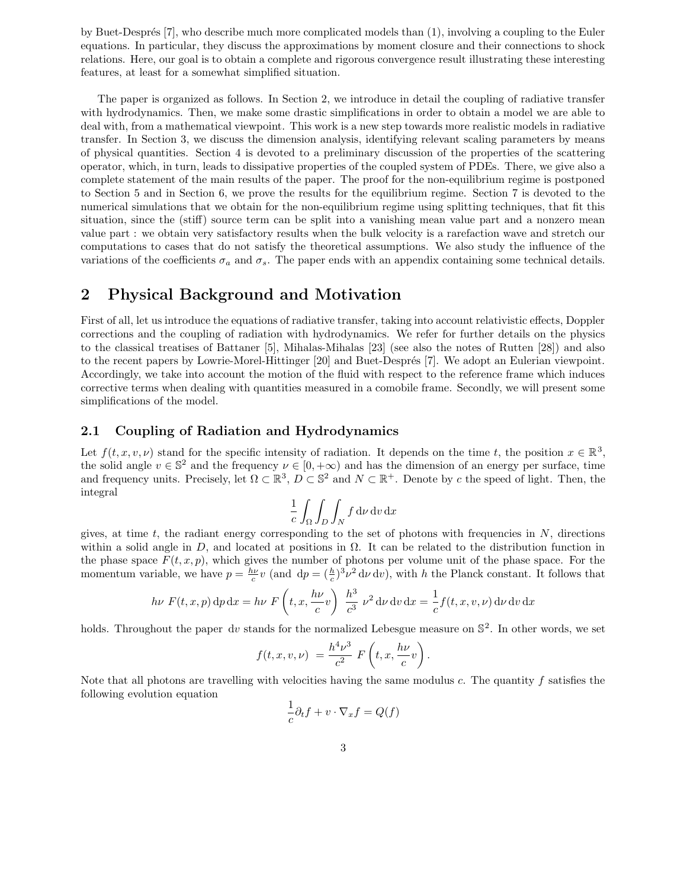by Buet-Despr´es [7], who describe much more complicated models than (1), involving a coupling to the Euler equations. In particular, they discuss the approximations by moment closure and their connections to shock relations. Here, our goal is to obtain a complete and rigorous convergence result illustrating these interesting features, at least for a somewhat simplified situation.

The paper is organized as follows. In Section 2, we introduce in detail the coupling of radiative transfer with hydrodynamics. Then, we make some drastic simplifications in order to obtain a model we are able to deal with, from a mathematical viewpoint. This work is a new step towards more realistic models in radiative transfer. In Section 3, we discuss the dimension analysis, identifying relevant scaling parameters by means of physical quantities. Section 4 is devoted to a preliminary discussion of the properties of the scattering operator, which, in turn, leads to dissipative properties of the coupled system of PDEs. There, we give also a complete statement of the main results of the paper. The proof for the non-equilibrium regime is postponed to Section 5 and in Section 6, we prove the results for the equilibrium regime. Section 7 is devoted to the numerical simulations that we obtain for the non-equilibrium regime using splitting techniques, that fit this situation, since the (stiff) source term can be split into a vanishing mean value part and a nonzero mean value part : we obtain very satisfactory results when the bulk velocity is a rarefaction wave and stretch our computations to cases that do not satisfy the theoretical assumptions. We also study the influence of the variations of the coefficients  $\sigma_a$  and  $\sigma_s$ . The paper ends with an appendix containing some technical details.

# 2 Physical Background and Motivation

First of all, let us introduce the equations of radiative transfer, taking into account relativistic effects, Doppler corrections and the coupling of radiation with hydrodynamics. We refer for further details on the physics to the classical treatises of Battaner [5], Mihalas-Mihalas [23] (see also the notes of Rutten [28]) and also to the recent papers by Lowrie-Morel-Hittinger [20] and Buet-Després [7]. We adopt an Eulerian viewpoint. Accordingly, we take into account the motion of the fluid with respect to the reference frame which induces corrective terms when dealing with quantities measured in a comobile frame. Secondly, we will present some simplifications of the model.

## 2.1 Coupling of Radiation and Hydrodynamics

Let  $f(t, x, v, \nu)$  stand for the specific intensity of radiation. It depends on the time t, the position  $x \in \mathbb{R}^3$ , the solid angle  $v \in \mathbb{S}^2$  and the frequency  $\nu \in [0, +\infty)$  and has the dimension of an energy per surface, time and frequency units. Precisely, let  $\Omega \subset \mathbb{R}^3$ ,  $D \subset \mathbb{S}^2$  and  $N \subset \mathbb{R}^+$ . Denote by c the speed of light. Then, the integral

$$
\frac{1}{c} \int_{\Omega} \int_{D} \int_{N} f \, \mathrm{d}\nu \, \mathrm{d}v \, \mathrm{d}x
$$

gives, at time  $t$ , the radiant energy corresponding to the set of photons with frequencies in  $N$ , directions within a solid angle in D, and located at positions in  $\Omega$ . It can be related to the distribution function in the phase space  $F(t, x, p)$ , which gives the number of photons per volume unit of the phase space. For the momentum variable, we have  $p = \frac{h\nu}{c}v$  (and  $dp = (\frac{h}{c})^3 \nu^2 d\nu dv$ ), with h the Planck constant. It follows that

$$
h\nu F(t, x, p) dp dx = h\nu F\left(t, x, \frac{h\nu}{c}v\right) \frac{h^3}{c^3} \nu^2 d\nu dv dx = \frac{1}{c}f(t, x, v, \nu) d\nu dv dx
$$

holds. Throughout the paper dv stands for the normalized Lebesgue measure on  $\mathbb{S}^2$ . In other words, we set

$$
f(t, x, v, \nu) = \frac{h^4 \nu^3}{c^2} F\left(t, x, \frac{h\nu}{c}v\right).
$$

Note that all photons are travelling with velocities having the same modulus  $c$ . The quantity  $f$  satisfies the following evolution equation

$$
\frac{1}{c}\partial_t f + v \cdot \nabla_x f = Q(f)
$$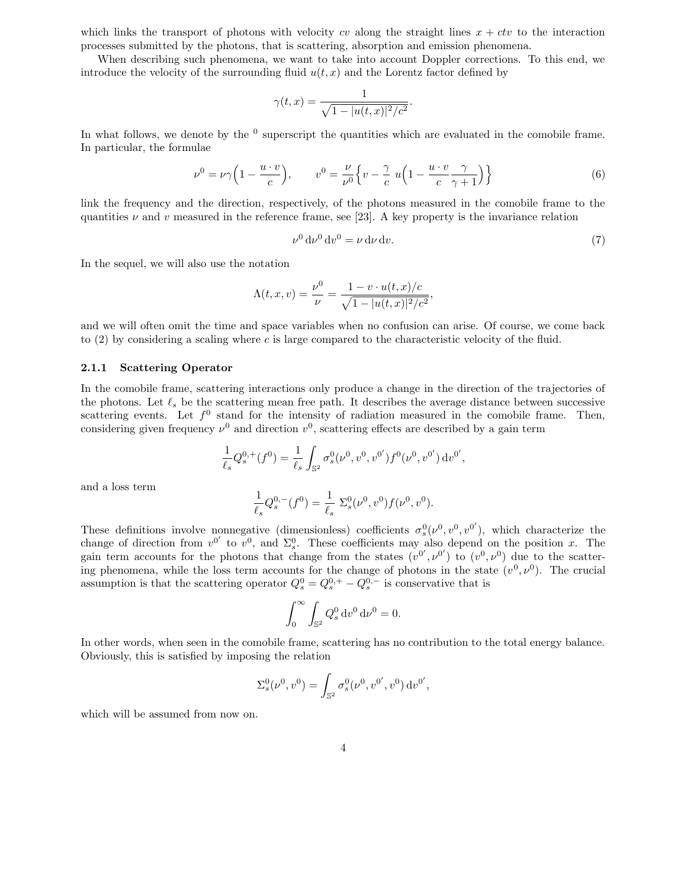which links the transport of photons with velocity cv along the straight lines  $x + ctv$  to the interaction processes submitted by the photons, that is scattering, absorption and emission phenomena.

When describing such phenomena, we want to take into account Doppler corrections. To this end, we introduce the velocity of the surrounding fluid  $u(t, x)$  and the Lorentz factor defined by

$$
\gamma(t,x) = \frac{1}{\sqrt{1 - |u(t,x)|^2/c^2}}.
$$

In what follows, we denote by the  $\rm^0$  superscript the quantities which are evaluated in the comobile frame. In particular, the formulae

$$
\nu^0 = \nu \gamma \left( 1 - \frac{u \cdot v}{c} \right), \qquad v^0 = \frac{\nu}{\nu^0} \left\{ v - \frac{\gamma}{c} u \left( 1 - \frac{u \cdot v}{c} \frac{\gamma}{\gamma + 1} \right) \right\} \tag{6}
$$

link the frequency and the direction, respectively, of the photons measured in the comobile frame to the quantities  $\nu$  and  $\nu$  measured in the reference frame, see [23]. A key property is the invariance relation

$$
\nu^0 \, \mathrm{d}\nu^0 \, \mathrm{d}v^0 = \nu \, \mathrm{d}\nu \, \mathrm{d}v. \tag{7}
$$

In the sequel, we will also use the notation

$$
\Lambda(t, x, v) = \frac{\nu^{0}}{\nu} = \frac{1 - v \cdot u(t, x)/c}{\sqrt{1 - |u(t, x)|^{2}/c^{2}}},
$$

and we will often omit the time and space variables when no confusion can arise. Of course, we come back to  $(2)$  by considering a scaling where c is large compared to the characteristic velocity of the fluid.

#### 2.1.1 Scattering Operator

In the comobile frame, scattering interactions only produce a change in the direction of the trajectories of the photons. Let  $\ell_s$  be the scattering mean free path. It describes the average distance between successive scattering events. Let  $f^0$  stand for the intensity of radiation measured in the comobile frame. Then, considering given frequency  $\nu^0$  and direction  $v^0$ , scattering effects are described by a gain term

$$
\frac{1}{\ell_s}Q^{0,+}_s(f^0)=\frac{1}{\ell_s}\int_{\mathbb{S}^2}\sigma^0_s(\nu^0,v^0,v^{0'})f^0(\nu^0,v^{0'})\,\mathrm{d} v^{0'},
$$

and a loss term

$$
\frac{1}{\ell_s}Q_s^{0,-}(f^0) = \frac{1}{\ell_s} \ \Sigma_s^0(\nu^0,v^0) f(\nu^0,v^0).
$$

These definitions involve nonnegative (dimensionless) coefficients  $\sigma_s^0(\nu^0, v^0, v^{0'})$ , which characterize the change of direction from  $v^{0'}$  to  $v^0$ , and  $\Sigma_s^0$ . These coefficients may also depend on the position x. The gain term accounts for the photons that change from the states  $(v^{0'}, v^{0'})$  to  $(v^0, v^0)$  due to the scattering phenomena, while the loss term accounts for the change of photons in the state  $(v^0, \nu^0)$ . The crucial assumption is that the scattering operator  $Q_s^0 = Q_s^{0,+} - Q_s^{0,-}$  is conservative that is

$$
\int_0^\infty \int_{\mathbb{S}^2} Q_s^0 \, \mathrm{d}v^0 \, \mathrm{d}v^0 = 0.
$$

In other words, when seen in the comobile frame, scattering has no contribution to the total energy balance. Obviously, this is satisfied by imposing the relation

$$
\Sigma_s^0(\nu^0, v^0) = \int_{\mathbb{S}^2} \sigma_s^0(\nu^0, v^{0'}, v^0) \, dv^{0'},
$$

which will be assumed from now on.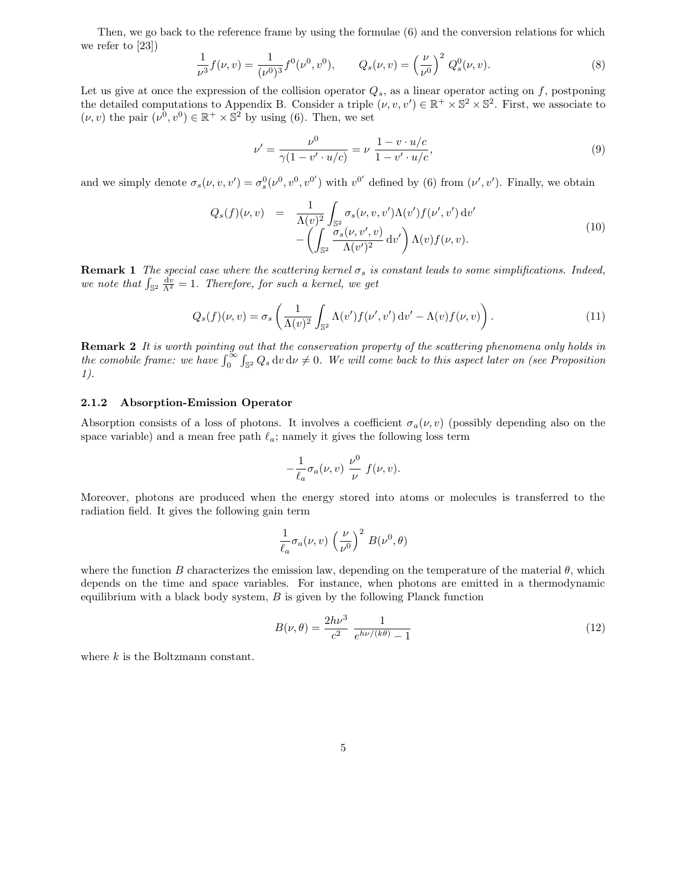Then, we go back to the reference frame by using the formulae (6) and the conversion relations for which we refer to [23])

$$
\frac{1}{\nu^3} f(\nu, v) = \frac{1}{(\nu^0)^3} f^0(\nu^0, v^0), \qquad Q_s(\nu, v) = \left(\frac{\nu}{\nu^0}\right)^2 Q_s^0(\nu, v). \tag{8}
$$

Let us give at once the expression of the collision operator  $Q_s$ , as a linear operator acting on f, postponing the detailed computations to Appendix B. Consider a triple  $(\nu, v, v') \in \mathbb{R}^+ \times \mathbb{S}^2 \times \mathbb{S}^2$ . First, we associate to  $(\nu, v)$  the pair  $(\nu^0, v^0) \in \mathbb{R}^+ \times \mathbb{S}^2$  by using (6). Then, we set

$$
\nu' = \frac{\nu^0}{\gamma(1 - v' \cdot u/c)} = \nu \frac{1 - v \cdot u/c}{1 - v' \cdot u/c},\tag{9}
$$

and we simply denote  $\sigma_s(\nu, v, v') = \sigma_s^0(\nu^0, v^0, v^{0'})$  with  $v^{0'}$  defined by (6) from  $(\nu', v')$ . Finally, we obtain

$$
Q_s(f)(\nu, v) = \frac{1}{\Lambda(\nu)^2} \int_{\mathbb{S}^2} \sigma_s(\nu, v, v') \Lambda(v') f(\nu', v') dv' - \left( \int_{\mathbb{S}^2} \frac{\sigma_s(\nu, v', v)}{\Lambda(v')^2} dv' \right) \Lambda(v) f(\nu, v).
$$
\n(10)

**Remark 1** The special case where the scattering kernel  $\sigma_s$  is constant leads to some simplifications. Indeed, we note that  $\int_{\mathbb{S}^2} \frac{dv}{\Lambda^2} = 1$ . Therefore, for such a kernel, we get

$$
Q_s(f)(\nu, v) = \sigma_s \left( \frac{1}{\Lambda(v)^2} \int_{\mathbb{S}^2} \Lambda(v') f(\nu', v') \, dv' - \Lambda(v) f(\nu, v) \right). \tag{11}
$$

**Remark 2** It is worth pointing out that the conservation property of the scattering phenomena only holds in the comobile frame: we have  $\int_0^\infty \int_{\mathbb{S}^2} Q_s \, \mathrm{d}v \, \mathrm{d}\nu \neq 0$ . We will come back to this aspect later on (see Proposition 1).

#### 2.1.2 Absorption-Emission Operator

Absorption consists of a loss of photons. It involves a coefficient  $\sigma_a(\nu, v)$  (possibly depending also on the space variable) and a mean free path  $\ell_a$ ; namely it gives the following loss term

$$
-\frac{1}{\ell_a}\sigma_a(\nu, v)\frac{\nu^0}{\nu} f(\nu, v).
$$

Moreover, photons are produced when the energy stored into atoms or molecules is transferred to the radiation field. It gives the following gain term

$$
\frac{1}{\ell_a} \sigma_a(\nu, v) \left(\frac{\nu}{\nu^0}\right)^2 B(\nu^0, \theta)
$$

where the function B characterizes the emission law, depending on the temperature of the material  $\theta$ , which depends on the time and space variables. For instance, when photons are emitted in a thermodynamic equilibrium with a black body system,  $B$  is given by the following Planck function

$$
B(\nu,\theta) = \frac{2h\nu^3}{c^2} \frac{1}{e^{h\nu/(k\theta)} - 1}
$$
 (12)

where k is the Boltzmann constant.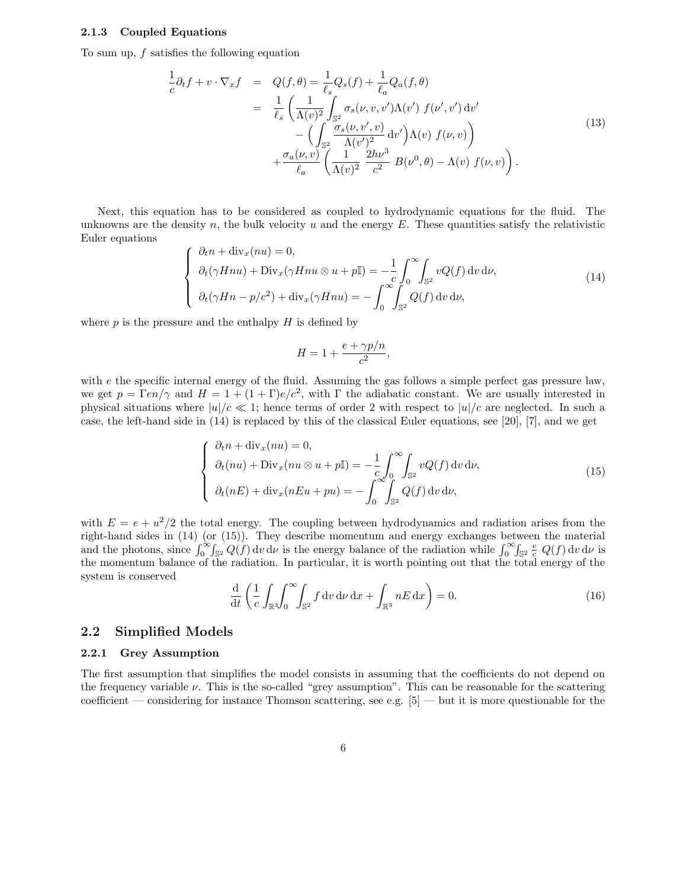#### 2.1.3 Coupled Equations

To sum up, f satisfies the following equation

$$
\frac{1}{c}\partial_t f + v \cdot \nabla_x f = Q(f, \theta) = \frac{1}{\ell_s} Q_s(f) + \frac{1}{\ell_a} Q_a(f, \theta)
$$
\n
$$
= \frac{1}{\ell_s} \left( \frac{1}{\Lambda(v)^2} \int_{\mathbb{S}^2} \sigma_s(\nu, v, v') \Lambda(v') f(\nu', v') dv' - \left( \int_{\mathbb{S}^2} \frac{\sigma_s(\nu, v', v)}{\Lambda(v')^2} dv' \right) \Lambda(v) f(\nu, v) \right)
$$
\n
$$
+ \frac{\sigma_a(\nu, v)}{\ell_a} \left( \frac{1}{\Lambda(v)^2} \frac{2h\nu^3}{c^2} B(\nu^0, \theta) - \Lambda(v) f(\nu, v) \right).
$$
\n(13)

Next, this equation has to be considered as coupled to hydrodynamic equations for the fluid. The unknowns are the density n, the bulk velocity u and the energy  $E$ . These quantities satisfy the relativistic Euler equations

$$
\begin{cases}\n\partial_t n + \text{div}_x(nu) = 0, \\
\partial_t (\gamma H n u) + \text{Div}_x(\gamma H n u \otimes u + p \mathbb{I}) = -\frac{1}{c} \int_0^\infty \int_{\mathbb{S}^2} vQ(f) \, \text{d}v \, \text{d}\nu, \\
\partial_t (\gamma H n - p/c^2) + \text{div}_x(\gamma H n u) = -\int_0^\infty \int_{\mathbb{S}^2} Q(f) \, \text{d}v \, \text{d}\nu,\n\end{cases}
$$
\n(14)

where  $p$  is the pressure and the enthalpy  $H$  is defined by

$$
H = 1 + \frac{e + \gamma p/n}{c^2},
$$

with e the specific internal energy of the fluid. Assuming the gas follows a simple perfect gas pressure law, we get  $p = \Gamma en/\gamma$  and  $H = 1 + (1 + \Gamma)e/c^2$ , with  $\Gamma$  the adiabatic constant. We are usually interested in physical situations where  $|u|/c \ll 1$ ; hence terms of order 2 with respect to  $|u|/c$  are neglected. In such a case, the left-hand side in (14) is replaced by this of the classical Euler equations, see [20], [7], and we get

$$
\begin{cases}\n\partial_t n + \operatorname{div}_x(nu) = 0, \\
\partial_t(nu) + \operatorname{Div}_x(nu \otimes u + p\mathbb{I}) = -\frac{1}{c} \int_0^\infty \int_{\mathbb{S}^2} vQ(f) \, \mathrm{d}v \, \mathrm{d}\nu, \\
\partial_t(nE) + \operatorname{div}_x(nEu + pu) = -\int_0^\infty \int_{\mathbb{S}^2} Q(f) \, \mathrm{d}v \, \mathrm{d}\nu,\n\end{cases}
$$
\n(15)

with  $E = e + u^2/2$  the total energy. The coupling between hydrodynamics and radiation arises from the right-hand sides in (14) (or (15)). They describe momentum and energy exchanges between the material and the photons, since  $\int_0^\infty \int_{S^2} Q(f) dv dv$  is the energy balance of the radiation while  $\int_0^\infty \int_{S^2} \frac{v}{c} Q(f) dv dv$  is the momentum balance of the radiation. In particular, it is worth pointing out that the total energy of the system is conserved

$$
\frac{\mathrm{d}}{\mathrm{d}t} \left( \frac{1}{c} \int_{\mathbb{R}^3} \int_0^\infty \int_{\mathbb{S}^2} f \, \mathrm{d}v \, \mathrm{d}\nu \, \mathrm{d}x + \int_{\mathbb{R}^3} nE \, \mathrm{d}x \right) = 0. \tag{16}
$$

### 2.2 Simplified Models

#### 2.2.1 Grey Assumption

The first assumption that simplifies the model consists in assuming that the coefficients do not depend on the frequency variable  $\nu$ . This is the so-called "grey assumption". This can be reasonable for the scattering coefficient — considering for instance Thomson scattering, see e.g.  $[5]$  — but it is more questionable for the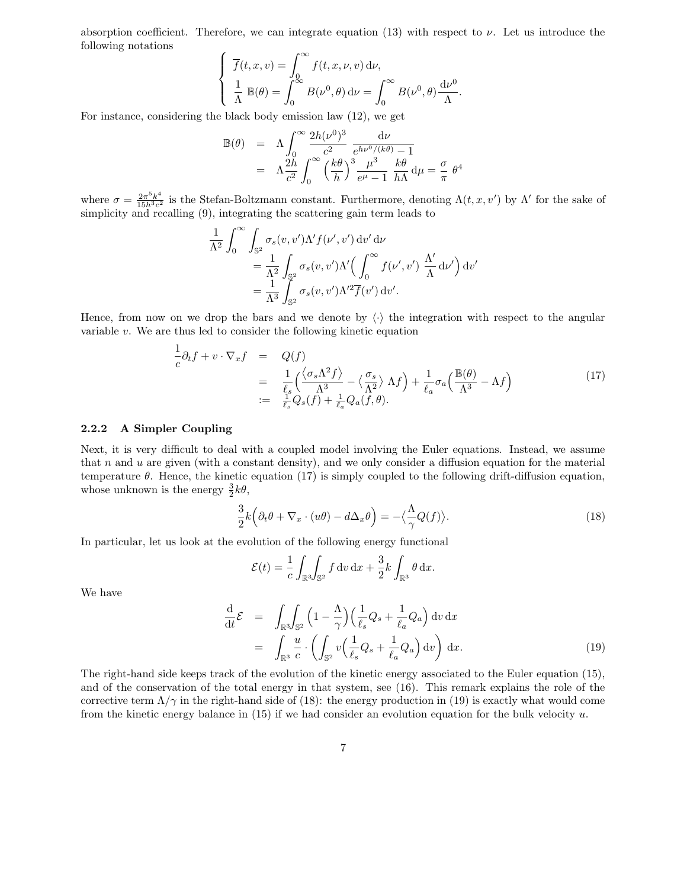absorption coefficient. Therefore, we can integrate equation (13) with respect to  $\nu$ . Let us introduce the following notations

$$
\begin{cases}\n\overline{f}(t, x, v) = \int_0^\infty f(t, x, \nu, v) \, \mathrm{d}\nu, \\
\frac{1}{\Lambda} \mathbb{B}(\theta) = \int_0^\infty B(\nu^0, \theta) \, \mathrm{d}\nu = \int_0^\infty B(\nu^0, \theta) \frac{\mathrm{d}\nu^0}{\Lambda}.\n\end{cases}
$$

For instance, considering the black body emission law (12), we get

$$
\mathbb{B}(\theta) = \Lambda \int_0^\infty \frac{2h(\nu^0)^3}{c^2} \frac{d\nu}{e^{h\nu^0/(k\theta)} - 1}
$$
  
=  $\Lambda \frac{2h}{c^2} \int_0^\infty \left(\frac{k\theta}{h}\right)^3 \frac{\mu^3}{e^\mu - 1} \frac{k\theta}{h\Lambda} d\mu = \frac{\sigma}{\pi} \theta^4$ 

where  $\sigma = \frac{2\pi^5 k^4}{15h^3c^2}$  $\frac{2\pi^3 k^2}{15h^3c^2}$  is the Stefan-Boltzmann constant. Furthermore, denoting  $\Lambda(t, x, v')$  by  $\Lambda'$  for the sake of simplicity and recalling (9), integrating the scattering gain term leads to

$$
\frac{1}{\Lambda^2} \int_0^\infty \int_{\mathbb{S}^2} \sigma_s(v, v') \Lambda' f(v', v') dv' d\nu
$$
  
=  $\frac{1}{\Lambda^2} \int_{\mathbb{S}^2} \sigma_s(v, v') \Lambda' \Big( \int_0^\infty f(v', v') \frac{\Lambda'}{\Lambda} d\nu' \Big) dv'$   
=  $\frac{1}{\Lambda^3} \int_{\mathbb{S}^2} \sigma_s(v, v') \Lambda'^2 \overline{f}(v') dv'.$ 

Hence, from now on we drop the bars and we denote by  $\langle \cdot \rangle$  the integration with respect to the angular variable  $v$ . We are thus led to consider the following kinetic equation

$$
\frac{1}{c}\partial_t f + v \cdot \nabla_x f = Q(f)
$$
\n
$$
= \frac{1}{\ell_s} \left( \frac{\langle \sigma_s \Lambda^2 f \rangle}{\Lambda^3} - \langle \frac{\sigma_s}{\Lambda^2} \rangle \Lambda f \right) + \frac{1}{\ell_a} \sigma_a \left( \frac{\mathbb{B}(\theta)}{\Lambda^3} - \Lambda f \right)
$$
\n
$$
:= \frac{1}{\ell_s} Q_s(f) + \frac{1}{\ell_a} Q_a(f, \theta).
$$
\n(17)

#### 2.2.2 A Simpler Coupling

Next, it is very difficult to deal with a coupled model involving the Euler equations. Instead, we assume that  $n$  and  $u$  are given (with a constant density), and we only consider a diffusion equation for the material temperature  $\theta$ . Hence, the kinetic equation (17) is simply coupled to the following drift-diffusion equation, whose unknown is the energy  $\frac{3}{2}k\theta$ ,

$$
\frac{3}{2}k(\partial_t \theta + \nabla_x \cdot (u\theta) - d\Delta_x \theta) = -\langle \frac{\Lambda}{\gamma} Q(f) \rangle.
$$
 (18)

In particular, let us look at the evolution of the following energy functional

$$
\mathcal{E}(t) = \frac{1}{c} \int_{\mathbb{R}^3} \int_{\mathbb{S}^2} f \, dv \, dx + \frac{3}{2} k \int_{\mathbb{R}^3} \theta \, dx.
$$

We have

$$
\frac{\mathrm{d}}{\mathrm{d}t}\mathcal{E} = \int_{\mathbb{R}^3} \int_{\mathbb{S}^2} \left(1 - \frac{\Lambda}{\gamma}\right) \left(\frac{1}{\ell_s} Q_s + \frac{1}{\ell_a} Q_a\right) \mathrm{d}v \, \mathrm{d}x \n= \int_{\mathbb{R}^3} \frac{u}{c} \cdot \left(\int_{\mathbb{S}^2} v \left(\frac{1}{\ell_s} Q_s + \frac{1}{\ell_a} Q_a\right) \mathrm{d}v\right) \mathrm{d}x.
$$
\n(19)

The right-hand side keeps track of the evolution of the kinetic energy associated to the Euler equation (15), and of the conservation of the total energy in that system, see (16). This remark explains the role of the corrective term  $\Lambda/\gamma$  in the right-hand side of (18): the energy production in (19) is exactly what would come from the kinetic energy balance in  $(15)$  if we had consider an evolution equation for the bulk velocity u.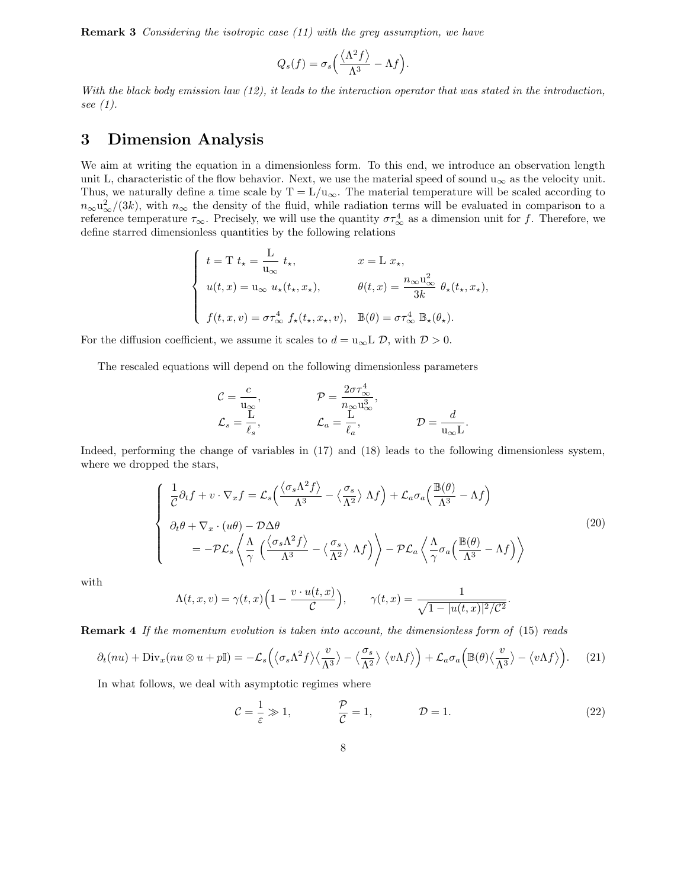Remark 3 Considering the isotropic case (11) with the grey assumption, we have

$$
Q_s(f) = \sigma_s \left(\frac{\langle \Lambda^2 f \rangle}{\Lambda^3} - \Lambda f\right).
$$

With the black body emission law (12), it leads to the interaction operator that was stated in the introduction, see (1).

# 3 Dimension Analysis

We aim at writing the equation in a dimensionless form. To this end, we introduce an observation length unit L, characteristic of the flow behavior. Next, we use the material speed of sound  $u_{\infty}$  as the velocity unit. Thus, we naturally define a time scale by  $T = L/u_{\infty}$ . The material temperature will be scaled according to  $n_{\infty}u_{\infty}^{2}/(3k)$ , with  $n_{\infty}$  the density of the fluid, while radiation terms will be evaluated in comparison to a reference temperature  $\tau_{\infty}$ . Precisely, we will use the quantity  $\sigma \tau_{\infty}^4$  as a dimension unit for f. Therefore, we define starred dimensionless quantities by the following relations

$$
\begin{cases}\nt = T t_{\star} = \frac{L}{u_{\infty}} t_{\star}, & x = L x_{\star}, \\
u(t, x) = u_{\infty} u_{\star}(t_{\star}, x_{\star}), & \theta(t, x) = \frac{n_{\infty} u_{\infty}^2}{3k} \theta_{\star}(t_{\star}, x_{\star}), \\
f(t, x, v) = \sigma \tau_{\infty}^4 f_{\star}(t_{\star}, x_{\star}, v), & \mathbb{B}(\theta) = \sigma \tau_{\infty}^4 \mathbb{B}_{\star}(\theta_{\star}).\n\end{cases}
$$

For the diffusion coefficient, we assume it scales to  $d = u_{\infty} L \mathcal{D}$ , with  $\mathcal{D} > 0$ .

The rescaled equations will depend on the following dimensionless parameters

$$
C = \frac{c}{u_{\infty}}, \qquad \qquad \mathcal{P} = \frac{2\sigma \tau_{\infty}^4}{n_{\infty} u_{\infty}^3},
$$
  

$$
\mathcal{L}_s = \frac{L}{\ell_s}, \qquad \qquad \mathcal{L}_a = \frac{L}{\ell_a}, \qquad \qquad \mathcal{D} = \frac{d}{u_{\infty}L}.
$$

Indeed, performing the change of variables in (17) and (18) leads to the following dimensionless system, where we dropped the stars,

$$
\begin{cases}\n\frac{1}{C}\partial_{t}f + v \cdot \nabla_{x}f = \mathcal{L}_{s}\left(\frac{\langle\sigma_{s}\Lambda^{2}f\rangle}{\Lambda^{3}} - \langle\frac{\sigma_{s}}{\Lambda^{2}}\rangle\Lambda f\right) + \mathcal{L}_{a}\sigma_{a}\left(\frac{\mathbb{B}(\theta)}{\Lambda^{3}} - \Lambda f\right) \\
\partial_{t}\theta + \nabla_{x} \cdot (u\theta) - \mathcal{D}\Delta\theta \\
= -\mathcal{P}\mathcal{L}_{s}\left\langle \frac{\Lambda}{\gamma}\left(\frac{\langle\sigma_{s}\Lambda^{2}f\rangle}{\Lambda^{3}} - \langle\frac{\sigma_{s}}{\Lambda^{2}}\rangle\Lambda f\right)\right\rangle - \mathcal{P}\mathcal{L}_{a}\left\langle \frac{\Lambda}{\gamma}\sigma_{a}\left(\frac{\mathbb{B}(\theta)}{\Lambda^{3}} - \Lambda f\right)\right\rangle\n\end{cases}
$$
\n(20)

with

$$
\Lambda(t, x, v) = \gamma(t, x) \left( 1 - \frac{v \cdot u(t, x)}{\mathcal{C}} \right), \qquad \gamma(t, x) = \frac{1}{\sqrt{1 - |u(t, x)|^2 / \mathcal{C}^2}}.
$$

**Remark 4** If the momentum evolution is taken into account, the dimensionless form of (15) reads

$$
\partial_t(nu) + \text{Div}_x(nu \otimes u + p\mathbb{I}) = -\mathcal{L}_s\left(\langle \sigma_s \Lambda^2 f \rangle \langle \frac{v}{\Lambda^3} \rangle - \langle \frac{\sigma_s}{\Lambda^2} \rangle \langle v \Lambda f \rangle \right) + \mathcal{L}_a \sigma_a \left(\mathbb{B}(\theta) \langle \frac{v}{\Lambda^3} \rangle - \langle v \Lambda f \rangle \right). \tag{21}
$$

In what follows, we deal with asymptotic regimes where

$$
C = \frac{1}{\varepsilon} \gg 1, \qquad \frac{\mathcal{P}}{\mathcal{C}} = 1, \qquad \mathcal{D} = 1. \tag{22}
$$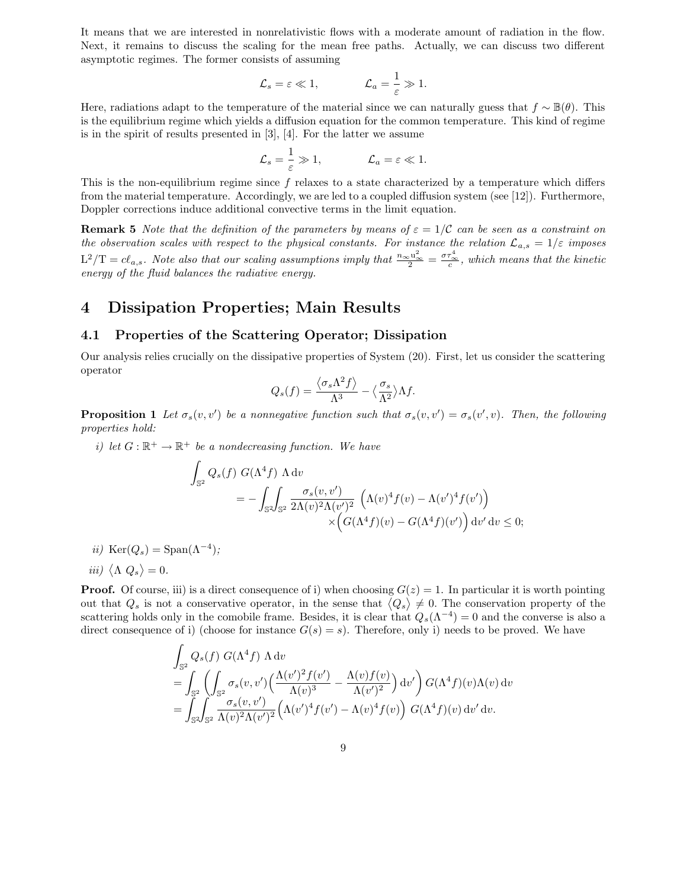It means that we are interested in nonrelativistic flows with a moderate amount of radiation in the flow. Next, it remains to discuss the scaling for the mean free paths. Actually, we can discuss two different asymptotic regimes. The former consists of assuming

$$
\mathcal{L}_s = \varepsilon \ll 1,
$$
\n $\mathcal{L}_a = \frac{1}{\varepsilon} \gg 1.$ 

Here, radiations adapt to the temperature of the material since we can naturally guess that  $f \sim \mathbb{B}(\theta)$ . This is the equilibrium regime which yields a diffusion equation for the common temperature. This kind of regime is in the spirit of results presented in [3], [4]. For the latter we assume

$$
\mathcal{L}_s = \frac{1}{\varepsilon} \gg 1, \qquad \qquad \mathcal{L}_a = \varepsilon \ll 1.
$$

This is the non-equilibrium regime since  $f$  relaxes to a state characterized by a temperature which differs from the material temperature. Accordingly, we are led to a coupled diffusion system (see [12]). Furthermore, Doppler corrections induce additional convective terms in the limit equation.

**Remark 5** Note that the definition of the parameters by means of  $\varepsilon = 1/\mathcal{C}$  can be seen as a constraint on the observation scales with respect to the physical constants. For instance the relation  $\mathcal{L}_{a,s} = 1/\varepsilon$  imposes  $\text{L}^2/\text{T} = c\ell_{a,s}$ . Note also that our scaling assumptions imply that  $\frac{n_{\infty}u_{\infty}^2}{2} = \frac{\sigma\tau_{\infty}^4}{c}$ , which means that the kinetic energy of the fluid balances the radiative energy.

## 4 Dissipation Properties; Main Results

## 4.1 Properties of the Scattering Operator; Dissipation

Our analysis relies crucially on the dissipative properties of System (20). First, let us consider the scattering operator

$$
Q_s(f) = \frac{\langle \sigma_s \Lambda^2 f \rangle}{\Lambda^3} - \langle \frac{\sigma_s}{\Lambda^2} \rangle \Lambda f.
$$

**Proposition 1** Let  $\sigma_s(v, v')$  be a nonnegative function such that  $\sigma_s(v, v') = \sigma_s(v', v)$ . Then, the following properties hold:

i) let  $G: \mathbb{R}^+ \to \mathbb{R}^+$  be a nondecreasing function. We have

$$
\int_{\mathbb{S}^2} Q_s(f) G(\Lambda^4 f) \Lambda dv
$$
\n
$$
= - \int_{\mathbb{S}^2} \int_{\mathbb{S}^2} \frac{\sigma_s(v, v')}{2\Lambda(v)^2 \Lambda(v')^2} \left( \Lambda(v)^4 f(v) - \Lambda(v')^4 f(v') \right)
$$
\n
$$
\times \left( G(\Lambda^4 f)(v) - G(\Lambda^4 f)(v') \right) dv' dv \le 0;
$$

ii)  $\text{Ker}(Q_s) = \text{Span}(\Lambda^{-4})$ ;

$$
iii) \langle \Lambda Q_s \rangle = 0.
$$

**Proof.** Of course, iii) is a direct consequence of i) when choosing  $G(z) = 1$ . In particular it is worth pointing out that  $Q_s$  is not a conservative operator, in the sense that  $\langle Q_s \rangle \neq 0$ . The conservation property of the scattering holds only in the comobile frame. Besides, it is clear that  $Q_s(\Lambda^{-4})=0$  and the converse is also a direct consequence of i) (choose for instance  $G(s) = s$ ). Therefore, only i) needs to be proved. We have

$$
\int_{\mathbb{S}^2} Q_s(f) G(\Lambda^4 f) \Lambda dv
$$
\n
$$
= \int_{\mathbb{S}^2} \left( \int_{\mathbb{S}^2} \sigma_s(v, v') \left( \frac{\Lambda(v')^2 f(v')}{\Lambda(v)^3} - \frac{\Lambda(v) f(v)}{\Lambda(v')^2} \right) dv' \right) G(\Lambda^4 f)(v) \Lambda(v) dv
$$
\n
$$
= \int_{\mathbb{S}^2} \int_{\mathbb{S}^2} \frac{\sigma_s(v, v')}{\Lambda(v)^2 \Lambda(v')^2} \left( \Lambda(v')^4 f(v') - \Lambda(v)^4 f(v) \right) G(\Lambda^4 f)(v) dv' dv.
$$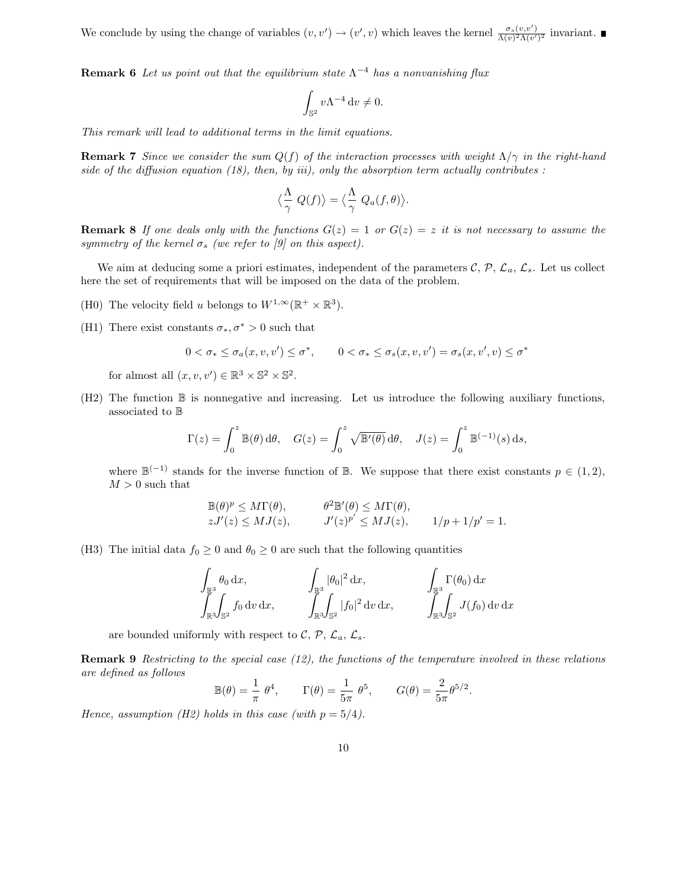We conclude by using the change of variables  $(v, v') \to (v', v)$  which leaves the kernel  $\frac{\sigma_s(v, v')}{\Lambda(v)^2 \Lambda(v')}$  $\frac{\sigma_s(v,v)}{\Lambda(v)^2 \Lambda(v')^2}$  invariant.

**Remark 6** Let us point out that the equilibrium state  $\Lambda^{-4}$  has a nonvanishing flux

$$
\int_{\mathbb{S}^2} v \Lambda^{-4} \, \mathrm{d} v \neq 0.
$$

This remark will lead to additional terms in the limit equations.

**Remark 7** Since we consider the sum  $Q(f)$  of the interaction processes with weight  $\Lambda/\gamma$  in the right-hand side of the diffusion equation (18), then, by iii), only the absorption term actually contributes :

$$
\langle \frac{\Lambda}{\gamma} Q(f) \rangle = \langle \frac{\Lambda}{\gamma} Q_a(f, \theta) \rangle.
$$

**Remark 8** If one deals only with the functions  $G(z) = 1$  or  $G(z) = z$  it is not necessary to assume the symmetry of the kernel  $\sigma_s$  (we refer to [9] on this aspect).

We aim at deducing some a priori estimates, independent of the parameters  $\mathcal{C}, \mathcal{P}, \mathcal{L}_a, \mathcal{L}_s$ . Let us collect here the set of requirements that will be imposed on the data of the problem.

- (H0) The velocity field u belongs to  $W^{1,\infty}(\mathbb{R}^+ \times \mathbb{R}^3)$ .
- (H1) There exist constants  $\sigma_*, \sigma^* > 0$  such that

$$
0 < \sigma_* \le \sigma_a(x, v, v') \le \sigma^*, \qquad 0 < \sigma_* \le \sigma_s(x, v, v') = \sigma_s(x, v', v) \le \sigma
$$

∗

for almost all  $(x, v, v') \in \mathbb{R}^3 \times \mathbb{S}^2 \times \mathbb{S}^2$ .

(H2) The function B is nonnegative and increasing. Let us introduce the following auxiliary functions, associated to B

$$
\Gamma(z) = \int_0^z \mathbb{B}(\theta) \,d\theta, \quad G(z) = \int_0^z \sqrt{\mathbb{B}'(\theta)} \,d\theta, \quad J(z) = \int_0^z \mathbb{B}^{(-1)}(s) \,ds,
$$

where  $\mathbb{B}^{(-1)}$  stands for the inverse function of  $\mathbb{B}$ . We suppose that there exist constants  $p \in (1, 2)$ ,  $M > 0$  such that

$$
\mathbb{B}(\theta)^p \leq M\Gamma(\theta), \qquad \theta^2 \mathbb{B}'(\theta) \leq M\Gamma(\theta),
$$
  
\n
$$
zJ'(z) \leq MJ(z), \qquad J'(z)^{p'} \leq MJ(z), \qquad 1/p+1/p'=1.
$$

(H3) The initial data  $f_0 \geq 0$  and  $\theta_0 \geq 0$  are such that the following quantities

$$
\int_{\mathbb{R}^3} \theta_0 \, dx, \qquad \qquad \int_{\mathbb{R}^3} |\theta_0|^2 \, dx, \qquad \qquad \int_{\mathbb{R}^3} \Gamma(\theta_0) \, dx \n\int_{\mathbb{R}^3} \int_{\mathbb{S}^2} f_0 \, dv \, dx, \qquad \qquad \int_{\mathbb{R}^3} \int_{\mathbb{S}^2} |f_0|^2 \, dv \, dx, \qquad \qquad \int_{\mathbb{R}^3} \int_{\mathbb{S}^2} J(f_0) \, dv \, dx
$$

are bounded uniformly with respect to C, P,  $\mathcal{L}_a$ ,  $\mathcal{L}_s$ .

**Remark 9** Restricting to the special case  $(12)$ , the functions of the temperature involved in these relations are defined as follows

$$
\mathbb{B}(\theta) = \frac{1}{\pi} \theta^4, \qquad \Gamma(\theta) = \frac{1}{5\pi} \theta^5, \qquad G(\theta) = \frac{2}{5\pi} \theta^{5/2}.
$$

Hence, assumption (H2) holds in this case (with  $p = 5/4$ ).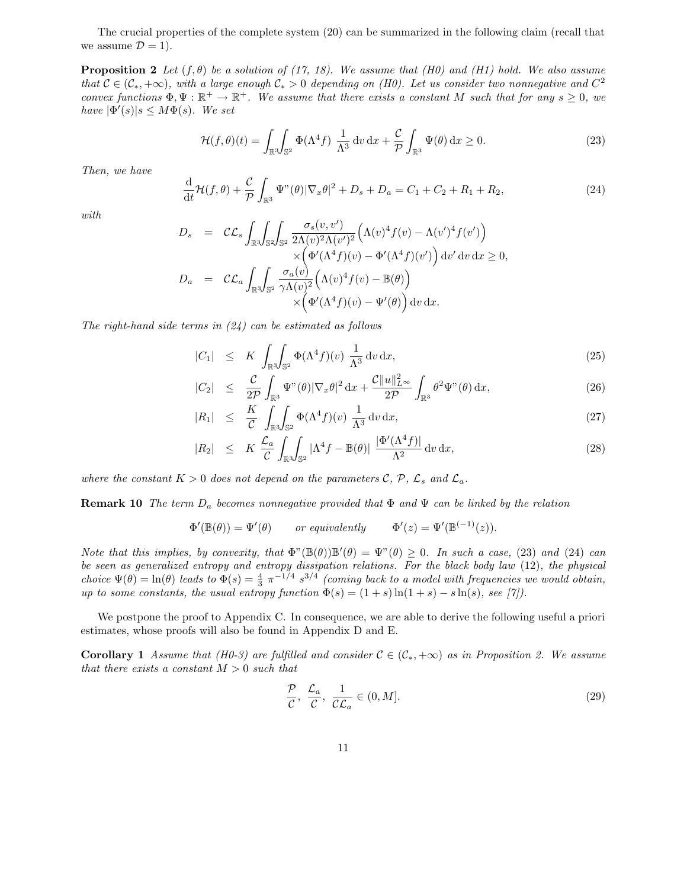The crucial properties of the complete system (20) can be summarized in the following claim (recall that we assume  $\mathcal{D} = 1$ .

**Proposition 2** Let  $(f, \theta)$  be a solution of (17, 18). We assume that (H0) and (H1) hold. We also assume that  $C \in (\mathcal{C}_*, +\infty)$ , with a large enough  $\mathcal{C}_* > 0$  depending on (H0). Let us consider two nonnegative and  $C^2$ convex functions  $\Phi, \Psi : \mathbb{R}^+ \to \mathbb{R}^+$ . We assume that there exists a constant M such that for any  $s \geq 0$ , we have  $|\Phi'(s)|s \leq M\Phi(s)$ . We set

$$
\mathcal{H}(f,\theta)(t) = \int_{\mathbb{R}^3} \int_{\mathbb{S}^2} \Phi(\Lambda^4 f) \, \frac{1}{\Lambda^3} \, \mathrm{d}v \, \mathrm{d}x + \frac{\mathcal{C}}{\mathcal{P}} \int_{\mathbb{R}^3} \Psi(\theta) \, \mathrm{d}x \ge 0. \tag{23}
$$

Then, we have

$$
\frac{\mathrm{d}}{\mathrm{d}t}\mathcal{H}(f,\theta) + \frac{\mathcal{C}}{\mathcal{P}}\int_{\mathbb{R}^3} \Psi^{\prime\prime}(\theta) |\nabla_x \theta|^2 + D_s + D_a = C_1 + C_2 + R_1 + R_2,\tag{24}
$$

with

$$
D_s = C \mathcal{L}_s \int_{\mathbb{R}^3} \int_{\mathbb{S}^2} \int_{\mathbb{S}^2} \frac{\sigma_s(v, v')}{2\Lambda(v)^2 \Lambda(v')^2} \Big( \Lambda(v)^4 f(v) - \Lambda(v')^4 f(v') \Big) \times \Big( \Phi'(\Lambda^4 f)(v) - \Phi'(\Lambda^4 f)(v') \Big) dv' dv dx \ge 0,
$$
  

$$
D_a = C \mathcal{L}_a \int_{\mathbb{R}^3} \int_{\mathbb{S}^2} \frac{\sigma_a(v)}{\gamma \Lambda(v)^2} \Big( \Lambda(v)^4 f(v) - \mathbb{B}(\theta) \Big) \times \Big( \Phi'(\Lambda^4 f)(v) - \Psi'(\theta) \Big) dv dx.
$$

The right-hand side terms in  $(24)$  can be estimated as follows

$$
|C_1| \leq K \int_{\mathbb{R}^3} \int_{\mathbb{S}^2} \Phi(\Lambda^4 f)(v) \, \frac{1}{\Lambda^3} \, \mathrm{d}v \, \mathrm{d}x,\tag{25}
$$

$$
|C_2| \leq \frac{\mathcal{C}}{2\mathcal{P}} \int_{\mathbb{R}^3} \Psi^{\prime\prime}(\theta) |\nabla_x \theta|^2 \, \mathrm{d}x + \frac{\mathcal{C} \|u\|_{L^\infty}^2}{2\mathcal{P}} \int_{\mathbb{R}^3} \theta^2 \Psi^{\prime\prime}(\theta) \, \mathrm{d}x,\tag{26}
$$

$$
|R_1| \leq \frac{K}{\mathcal{C}} \int_{\mathbb{R}^3} \int_{\mathbb{S}^2} \Phi(\Lambda^4 f)(v) \frac{1}{\Lambda^3} dv dx, \tag{27}
$$

$$
|R_2| \leq K \frac{\mathcal{L}_a}{\mathcal{C}} \int_{\mathbb{R}^3} \int_{\mathbb{S}^2} |\Lambda^4 f - \mathbb{B}(\theta)| \frac{|\Phi'(\Lambda^4 f)|}{\Lambda^2} \, \mathrm{d}v \, \mathrm{d}x,\tag{28}
$$

where the constant  $K > 0$  does not depend on the parameters C, P,  $\mathcal{L}_s$  and  $\mathcal{L}_a$ .

**Remark 10** The term  $D_a$  becomes nonnegative provided that  $\Phi$  and  $\Psi$  can be linked by the relation

$$
\Phi'(\mathbb{B}(\theta)) = \Psi'(\theta) \qquad or\,\, equivalently \qquad \Phi'(z) = \Psi'(\mathbb{B}^{(-1)}(z)).
$$

Note that this implies, by convexity, that  $\Phi^{\prime\prime}(\mathbb{B}(\theta))\mathbb{B}'(\theta) = \Psi^{\prime\prime}(\theta) \geq 0$ . In such a case, (23) and (24) can be seen as generalized entropy and entropy dissipation relations. For the black body law (12), the physical choice  $\Psi(\theta) = \ln(\theta)$  leads to  $\Phi(s) = \frac{4}{3} \pi^{-1/4} s^{3/4}$  (coming back to a model with frequencies we would obtain, up to some constants, the usual entropy function  $\Phi(s) = (1 + s) \ln(1 + s) - s \ln(s)$ , see [7]).

We postpone the proof to Appendix C. In consequence, we are able to derive the following useful a priori estimates, whose proofs will also be found in Appendix D and E.

**Corollary 1** Assume that (H0-3) are fulfilled and consider  $C \in (\mathcal{C}_*, +\infty)$  as in Proposition 2. We assume that there exists a constant  $M > 0$  such that

$$
\frac{\mathcal{P}}{\mathcal{C}}, \frac{\mathcal{L}_a}{\mathcal{C}}, \frac{1}{\mathcal{CL}_a} \in (0, M].
$$
\n(29)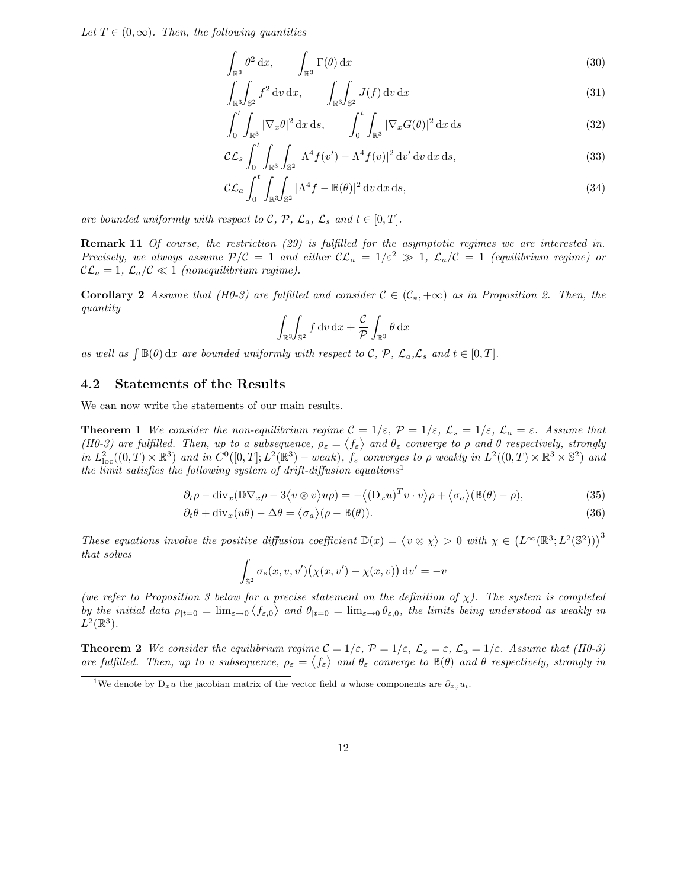Let  $T \in (0,\infty)$ . Then, the following quantities

$$
\int_{\mathbb{R}^3} \theta^2 \, \mathrm{d}x, \qquad \int_{\mathbb{R}^3} \Gamma(\theta) \, \mathrm{d}x \tag{30}
$$

$$
\int_{\mathbb{R}^3} \int_{\mathbb{S}^2} f^2 \, dv \, dx, \qquad \int_{\mathbb{R}^3} \int_{\mathbb{S}^2} J(f) \, dv \, dx \tag{31}
$$

$$
\int_0^t \int_{\mathbb{R}^3} |\nabla_x \theta|^2 \, \mathrm{d}x \, \mathrm{d}s, \qquad \int_0^t \int_{\mathbb{R}^3} |\nabla_x G(\theta)|^2 \, \mathrm{d}x \, \mathrm{d}s \tag{32}
$$

$$
\mathcal{CL}_s \int_0^t \int_{\mathbb{R}^3} \int_{\mathbb{S}^2} |\Lambda^4 f(v') - \Lambda^4 f(v)|^2 \, dv' \, dv \, dx \, ds,\tag{33}
$$

$$
\mathcal{CL}_a \int_0^t \int_{\mathbb{R}^3} \int_{\mathbb{S}^2} |\Lambda^4 f - \mathbb{B}(\theta)|^2 \, \mathrm{d}v \, \mathrm{d}x \, \mathrm{d}s,\tag{34}
$$

are bounded uniformly with respect to C, P,  $\mathcal{L}_a$ ,  $\mathcal{L}_s$  and  $t \in [0, T]$ .

Remark 11 Of course, the restriction (29) is fulfilled for the asymptotic regimes we are interested in. Precisely, we always assume  $P/C = 1$  and either  $CL_a = 1/\varepsilon^2 \gg 1$ ,  $\mathcal{L}_a/C = 1$  (equilibrium regime) or  $\mathcal{CL}_a = 1, \, \mathcal{L}_a/\mathcal{C} \ll 1$  (nonequilibrium regime).

**Corollary 2** Assume that (H0-3) are fulfilled and consider  $C \in (\mathcal{C}_*, +\infty)$  as in Proposition 2. Then, the quantity

$$
\int_{\mathbb{R}^3} \int_{\mathbb{S}^2} f \, \mathrm{d}v \, \mathrm{d}x + \frac{c}{\mathcal{P}} \int_{\mathbb{R}^3} \theta \, \mathrm{d}x
$$

as well as  $\int \mathbb{B}(\theta) dx$  are bounded uniformly with respect to C, P,  $\mathcal{L}_a$ , $\mathcal{L}_s$  and  $t \in [0, T]$ .

### 4.2 Statements of the Results

We can now write the statements of our main results.

**Theorem 1** We consider the non-equilibrium regime  $C = 1/\varepsilon$ ,  $\mathcal{P} = 1/\varepsilon$ ,  $\mathcal{L}_s = 1/\varepsilon$ ,  $\mathcal{L}_a = \varepsilon$ . Assume that (H0-3) are fulfilled. Then, up to a subsequence,  $\rho_{\varepsilon} = \langle f_{\varepsilon} \rangle$  and  $\theta_{\varepsilon}$  converge to  $\rho$  and  $\theta$  respectively, strongly in  $L^2_{\text{loc}}((0,T)\times\mathbb{R}^3)$  and in  $C^0([0,T];L^2(\mathbb{R}^3)$  – weak),  $f_\varepsilon$  converges to  $\rho$  weakly in  $L^2((0,T)\times\mathbb{R}^3\times\mathbb{S}^2)$  and the limit satisfies the following system of drift-diffusion equations<sup>1</sup>

$$
\partial_t \rho - \text{div}_x (\mathbb{D} \nabla_x \rho - 3 \langle v \otimes v \rangle u \rho) = - \langle (\mathcal{D}_x u)^T v \cdot v \rangle \rho + \langle \sigma_a \rangle (\mathbb{B}(\theta) - \rho), \tag{35}
$$

$$
\partial_t \theta + \text{div}_x(u\theta) - \Delta\theta = \langle \sigma_a \rangle (\rho - \mathbb{B}(\theta)). \tag{36}
$$

These equations involve the positive diffusion coefficient  $\mathbb{D}(x) = \langle v \otimes \chi \rangle > 0$  with  $\chi \in (L^{\infty}(\mathbb{R}^3; L^2(\mathbb{S}^2)))^3$ that solves

$$
\int_{\mathbb{S}^2} \sigma_s(x, v, v') \big(\chi(x, v') - \chi(x, v)\big) \, dv' = -v
$$

(we refer to Proposition 3 below for a precise statement on the definition of  $\chi$ ). The system is completed by the initial data  $\rho_{|t=0} = \lim_{\varepsilon \to 0} \langle f_{\varepsilon,0} \rangle$  and  $\theta_{|t=0} = \lim_{\varepsilon \to 0} \theta_{\varepsilon,0}$ , the limits being understood as weakly in  $L^2(\mathbb{R}^3)$ .

**Theorem 2** We consider the equilibrium regime  $C = 1/\varepsilon$ ,  $\mathcal{P} = 1/\varepsilon$ ,  $\mathcal{L}_s = \varepsilon$ ,  $\mathcal{L}_a = 1/\varepsilon$ . Assume that (H0-3) are fulfilled. Then, up to a subsequence,  $\rho_{\varepsilon} = \langle f_{\varepsilon} \rangle$  and  $\theta_{\varepsilon}$  converge to  $\mathbb{B}(\theta)$  and  $\theta$  respectively, strongly in

<sup>&</sup>lt;sup>1</sup>We denote by D<sub>x</sub>u the jacobian matrix of the vector field u whose components are  $\partial_{x_j} u_i$ .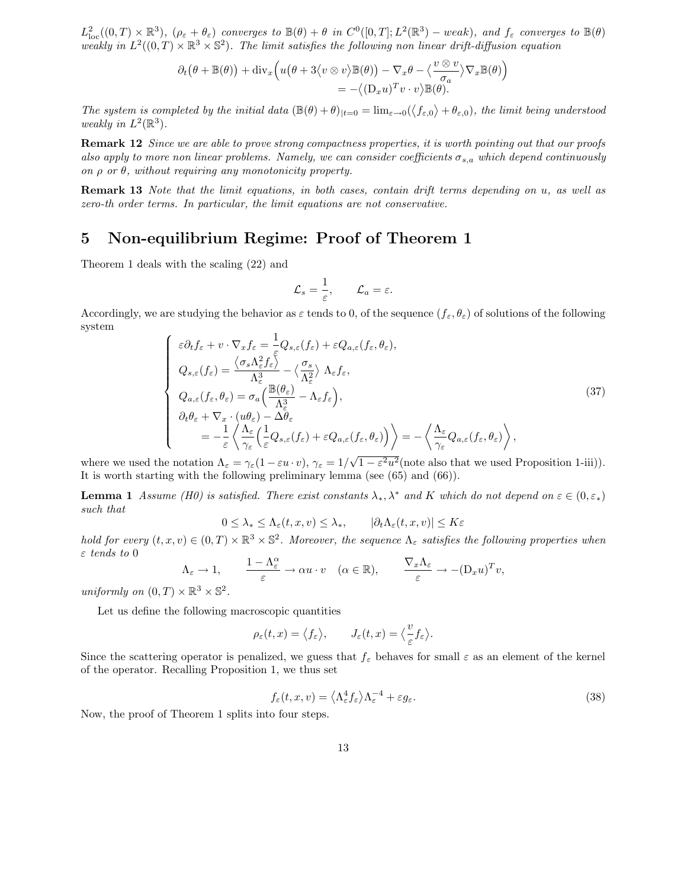$L^2_{\text{loc}}((0,T)\times\mathbb{R}^3)$ ,  $(\rho_{\varepsilon}+\theta_{\varepsilon})$  converges to  $\mathbb{B}(\theta)+\theta$  in  $C^0([0,T];L^2(\mathbb{R}^3)-weak)$ , and  $f_{\varepsilon}$  converges to  $\mathbb{B}(\theta)$ weakly in  $L^2((0,T)\times\mathbb{R}^3\times\mathbb{S}^2)$ . The limit satisfies the following non linear drift-diffusion equation

$$
\partial_t (\theta + \mathbb{B}(\theta)) + \text{div}_x \Big( u(\theta + 3 \langle v \otimes v \rangle) \mathbb{B}(\theta) - \nabla_x \theta - \langle \frac{v \otimes v}{\sigma_a} \rangle \nabla_x \mathbb{B}(\theta) \Big) \n= - \langle (D_x u)^T v \cdot v \rangle \mathbb{B}(\theta).
$$

The system is completed by the initial data  $(\mathbb{B}(\theta) + \theta)_{|t=0} = \lim_{\varepsilon \to 0} (\langle f_{\varepsilon,0} \rangle + \theta_{\varepsilon,0})$ , the limit being understood weakly in  $L^2(\mathbb{R}^3)$ .

Remark 12 Since we are able to prove strong compactness properties, it is worth pointing out that our proofs also apply to more non linear problems. Namely, we can consider coefficients  $\sigma_{s,a}$  which depend continuously on  $\rho$  or  $\theta$ , without requiring any monotonicity property.

Remark 13 Note that the limit equations, in both cases, contain drift terms depending on u, as well as zero-th order terms. In particular, the limit equations are not conservative.

## 5 Non-equilibrium Regime: Proof of Theorem 1

Theorem 1 deals with the scaling (22) and

$$
\mathcal{L}_s = \frac{1}{\varepsilon}, \qquad \mathcal{L}_a = \varepsilon.
$$

Accordingly, we are studying the behavior as  $\varepsilon$  tends to 0, of the sequence  $(f_{\varepsilon}, \theta_{\varepsilon})$  of solutions of the following system

$$
\begin{cases}\n\varepsilon \partial_t f_{\varepsilon} + v \cdot \nabla_x f_{\varepsilon} = \frac{1}{\varepsilon} Q_{s,\varepsilon}(f_{\varepsilon}) + \varepsilon Q_{a,\varepsilon}(f_{\varepsilon}, \theta_{\varepsilon}), \\
Q_{s,\varepsilon}(f_{\varepsilon}) = \frac{\langle \sigma_s \Lambda_{\varepsilon}^2 f_{\varepsilon} \rangle}{\Lambda_{\varepsilon}^3} - \langle \frac{\sigma_s}{\Lambda_{\varepsilon}^2} \rangle \Lambda_{\varepsilon} f_{\varepsilon}, \\
Q_{a,\varepsilon}(f_{\varepsilon}, \theta_{\varepsilon}) = \sigma_a \Big( \frac{\mathbb{B}(\theta_{\varepsilon})}{\Lambda_{\varepsilon}^3} - \Lambda_{\varepsilon} f_{\varepsilon} \Big), \\
\partial_t \theta_{\varepsilon} + \nabla_x \cdot (u\theta_{\varepsilon}) - \Delta \theta_{\varepsilon} \\
= -\frac{1}{\varepsilon} \left\langle \frac{\Lambda_{\varepsilon}}{\gamma_{\varepsilon}} \Big( \frac{1}{\varepsilon} Q_{s,\varepsilon}(f_{\varepsilon}) + \varepsilon Q_{a,\varepsilon}(f_{\varepsilon}, \theta_{\varepsilon}) \Big) \right\rangle = -\left\langle \frac{\Lambda_{\varepsilon}}{\gamma_{\varepsilon}} Q_{a,\varepsilon}(f_{\varepsilon}, \theta_{\varepsilon}) \right\rangle, \n\end{cases} \tag{37}
$$

where we used the notation  $\Lambda_{\varepsilon} = \gamma_{\varepsilon} (1 - \varepsilon u \cdot v), \gamma_{\varepsilon} = 1/\sqrt{1 - \varepsilon^2 u^2}$  (note also that we used Proposition 1-iii)). It is worth starting with the following preliminary lemma (see (65) and (66)).

**Lemma 1** Assume (H0) is satisfied. There exist constants  $\lambda_*, \lambda^*$  and K which do not depend on  $\varepsilon \in (0, \varepsilon_*)$ such that

$$
0 \leq \lambda_* \leq \Lambda_{\varepsilon}(t, x, v) \leq \lambda_*, \qquad |\partial_t \Lambda_{\varepsilon}(t, x, v)| \leq K\varepsilon
$$

hold for every  $(t, x, v) \in (0, T) \times \mathbb{R}^3 \times \mathbb{S}^2$ . Moreover, the sequence  $\Lambda_{\varepsilon}$  satisfies the following properties when ε tends to 0

$$
\Lambda_{\varepsilon} \to 1, \qquad \frac{1 - \Lambda_{\varepsilon}^{\alpha}}{\varepsilon} \to \alpha u \cdot v \quad (\alpha \in \mathbb{R}), \qquad \frac{\nabla_x \Lambda_{\varepsilon}}{\varepsilon} \to -(\mathcal{D}_x u)^T v,
$$

uniformly on  $(0, T) \times \mathbb{R}^3 \times \mathbb{S}^2$ .

Let us define the following macroscopic quantities

$$
\rho_{\varepsilon}(t,x) = \langle f_{\varepsilon} \rangle, \qquad J_{\varepsilon}(t,x) = \langle \frac{v}{\varepsilon} f_{\varepsilon} \rangle.
$$

Since the scattering operator is penalized, we guess that  $f_{\varepsilon}$  behaves for small  $\varepsilon$  as an element of the kernel of the operator. Recalling Proposition 1, we thus set

$$
f_{\varepsilon}(t, x, v) = \left\langle \Lambda_{\varepsilon}^4 f_{\varepsilon} \right\rangle \Lambda_{\varepsilon}^{-4} + \varepsilon g_{\varepsilon}.
$$
\n(38)

Now, the proof of Theorem 1 splits into four steps.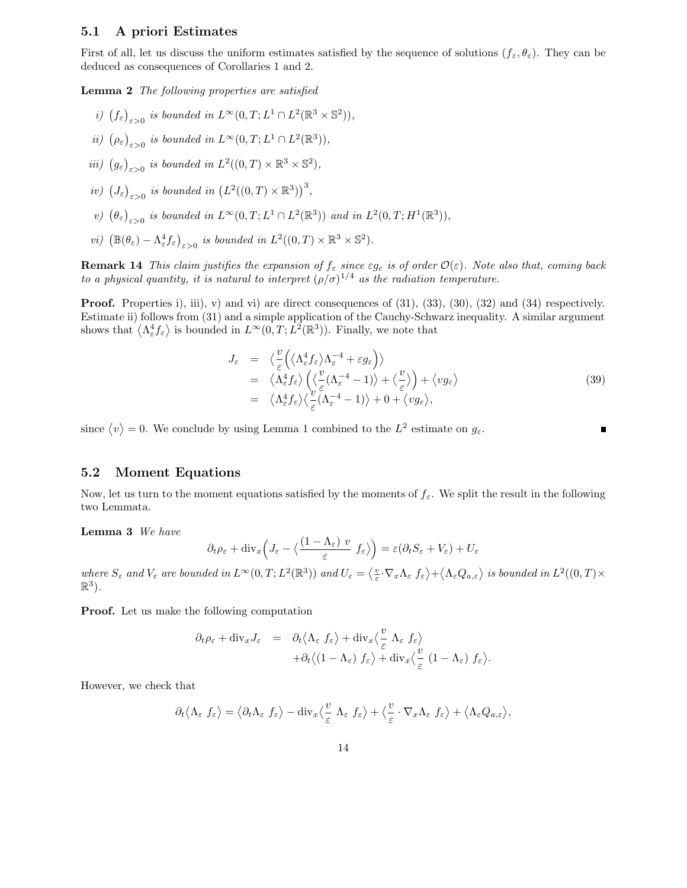### 5.1 A priori Estimates

First of all, let us discuss the uniform estimates satisfied by the sequence of solutions  $(f_{\varepsilon}, \theta_{\varepsilon})$ . They can be deduced as consequences of Corollaries 1 and 2.

Lemma 2 The following properties are satisfied

- i)  $(f_{\varepsilon})_{\varepsilon>0}$  is bounded in  $L^{\infty}(0,T; L^{1} \cap L^{2}(\mathbb{R}^{3} \times \mathbb{S}^{2})),$
- ii)  $(\rho_{\varepsilon})_{\varepsilon>0}$  is bounded in  $L^{\infty}(0,T;L^{1}\cap L^{2}(\mathbb{R}^{3})),$
- *iii*)  $(g_{\varepsilon})_{\varepsilon>0}$  *is bounded in*  $L^2((0,T)\times\mathbb{R}^3\times\mathbb{S}^2)$ ,
- iv)  $(J_{\varepsilon})_{\varepsilon>0}$  is bounded in  $(L^2((0,T)\times\mathbb{R}^3))^3$ ,
- v)  $(\theta_{\varepsilon})_{\varepsilon>0}$  is bounded in  $L^{\infty}(0,T; L^{1} \cap L^{2}(\mathbb{R}^{3}))$  and in  $L^{2}(0,T; H^{1}(\mathbb{R}^{3}))$ ,
- *vi*)  $(\mathbb{B}(\theta_{\varepsilon}) \Lambda_{\varepsilon}^4 f_{\varepsilon})_{\varepsilon > 0}$  *is bounded in*  $L^2((0,T) \times \mathbb{R}^3 \times \mathbb{S}^2)$ .

**Remark 14** This claim justifies the expansion of  $f_{\varepsilon}$  since  $\varepsilon g_{\varepsilon}$  is of order  $\mathcal{O}(\varepsilon)$ . Note also that, coming back to a physical quantity, it is natural to interpret  $(\rho/\sigma)^{1/4}$  as the radiation temperature.

**Proof.** Properties i), iii), v) and vi) are direct consequences of  $(31)$ ,  $(33)$ ,  $(30)$ ,  $(32)$  and  $(34)$  respectively. Estimate ii) follows from (31) and a simple application of the Cauchy-Schwarz inequality. A similar argument shows that  $\langle \Lambda_{\varepsilon}^4 f_{\varepsilon} \rangle$  is bounded in  $L^{\infty}(0,T; L^2(\mathbb{R}^3))$ . Finally, we note that

$$
J_{\varepsilon} = \langle \frac{v}{\varepsilon} \left( \langle \Lambda_{\varepsilon}^{4} f_{\varepsilon} \rangle \Lambda_{\varepsilon}^{-4} + \varepsilon g_{\varepsilon} \right) \rangle
$$
  
\n
$$
= \langle \Lambda_{\varepsilon}^{4} f_{\varepsilon} \rangle \left( \langle \frac{v}{\varepsilon} (\Lambda_{\varepsilon}^{-4} - 1) \rangle + \langle \frac{v}{\varepsilon} \rangle \right) + \langle v g_{\varepsilon} \rangle
$$
  
\n
$$
= \langle \Lambda_{\varepsilon}^{4} f_{\varepsilon} \rangle \langle \frac{v}{\varepsilon} (\Lambda_{\varepsilon}^{-4} - 1) \rangle + 0 + \langle v g_{\varepsilon} \rangle,
$$
\n(39)

since  $\langle v \rangle = 0$ . We conclude by using Lemma 1 combined to the  $L^2$  estimate on  $g_{\varepsilon}$ .

### 5.2 Moment Equations

Now, let us turn to the moment equations satisfied by the moments of  $f_{\varepsilon}$ . We split the result in the following two Lemmata.

Lemma 3 We have

$$
\partial_t \rho_{\varepsilon} + \text{div}_x \Big( J_{\varepsilon} - \big\langle \frac{(1 - \Lambda_{\varepsilon}) v}{\varepsilon} f_{\varepsilon} \big\rangle \Big) = \varepsilon (\partial_t S_{\varepsilon} + V_{\varepsilon}) + U_{\varepsilon}
$$

where  $S_{\varepsilon}$  and  $V_{\varepsilon}$  are bounded in  $L^{\infty}(0,T;L^{2}(\mathbb{R}^{3}))$  and  $U_{\varepsilon} = \langle \frac{v}{\varepsilon} \cdot \nabla_{x} \Lambda_{\varepsilon} f_{\varepsilon} \rangle + \langle \Lambda_{\varepsilon} Q_{a,\varepsilon} \rangle$  is bounded in  $L^{2}((0,T) \times$  $\mathbb{R}^3$ ).

Proof. Let us make the following computation

$$
\partial_t \rho_{\varepsilon} + \text{div}_x J_{\varepsilon} = \partial_t \langle \Lambda_{\varepsilon} f_{\varepsilon} \rangle + \text{div}_x \langle \frac{v}{\varepsilon} \Lambda_{\varepsilon} f_{\varepsilon} \rangle \n+ \partial_t \langle (1 - \Lambda_{\varepsilon}) f_{\varepsilon} \rangle + \text{div}_x \langle \frac{v}{\varepsilon} (1 - \Lambda_{\varepsilon}) f_{\varepsilon} \rangle.
$$

However, we check that

$$
\partial_t \langle \Lambda_{\varepsilon} f_{\varepsilon} \rangle = \langle \partial_t \Lambda_{\varepsilon} f_{\varepsilon} \rangle - \operatorname{div}_x \langle \frac{v}{\varepsilon} \Lambda_{\varepsilon} f_{\varepsilon} \rangle + \langle \frac{v}{\varepsilon} \cdot \nabla_x \Lambda_{\varepsilon} f_{\varepsilon} \rangle + \langle \Lambda_{\varepsilon} Q_{a, \varepsilon} \rangle,
$$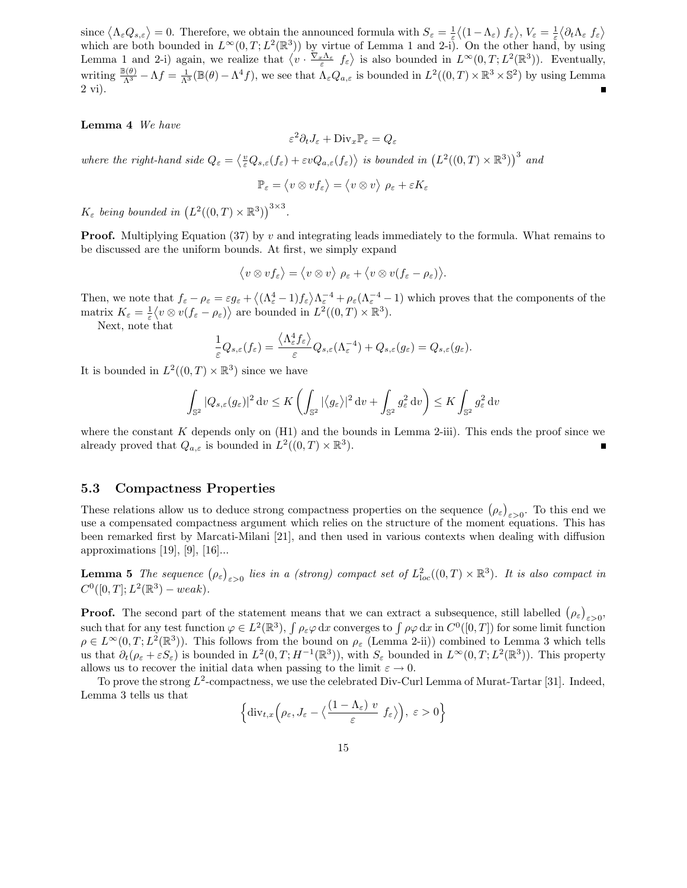since  $\langle \Lambda_{\varepsilon} Q_{s,\varepsilon} \rangle = 0$ . Therefore, we obtain the announced formula with  $S_{\varepsilon} = \frac{1}{\varepsilon} \langle (1 - \Lambda_{\varepsilon}) f_{\varepsilon} \rangle$ ,  $V_{\varepsilon} = \frac{1}{\varepsilon} \langle \partial_t \Lambda_{\varepsilon} f_{\varepsilon} \rangle$ which are both bounded in  $L^{\infty}(0,T;L^2(\mathbb{R}^3))$  by virtue of Lemma 1 and 2-i). On the other hand, by using Lemma 1 and 2-i) again, we realize that  $\langle v \cdot \frac{\nabla_x \Lambda_{\varepsilon}}{\varepsilon} f_{\varepsilon} \rangle$  is also bounded in  $L^{\infty}(0,T; L^2(\mathbb{R}^3))$ . Eventually, writing  $\frac{\mathbb{B}(\theta)}{\Lambda^3} - \Lambda f = \frac{1}{\Lambda^3}(\mathbb{B}(\theta) - \Lambda^4 f)$ , we see that  $\Lambda_{\varepsilon}Q_{a,\varepsilon}$  is bounded in  $L^2((0,T) \times \mathbb{R}^3 \times \mathbb{S}^2)$  by using Lemma 2 vi).

#### Lemma 4 We have

$$
\varepsilon^2 \partial_t J_\varepsilon + \text{Div}_x \mathbb{P}_\varepsilon = Q_\varepsilon
$$

where the right-hand side  $Q_{\varepsilon} = \langle \frac{v}{\varepsilon} Q_{s,\varepsilon}(f_{\varepsilon}) + \varepsilon v Q_{a,\varepsilon}(f_{\varepsilon}) \rangle$  is bounded in  $(L^2((0,T) \times \mathbb{R}^3))$ <sup>3</sup> and

$$
\mathbb{P}_{\varepsilon} = \langle v \otimes v f_{\varepsilon} \rangle = \langle v \otimes v \rangle \, \, \rho_{\varepsilon} + \varepsilon K_{\varepsilon}
$$

 $K_{\varepsilon}$  being bounded in  $(L^2((0,T)\times \mathbb{R}^3))^{3\times 3}$ .

**Proof.** Multiplying Equation (37) by v and integrating leads immediately to the formula. What remains to be discussed are the uniform bounds. At first, we simply expand

$$
\langle v \otimes v f_{\varepsilon} \rangle = \langle v \otimes v \rangle \; \rho_{\varepsilon} + \langle v \otimes v (f_{\varepsilon} - \rho_{\varepsilon}) \rangle.
$$

Then, we note that  $f_{\varepsilon} - \rho_{\varepsilon} = \varepsilon g_{\varepsilon} + \left\langle (\Lambda_{\varepsilon}^4 - 1) f_{\varepsilon} \right\rangle \Lambda_{\varepsilon}^{-4} + \rho_{\varepsilon} (\Lambda_{\varepsilon}^{-4} - 1)$  which proves that the components of the matrix  $K_{\varepsilon} = \frac{1}{\varepsilon} \langle v \otimes v(f_{\varepsilon} - \rho_{\varepsilon}) \rangle$  are bounded in  $L^2((0,T) \times \mathbb{R}^3)$ .

Next, note that

$$
\frac{1}{\varepsilon}Q_{s,\varepsilon}(f_{\varepsilon})=\frac{\langle \Lambda_{\varepsilon}^4 f_{\varepsilon} \rangle}{\varepsilon}Q_{s,\varepsilon}(\Lambda_{\varepsilon}^{-4})+Q_{s,\varepsilon}(g_{\varepsilon})=Q_{s,\varepsilon}(g_{\varepsilon}).
$$

It is bounded in  $L^2((0,T)\times\mathbb{R}^3)$  since we have

$$
\int_{\mathbb{S}^2} |Q_{s,\varepsilon}(g_{\varepsilon})|^2 \, \mathrm{d} v \le K \left( \int_{\mathbb{S}^2} |\langle g_{\varepsilon} \rangle|^2 \, \mathrm{d} v + \int_{\mathbb{S}^2} g_{\varepsilon}^2 \, \mathrm{d} v \right) \le K \int_{\mathbb{S}^2} g_{\varepsilon}^2 \, \mathrm{d} v
$$

where the constant  $K$  depends only on  $(H1)$  and the bounds in Lemma 2-iii). This ends the proof since we already proved that  $Q_{a,\varepsilon}$  is bounded in  $L^2((0,T)\times\mathbb{R}^3)$ .

### 5.3 Compactness Properties

These relations allow us to deduce strong compactness properties on the sequence  $(\rho_{\varepsilon})_{\varepsilon>0}$ . To this end we use a compensated compactness argument which relies on the structure of the moment equations. This has been remarked first by Marcati-Milani [21], and then used in various contexts when dealing with diffusion approximations [19], [9], [16]...

**Lemma 5** The sequence  $(\rho_{\varepsilon})_{\varepsilon>0}$  lies in a (strong) compact set of  $L_{loc}^2((0,T)\times\mathbb{R}^3)$ . It is also compact in  $C^0([0,T];L^2(\mathbb{R}^3) - weak).$ 

**Proof.** The second part of the statement means that we can extract a subsequence, still labelled  $(\rho_{\varepsilon})_{\varepsilon>0}$ **EXECUTE:** The second part of the statement means that we can extract a subsequence, some about  $(\mathcal{P}_{\varepsilon})_{\varepsilon>0}$ ,<br>such that for any test function  $\varphi \in L^2(\mathbb{R}^3)$ ,  $\int \rho_{\varepsilon} \varphi dx$  converges to  $\int \rho \varphi dx$  in  $C^0([$  $\rho \in L^{\infty}(0,T; L^{2}(\mathbb{R}^{3}))$ . This follows from the bound on  $\rho_{\varepsilon}$  (Lemma 2-ii)) combined to Lemma 3 which tells us that  $\partial_t(\rho_{\varepsilon} + \varepsilon S_{\varepsilon})$  is bounded in  $L^2(0,T;H^{-1}(\mathbb{R}^3))$ , with  $S_{\varepsilon}$  bounded in  $L^{\infty}(0,T;L^2(\mathbb{R}^3))$ . This property allows us to recover the initial data when passing to the limit  $\varepsilon \to 0$ .

To prove the strong  $L^2$ -compactness, we use the celebrated Div-Curl Lemma of Murat-Tartar [31]. Indeed, Lemma 3 tells us that

$$
\left\{ \mathrm{div}_{t,x}\Big(\rho_{\varepsilon},J_{\varepsilon}-\big\langle \frac{(1-\Lambda_{\varepsilon})v}{\varepsilon}f_{\varepsilon}\big\rangle\Big),\ \varepsilon>0\right\}
$$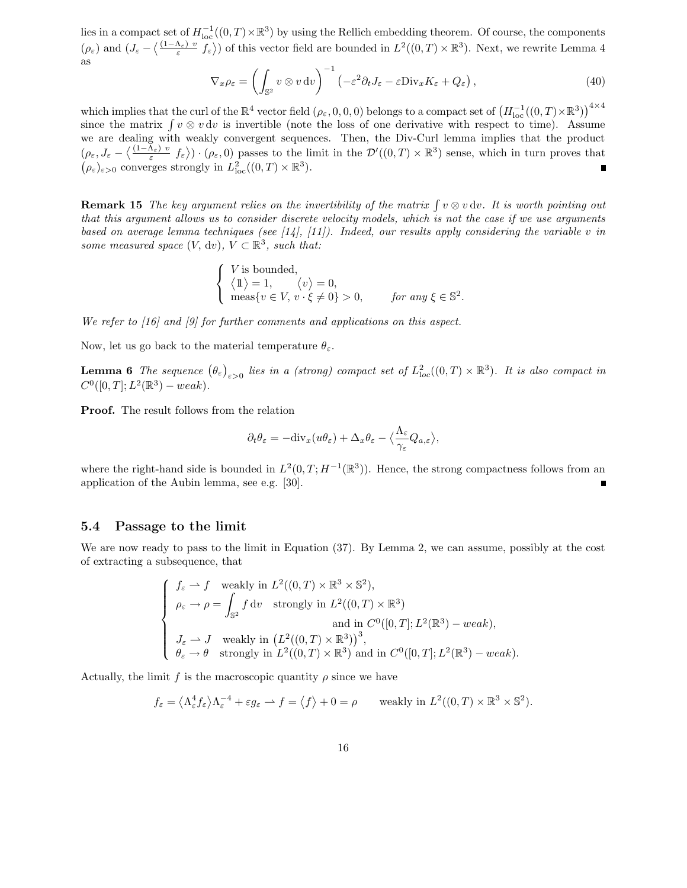lies in a compact set of  $H^{-1}_{loc}((0,T)\times\mathbb{R}^3)$  by using the Rellich embedding theorem. Of course, the components  $(\rho_{\varepsilon})$  and  $(J_{\varepsilon}-\langle \frac{(1-\Lambda_{\varepsilon})v}{\varepsilon}f_{\varepsilon}\rangle)$  of this vector field are bounded in  $L^2((0,T)\times\mathbb{R}^3)$ . Next, we rewrite Lemma 4 as

$$
\nabla_x \rho_{\varepsilon} = \left( \int_{\mathbb{S}^2} v \otimes v \, dv \right)^{-1} \left( -\varepsilon^2 \partial_t J_{\varepsilon} - \varepsilon \text{Div}_x K_{\varepsilon} + Q_{\varepsilon} \right), \tag{40}
$$

which implies that the curl of the  $\mathbb{R}^4$  vector field  $(\rho_{\varepsilon}, 0, 0, 0)$  belongs to a compact set of  $\left(H_{\text{loc}}^{-1}((0, T) \times \mathbb{R}^3)\right)^{4 \times 4}$ since the matrix  $\int v \otimes v \, dv$  is invertible (note the loss of one derivative with respect to time). Assume we are dealing with weakly convergent sequences. Then, the Div-Curl lemma implies that the product  $(\rho_{\varepsilon}, J_{\varepsilon} - \langle \frac{(1-\Lambda_{\varepsilon}) v}{\varepsilon} f_{\varepsilon} \rangle) \cdot (\rho_{\varepsilon}, 0)$  passes to the limit in the  $\mathcal{D}'((0,T) \times \mathbb{R}^3)$  sense, which in turn proves that  $(\rho_{\varepsilon})_{\varepsilon>0}$  converges strongly in  $L^2_{\text{loc}}((0,T)\times \mathbb{R}^3)$ .  $\blacksquare$ 

**Remark 15** The key argument relies on the invertibility of the matrix  $\int v \otimes v \, dv$ . It is worth pointing out that this argument allows us to consider discrete velocity models, which is not the case if we use arguments based on average lemma techniques (see [14], [11]). Indeed, our results apply considering the variable v in some measured space  $(V, dv)$ ,  $V \subset \mathbb{R}^3$ , such that:

$$
\begin{cases} V \text{ is bounded,} \\ \langle 1 \rangle = 1, & \langle v \rangle = 0, \\ \text{meas}\{v \in V, v \cdot \xi \neq 0\} > 0, & \text{for any } \xi \in \mathbb{S}^2. \end{cases}
$$

We refer to [16] and [9] for further comments and applications on this aspect.

Now, let us go back to the material temperature  $\theta_{\varepsilon}$ .

**Lemma 6** The sequence  $(\theta_{\varepsilon})_{\varepsilon>0}$  lies in a (strong) compact set of  $L_{loc}^2((0,T)\times\mathbb{R}^3)$ . It is also compact in  $C^0([0,T];L^2(\mathbb{R}^3) - weak).$ 

Proof. The result follows from the relation

$$
\partial_t \theta_{\varepsilon} = -\mathrm{div}_x(u\theta_{\varepsilon}) + \Delta_x \theta_{\varepsilon} - \langle \frac{\Lambda_{\varepsilon}}{\gamma_{\varepsilon}} Q_{a,\varepsilon} \rangle,
$$

where the right-hand side is bounded in  $L^2(0,T;H^{-1}(\mathbb{R}^3))$ . Hence, the strong compactness follows from an application of the Aubin lemma, see e.g. [30].

#### 5.4 Passage to the limit

We are now ready to pass to the limit in Equation (37). By Lemma 2, we can assume, possibly at the cost of extracting a subsequence, that

$$
\begin{cases}\nf_{\varepsilon} \rightharpoonup f \quad \text{weakly in } L^{2}((0, T) \times \mathbb{R}^{3} \times \mathbb{S}^{2}), \\
\rho_{\varepsilon} \rightharpoonup \rho = \int_{\mathbb{S}^{2}} f \, \mathrm{d}v \quad \text{strongly in } L^{2}((0, T) \times \mathbb{R}^{3}) \\
\quad \text{and in } C^{0}([0, T]; L^{2}(\mathbb{R}^{3}) - weak), \\
J_{\varepsilon} \rightharpoonup J \quad \text{weakly in } (L^{2}((0, T) \times \mathbb{R}^{3}))^{3}, \\
\theta_{\varepsilon} \rightharpoonup \theta \quad \text{strongly in } L^{2}((0, T) \times \mathbb{R}^{3}) \text{ and in } C^{0}([0, T]; L^{2}(\mathbb{R}^{3}) - weak).\n\end{cases}
$$

Actually, the limit f is the macroscopic quantity  $\rho$  since we have

$$
f_{\varepsilon} = \langle \Lambda_{\varepsilon}^4 f_{\varepsilon} \rangle \Lambda_{\varepsilon}^{-4} + \varepsilon g_{\varepsilon} \rightharpoonup f = \langle f \rangle + 0 = \rho \quad \text{ weakly in } L^2((0, T) \times \mathbb{R}^3 \times \mathbb{S}^2).
$$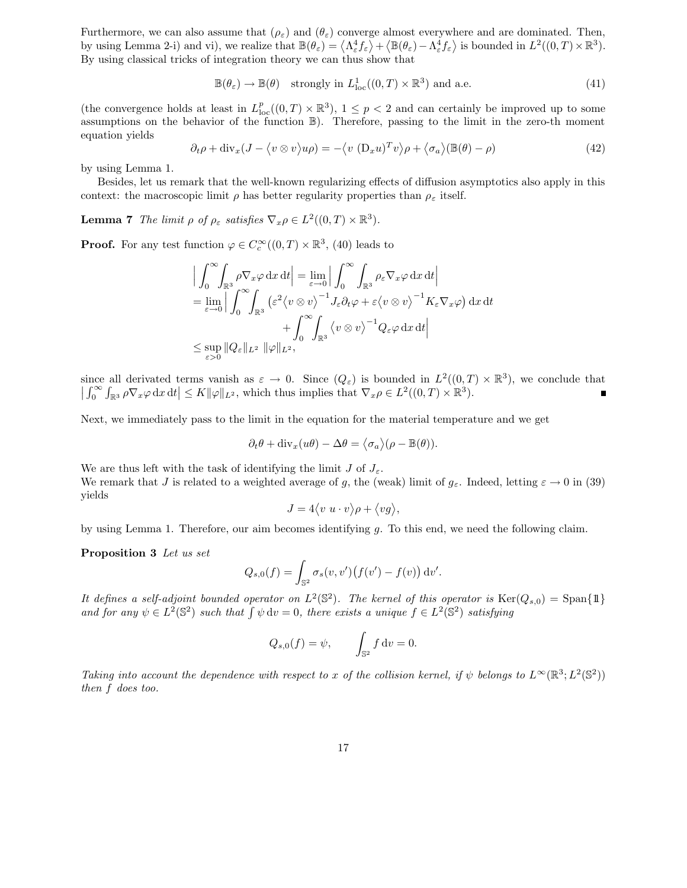Furthermore, we can also assume that  $(\rho_{\varepsilon})$  and  $(\theta_{\varepsilon})$  converge almost everywhere and are dominated. Then, by using Lemma 2-i) and vi), we realize that  $\mathbb{B}(\theta_{\varepsilon}) = \langle \Lambda_{\varepsilon}^4 f_{\varepsilon} \rangle + \langle \mathbb{B}(\theta_{\varepsilon}) - \Lambda_{\varepsilon}^4 f_{\varepsilon} \rangle$  is bounded in  $L^2((0,T) \times \mathbb{R}^3)$ . By using classical tricks of integration theory we can thus show that

$$
\mathbb{B}(\theta_{\varepsilon}) \to \mathbb{B}(\theta) \quad \text{strongly in } L^1_{\text{loc}}((0,T) \times \mathbb{R}^3) \text{ and a.e.}
$$
 (41)

(the convergence holds at least in  $L_{\text{loc}}^p((0,T)\times\mathbb{R}^3)$ ,  $1 \leq p < 2$  and can certainly be improved up to some assumptions on the behavior of the function B). Therefore, passing to the limit in the zero-th moment equation yields

$$
\partial_t \rho + \text{div}_x (J - \langle v \otimes v \rangle u \rho) = -\langle v (D_x u)^T v \rangle \rho + \langle \sigma_a \rangle (\mathbb{B}(\theta) - \rho)
$$
(42)

by using Lemma 1.

Besides, let us remark that the well-known regularizing effects of diffusion asymptotics also apply in this context: the macroscopic limit  $\rho$  has better regularity properties than  $\rho_{\varepsilon}$  itself.

**Lemma 7** The limit  $\rho$  of  $\rho_{\varepsilon}$  satisfies  $\nabla_x \rho \in L^2((0,T) \times \mathbb{R}^3)$ .

**Proof.** For any test function  $\varphi \in C_c^{\infty}((0,T) \times \mathbb{R}^3, (40)$  leads to

$$
\left| \int_0^\infty \int_{\mathbb{R}^3} \rho \nabla_x \varphi \, dx \, dt \right| = \lim_{\varepsilon \to 0} \left| \int_0^\infty \int_{\mathbb{R}^3} \rho_\varepsilon \nabla_x \varphi \, dx \, dt \right|
$$
  
\n=  $\lim_{\varepsilon \to 0} \left| \int_0^\infty \int_{\mathbb{R}^3} (\varepsilon^2 \langle v \otimes v \rangle^{-1} J_\varepsilon \partial_t \varphi + \varepsilon \langle v \otimes v \rangle^{-1} K_\varepsilon \nabla_x \varphi) \, dx \, dt + \int_0^\infty \int_{\mathbb{R}^3} \langle v \otimes v \rangle^{-1} Q_\varepsilon \varphi \, dx \, dt \right|$   
\n $\leq \sup_{\varepsilon > 0} ||Q_\varepsilon||_{L^2} ||\varphi||_{L^2},$ 

since all derivated terms vanish as  $\varepsilon \to 0$ . Since  $(Q_{\varepsilon})$  is bounded in  $L^2((0,T) \times \mathbb{R}^3)$ , we conclude that  $\left| \int_0^\infty \int_{\mathbb{R}^3} \rho \nabla_x \varphi \, dx \, dt \right| \leq K \|\varphi\|_{L^2}$ , which thus implies that  $\nabla_x \rho \in L^2((0,T) \times \mathbb{R}^3)$ .

Next, we immediately pass to the limit in the equation for the material temperature and we get

$$
\partial_t \theta + \mathrm{div}_x(u\theta) - \Delta \theta = \langle \sigma_a \rangle (\rho - \mathbb{B}(\theta)).
$$

We are thus left with the task of identifying the limit  $J$  of  $J_{\varepsilon}$ . We remark that J is related to a weighted average of g, the (weak) limit of  $g_{\varepsilon}$ . Indeed, letting  $\varepsilon \to 0$  in (39) yields

$$
J = 4\langle v \ u \cdot v \rangle \rho + \langle v g \rangle,
$$

by using Lemma 1. Therefore, our aim becomes identifying g. To this end, we need the following claim.

Proposition 3 Let us set

$$
Q_{s,0}(f) = \int_{\mathbb{S}^2} \sigma_s(v,v') \big( f(v') - f(v) \big) \, \mathrm{d}v'.
$$

It defines a self-adjoint bounded operator on  $L^2(\mathbb{S}^2)$ . The kernel of this operator is  $\text{Ker}(Q_{s,0}) = \text{Span}\{\mathbb{1}\}\$ and for any  $\psi \in L^2(\mathbb{S}^2)$  such that  $\int \psi \, dv = 0$ , there exists a unique  $f \in L^2(\mathbb{S}^2)$  satisfying

$$
Q_{s,0}(f) = \psi, \qquad \int_{\mathbb{S}^2} f \, \mathrm{d}v = 0.
$$

Taking into account the dependence with respect to x of the collision kernel, if  $\psi$  belongs to  $L^{\infty}(\mathbb{R}^3; L^2(\mathbb{S}^2))$ then f does too.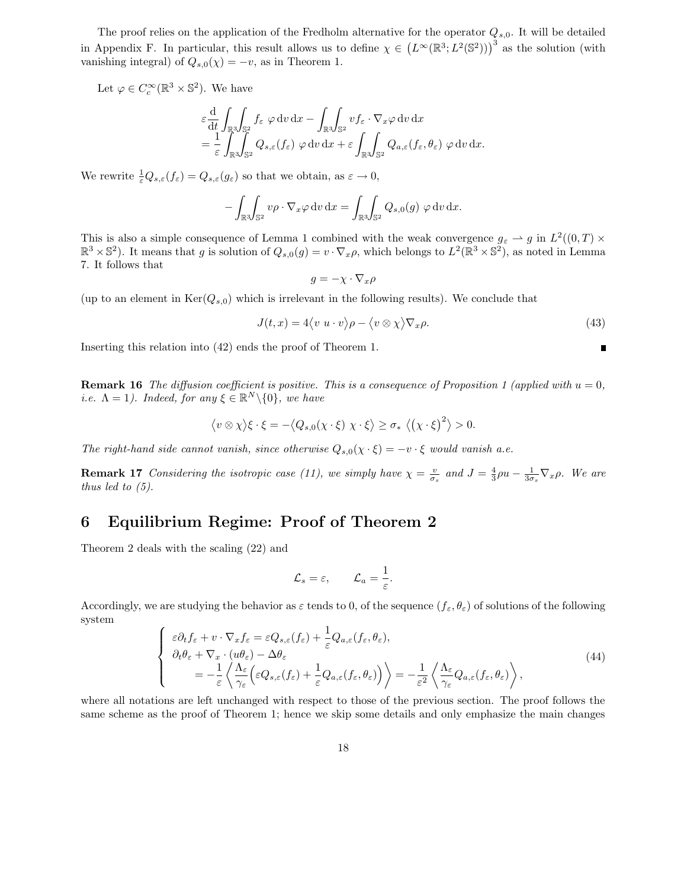The proof relies on the application of the Fredholm alternative for the operator  $Q_{s,0}$ . It will be detailed in Appendix F. In particular, this result allows us to define  $\chi \in (L^{\infty}(\mathbb{R}^3; L^2(\mathbb{S}^2)))^3$  as the solution (with vanishing integral) of  $Q_{s,0}(\chi) = -v$ , as in Theorem 1.

Let  $\varphi \in C_c^{\infty}(\mathbb{R}^3 \times \mathbb{S}^2)$ . We have

$$
\varepsilon \frac{\mathrm{d}}{\mathrm{d}t} \int_{\mathbb{R}^3} \int_{\mathbb{S}^2} f_{\varepsilon} \varphi \, \mathrm{d}v \, \mathrm{d}x - \int_{\mathbb{R}^3} \int_{\mathbb{S}^2} v f_{\varepsilon} \cdot \nabla_x \varphi \, \mathrm{d}v \, \mathrm{d}x \n= \frac{1}{\varepsilon} \int_{\mathbb{R}^3} \int_{\mathbb{S}^2} Q_{s,\varepsilon}(f_{\varepsilon}) \varphi \, \mathrm{d}v \, \mathrm{d}x + \varepsilon \int_{\mathbb{R}^3} \int_{\mathbb{S}^2} Q_{a,\varepsilon}(f_{\varepsilon},\theta_{\varepsilon}) \varphi \, \mathrm{d}v \, \mathrm{d}x.
$$

We rewrite  $\frac{1}{\varepsilon}Q_{s,\varepsilon}(f_{\varepsilon})=Q_{s,\varepsilon}(g_{\varepsilon})$  so that we obtain, as  $\varepsilon \to 0$ ,

$$
-\int_{\mathbb{R}^3}\!\!\int_{\mathbb{S}^2} v\rho \cdot \nabla_x \varphi \,dv \,dx = \int_{\mathbb{R}^3}\!\!\int_{\mathbb{S}^2} Q_{s,0}(g) \varphi \,dv \,dx.
$$

This is also a simple consequence of Lemma 1 combined with the weak convergence  $g_{\varepsilon} \to g$  in  $L^2((0,T) \times$  $\mathbb{R}^3 \times \mathbb{S}^2$ ). It means that g is solution of  $Q_{s,0}(g) = v \cdot \nabla_x \rho$ , which belongs to  $L^2(\mathbb{R}^3 \times \mathbb{S}^2)$ , as noted in Lemma 7. It follows that

$$
g = -\chi \cdot \nabla_x \rho
$$

(up to an element in  $\text{Ker}(Q_{s,0})$  which is irrelevant in the following results). We conclude that

$$
J(t,x) = 4\langle v \ u \cdot v \rangle \rho - \langle v \otimes \chi \rangle \nabla_x \rho. \tag{43}
$$

Inserting this relation into (42) ends the proof of Theorem 1.

**Remark 16** The diffusion coefficient is positive. This is a consequence of Proposition 1 (applied with  $u = 0$ , *i.e.*  $\Lambda = 1$ *).* Indeed, for any  $\xi \in \mathbb{R}^N \setminus \{0\}$ , we have

$$
\langle v \otimes \chi \rangle \xi \cdot \xi = -\langle Q_{s,0}(\chi \cdot \xi) \chi \cdot \xi \rangle \ge \sigma_* \langle (\chi \cdot \xi)^2 \rangle > 0.
$$

The right-hand side cannot vanish, since otherwise  $Q_{s,0}(\chi \cdot \xi) = -v \cdot \xi$  would vanish a.e.

**Remark 17** Considering the isotropic case (11), we simply have  $\chi = \frac{v}{\sigma_s}$  and  $J = \frac{4}{3}\rho u - \frac{1}{3\sigma_s}\nabla_x \rho$ . We are thus led to (5).

## 6 Equilibrium Regime: Proof of Theorem 2

Theorem 2 deals with the scaling (22) and

$$
\mathcal{L}_s = \varepsilon, \qquad \mathcal{L}_a = \frac{1}{\varepsilon}.
$$

Accordingly, we are studying the behavior as  $\varepsilon$  tends to 0, of the sequence  $(f_{\varepsilon}, \theta_{\varepsilon})$  of solutions of the following system

$$
\begin{cases}\n\varepsilon \partial_t f_{\varepsilon} + v \cdot \nabla_x f_{\varepsilon} = \varepsilon Q_{s,\varepsilon}(f_{\varepsilon}) + \frac{1}{\varepsilon} Q_{a,\varepsilon}(f_{\varepsilon}, \theta_{\varepsilon}), \\
\partial_t \theta_{\varepsilon} + \nabla_x \cdot (u\theta_{\varepsilon}) - \Delta \theta_{\varepsilon} \\
= -\frac{1}{\varepsilon} \left\langle \frac{\Lambda_{\varepsilon}}{\gamma_{\varepsilon}} \Big( \varepsilon Q_{s,\varepsilon}(f_{\varepsilon}) + \frac{1}{\varepsilon} Q_{a,\varepsilon}(f_{\varepsilon}, \theta_{\varepsilon}) \Big) \right\rangle = -\frac{1}{\varepsilon^2} \left\langle \frac{\Lambda_{\varepsilon}}{\gamma_{\varepsilon}} Q_{a,\varepsilon}(f_{\varepsilon}, \theta_{\varepsilon}) \right\rangle,\n\end{cases} \tag{44}
$$

where all notations are left unchanged with respect to those of the previous section. The proof follows the same scheme as the proof of Theorem 1; hence we skip some details and only emphasize the main changes

 $\blacksquare$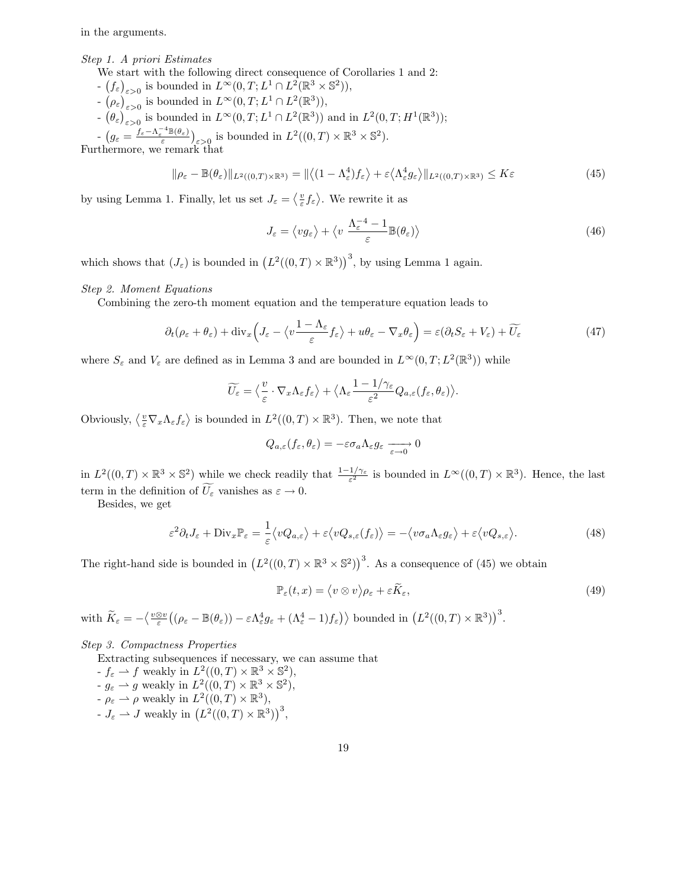in the arguments.

## Step 1. A priori Estimates

- We start with the following direct consequence of Corollaries 1 and 2:
- $(f_{\varepsilon})_{\varepsilon>0}$  is bounded in  $L^{\infty}(0,T; L^{1} \cap L^{2}(\mathbb{R}^{3} \times \mathbb{S}^{2})),$
- $\left( \rho_{\varepsilon} \right)_{\varepsilon > 0}$  is bounded in  $L^{\infty}(0,T; L^{1} \cap L^{2}(\mathbb{R}^{3})),$
- $\left(\theta_{\varepsilon}\right)_{\varepsilon>0}$  is bounded in  $L^{\infty}(0,T; L^{1} \cap L^{2}(\mathbb{R}^{3}))$  and in  $L^{2}(0,T; H^{1}(\mathbb{R}^{3}))$ ;
- $-\left(g_{\varepsilon} = \frac{f_{\varepsilon} \Lambda_{\varepsilon}^{-4} \mathbb{B}(\theta_{\varepsilon})}{\varepsilon}\right)_{\varepsilon > 0}$  is bounded in  $L^2((0,T) \times \mathbb{R}^3 \times \mathbb{S}^2)$ .

Furthermore, we remark that

$$
\|\rho_{\varepsilon} - \mathbb{B}(\theta_{\varepsilon})\|_{L^{2}((0,T)\times\mathbb{R}^{3})} = \|\langle (1 - \Lambda_{\varepsilon}^{4}) f_{\varepsilon} \rangle + \varepsilon \langle \Lambda_{\varepsilon}^{4} g_{\varepsilon} \rangle \|_{L^{2}((0,T)\times\mathbb{R}^{3})} \le K\varepsilon
$$
\n(45)

by using Lemma 1. Finally, let us set  $J_{\varepsilon} = \langle \frac{v}{\varepsilon} f_{\varepsilon} \rangle$ . We rewrite it as

$$
J_{\varepsilon} = \langle v g_{\varepsilon} \rangle + \langle v \frac{\Lambda_{\varepsilon}^{-4} - 1}{\varepsilon} \mathbb{B}(\theta_{\varepsilon}) \rangle \tag{46}
$$

which shows that  $(J_{\varepsilon})$  is bounded in  $(L^2((0,T)\times\mathbb{R}^3))$ <sup>3</sup>, by using Lemma 1 again.

#### Step 2. Moment Equations

Combining the zero-th moment equation and the temperature equation leads to

$$
\partial_t (\rho_\varepsilon + \theta_\varepsilon) + \text{div}_x \left( J_\varepsilon - \langle v \frac{1 - \Lambda_\varepsilon}{\varepsilon} f_\varepsilon \rangle + u \theta_\varepsilon - \nabla_x \theta_\varepsilon \right) = \varepsilon (\partial_t S_\varepsilon + V_\varepsilon) + \widetilde{U_\varepsilon}
$$
(47)

where  $S_{\varepsilon}$  and  $V_{\varepsilon}$  are defined as in Lemma 3 and are bounded in  $L^{\infty}(0,T; L^{2}(\mathbb{R}^{3}))$  while

$$
\widetilde{U_{\varepsilon}} = \left\langle \frac{v}{\varepsilon} \cdot \nabla_x \Lambda_{\varepsilon} f_{\varepsilon} \right\rangle + \left\langle \Lambda_{\varepsilon} \frac{1 - 1/\gamma_{\varepsilon}}{\varepsilon^2} Q_{a,\varepsilon}(f_{\varepsilon}, \theta_{\varepsilon}) \right\rangle.
$$

Obviously,  $\langle \frac{v}{\varepsilon} \nabla_x \Lambda_{\varepsilon} f_{\varepsilon} \rangle$  is bounded in  $L^2((0,T) \times \mathbb{R}^3)$ . Then, we note that

$$
Q_{a,\varepsilon}(f_{\varepsilon},\theta_{\varepsilon})=-\varepsilon\sigma_a\Lambda_{\varepsilon}g_{\varepsilon}\xrightarrow[\varepsilon\to 0]{}0
$$

in  $L^2((0,T)\times\mathbb{R}^3\times\mathbb{S}^2)$  while we check readily that  $\frac{1-1/\gamma_{\varepsilon}}{\varepsilon^2}$  is bounded in  $L^{\infty}((0,T)\times\mathbb{R}^3)$ . Hence, the last term in the definition of  $\widetilde{U_{\varepsilon}}$  vanishes as  $\varepsilon \to 0$ .

Besides, we get

$$
\varepsilon^2 \partial_t J_\varepsilon + \text{Div}_x \mathbb{P}_\varepsilon = \frac{1}{\varepsilon} \langle vQ_{a,\varepsilon} \rangle + \varepsilon \langle vQ_{s,\varepsilon}(f_\varepsilon) \rangle = -\langle v\sigma_a \Lambda_\varepsilon g_\varepsilon \rangle + \varepsilon \langle vQ_{s,\varepsilon} \rangle. \tag{48}
$$

The right-hand side is bounded in  $(L^2((0,T)\times\mathbb{R}^3\times\mathbb{S}^2))^3$ . As a consequence of (45) we obtain

$$
\mathbb{P}_{\varepsilon}(t,x) = \langle v \otimes v \rangle \rho_{\varepsilon} + \varepsilon \widetilde{K}_{\varepsilon},\tag{49}
$$

with  $\widetilde{K}_{\varepsilon} = -\left\langle \frac{v \otimes v}{\varepsilon} \left( (\rho_{\varepsilon} - \mathbb{B}(\theta_{\varepsilon})) - \varepsilon \Lambda_{\varepsilon}^4 g_{\varepsilon} + (\Lambda_{\varepsilon}^4 - 1) f_{\varepsilon} \right) \right\rangle$  bounded in  $(L^2((0, T) \times \mathbb{R}^3))$ <sup>3</sup>.

#### Step 3. Compactness Properties

Extracting subsequences if necessary, we can assume that

- $-f_{\varepsilon} \rightharpoonup f$  weakly in  $L^2((0,T) \times \mathbb{R}^3 \times \mathbb{S}^2)$ ,
- $-g_{\varepsilon} \rightharpoonup g$  weakly in  $L^2((0,T) \times \mathbb{R}^3 \times \mathbb{S}^2),$
- $-\rho_{\varepsilon} \rightharpoonup \rho$  weakly in  $L^2((0,T) \times \mathbb{R}^3)$ ,
- $J_{\varepsilon} \rightharpoonup J$  weakly in  $(L^2((0,T) \times \mathbb{R}^3))^3$ ,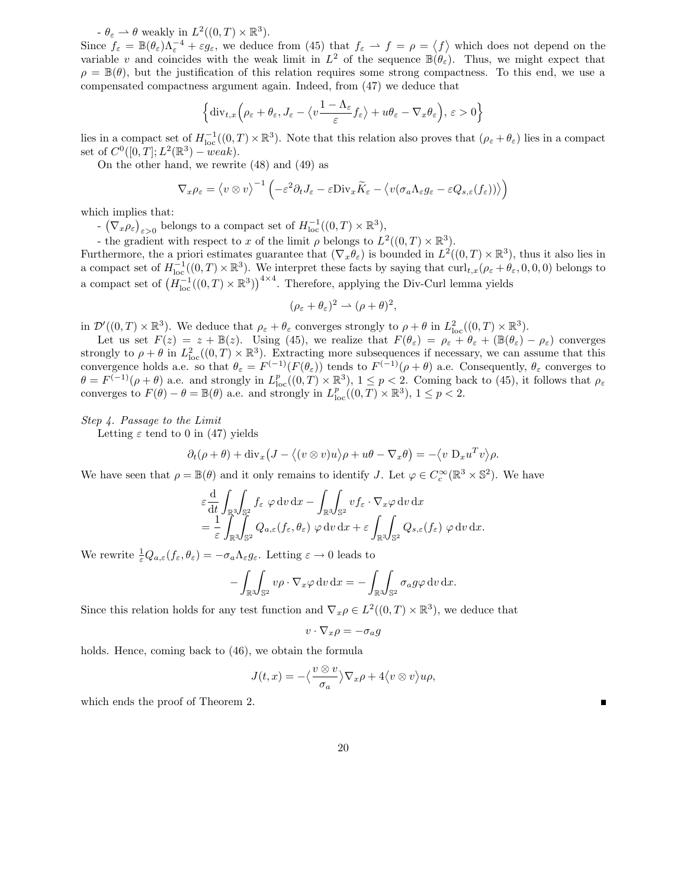$-\theta_{\varepsilon} \rightharpoonup \theta$  weakly in  $L^2((0,T) \times \mathbb{R}^3)$ .

Since  $f_{\varepsilon} = \mathbb{B}(\theta_{\varepsilon})\Lambda_{\varepsilon}^{-4} + \varepsilon g_{\varepsilon}$ , we deduce from (45) that  $f_{\varepsilon} \to f = \rho = \langle f \rangle$  which does not depend on the variable v and coincides with the weak limit in  $L^2$  of the sequence  $\mathbb{B}(\theta_\varepsilon)$ . Thus, we might expect that  $\rho = \mathbb{B}(\theta)$ , but the justification of this relation requires some strong compactness. To this end, we use a compensated compactness argument again. Indeed, from (47) we deduce that

$$
\left\{ \mathrm{div}_{t,x} \left( \rho_{\varepsilon} + \theta_{\varepsilon}, J_{\varepsilon} - \left\langle v \frac{1 - \Lambda_{\varepsilon}}{\varepsilon} f_{\varepsilon} \right\rangle + u \theta_{\varepsilon} - \nabla_x \theta_{\varepsilon} \right), \, \varepsilon > 0 \right\}
$$

lies in a compact set of  $H^{-1}_{loc}((0,T)\times\mathbb{R}^3)$ . Note that this relation also proves that  $(\rho_{\varepsilon}+\theta_{\varepsilon})$  lies in a compact set of  $C^0([0, T]; L^2(\mathbb{R}^3) - weak)$ .

On the other hand, we rewrite (48) and (49) as

$$
\nabla_x \rho_{\varepsilon} = \langle v \otimes v \rangle^{-1} \left( -\varepsilon^2 \partial_t J_{\varepsilon} - \varepsilon \text{Div}_x \widetilde{K}_{\varepsilon} - \langle v(\sigma_a \Lambda_{\varepsilon} g_{\varepsilon} - \varepsilon Q_{s,\varepsilon}(f_{\varepsilon})) \rangle \right)
$$

which implies that:

-  $(\nabla_x \rho_{\varepsilon})_{\varepsilon > 0}$  belongs to a compact set of  $H^{-1}_{loc}((0,T) \times \mathbb{R}^3)$ ,

- the gradient with respect to x of the limit  $\rho$  belongs to  $L^2((0,T) \times \mathbb{R}^3)$ .

Furthermore, the a priori estimates guarantee that  $(\nabla_x \theta_\varepsilon)$  is bounded in  $L^2((0,T) \times \mathbb{R}^3)$ , thus it also lies in a compact set of  $H^{-1}_{loc}((0,T)\times\mathbb{R}^3)$ . We interpret these facts by saying that  $\text{curl}_{t,x}(\rho_{\varepsilon}+\theta_{\varepsilon},0,0,0)$  belongs to a compact set of  $(H_{\text{loc}}^{-1}((0,T)\times\mathbb{R}^3))^{4\times4}$ . Therefore, applying the Div-Curl lemma yields

$$
(\rho_{\varepsilon} + \theta_{\varepsilon})^2 \rightharpoonup (\rho + \theta)^2,
$$

in  $\mathcal{D}'((0,T)\times\mathbb{R}^3)$ . We deduce that  $\rho_{\varepsilon}+\theta_{\varepsilon}$  converges strongly to  $\rho+\theta$  in  $L^2_{\text{loc}}((0,T)\times\mathbb{R}^3)$ .

Let us set  $F(z) = z + \mathbb{B}(z)$ . Using (45), we realize that  $F(\theta_{\varepsilon}) = \rho_{\varepsilon} + \theta_{\varepsilon} + (\mathbb{B}(\theta_{\varepsilon}) - \rho_{\varepsilon})$  converges strongly to  $\rho + \theta$  in  $L^2_{loc}((0,T) \times \mathbb{R}^3)$ . Extracting more subsequences if necessary, we can assume that this convergence holds a.e. so that  $\theta_{\varepsilon} = F^{(-1)}(F(\theta_{\varepsilon}))$  tends to  $F^{(-1)}(\rho + \theta)$  a.e. Consequently,  $\theta_{\varepsilon}$  converges to  $\theta = F^{(-1)}(\rho + \theta)$  a.e. and strongly in  $L_{loc}^p((0,T) \times \mathbb{R}^3)$ ,  $1 \leq p < 2$ . Coming back to (45), it follows that  $\rho_{\varepsilon}$ converges to  $F(\theta) - \theta = \mathbb{B}(\theta)$  a.e. and strongly in  $L^p_{loc}((0,T) \times \mathbb{R}^3)$ ,  $1 \le p < 2$ .

#### Step 4. Passage to the Limit

Letting  $\varepsilon$  tend to 0 in (47) yields

$$
\partial_t(\rho+\theta) + \mathrm{div}_x (J - \langle (v \otimes v)u \rangle \rho + u\theta - \nabla_x \theta \rangle = -\langle v \ D_x u^T v \rangle \rho.
$$

We have seen that  $\rho = \mathbb{B}(\theta)$  and it only remains to identify J. Let  $\varphi \in C_c^{\infty}(\mathbb{R}^3 \times \mathbb{S}^2)$ . We have

$$
\varepsilon \frac{\mathrm{d}}{\mathrm{d}t} \int_{\mathbb{R}^3} \int_{\mathbb{S}^2} f_{\varepsilon} \varphi \, \mathrm{d}v \, \mathrm{d}x - \int_{\mathbb{R}^3} \int_{\mathbb{S}^2} v f_{\varepsilon} \cdot \nabla_x \varphi \, \mathrm{d}v \, \mathrm{d}x \n= \frac{1}{\varepsilon} \int_{\mathbb{R}^3} \int_{\mathbb{S}^2} Q_{a,\varepsilon}(f_{\varepsilon}, \theta_{\varepsilon}) \varphi \, \mathrm{d}v \, \mathrm{d}x + \varepsilon \int_{\mathbb{R}^3} \int_{\mathbb{S}^2} Q_{s,\varepsilon}(f_{\varepsilon}) \varphi \, \mathrm{d}v \, \mathrm{d}x.
$$

We rewrite  $\frac{1}{\varepsilon}Q_{a,\varepsilon}(f_{\varepsilon},\theta_{\varepsilon})=-\sigma_a\Lambda_{\varepsilon}g_{\varepsilon}$ . Letting  $\varepsilon\to 0$  leads to

$$
-\int_{\mathbb{R}^3}\!\!\int_{\mathbb{S}^2} v\rho \cdot \nabla_x \varphi \,dv \,dx = -\int_{\mathbb{R}^3}\!\!\int_{\mathbb{S}^2} \sigma_a g \varphi \,dv \,dx.
$$

Since this relation holds for any test function and  $\nabla_x \rho \in L^2((0,T) \times \mathbb{R}^3)$ , we deduce that

$$
v\cdot\nabla_x\rho=-\sigma_a g
$$

holds. Hence, coming back to  $(46)$ , we obtain the formula

$$
J(t,x) = -\langle \frac{v \otimes v}{\sigma_a} \rangle \nabla_x \rho + 4 \langle v \otimes v \rangle u \rho,
$$

which ends the proof of Theorem 2.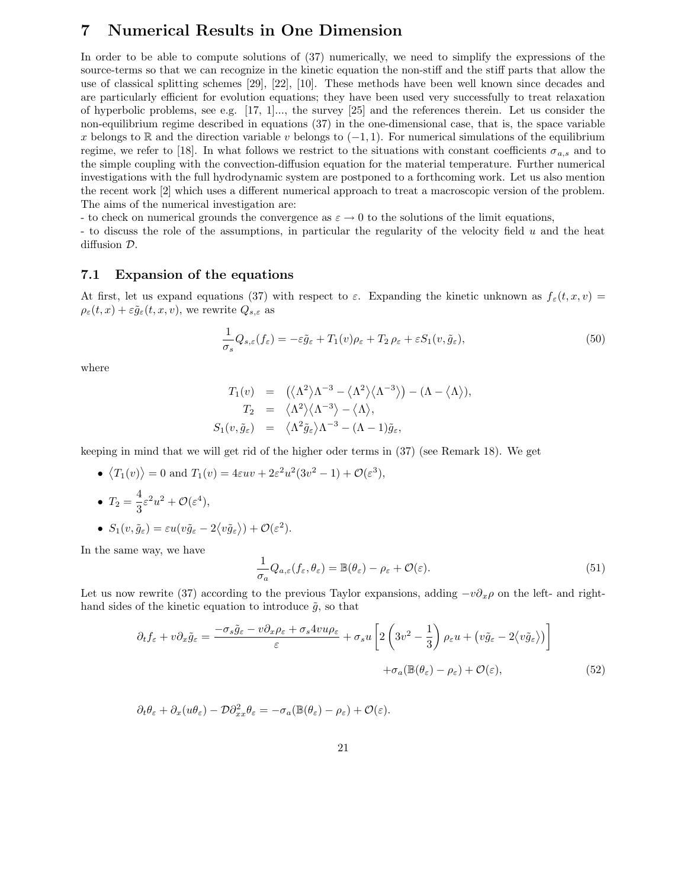## 7 Numerical Results in One Dimension

In order to be able to compute solutions of (37) numerically, we need to simplify the expressions of the source-terms so that we can recognize in the kinetic equation the non-stiff and the stiff parts that allow the use of classical splitting schemes [29], [22], [10]. These methods have been well known since decades and are particularly efficient for evolution equations; they have been used very successfully to treat relaxation of hyperbolic problems, see e.g. [17, 1]..., the survey [25] and the references therein. Let us consider the non-equilibrium regime described in equations (37) in the one-dimensional case, that is, the space variable x belongs to R and the direction variable v belongs to  $(-1, 1)$ . For numerical simulations of the equilibrium regime, we refer to [18]. In what follows we restrict to the situations with constant coefficients  $\sigma_{a,s}$  and to the simple coupling with the convection-diffusion equation for the material temperature. Further numerical investigations with the full hydrodynamic system are postponed to a forthcoming work. Let us also mention the recent work [2] which uses a different numerical approach to treat a macroscopic version of the problem. The aims of the numerical investigation are:

- to check on numerical grounds the convergence as  $\varepsilon \to 0$  to the solutions of the limit equations,

- to discuss the role of the assumptions, in particular the regularity of the velocity field u and the heat diffusion D.

### 7.1 Expansion of the equations

At first, let us expand equations (37) with respect to  $\varepsilon$ . Expanding the kinetic unknown as  $f_{\varepsilon}(t, x, v)$  =  $\rho_{\varepsilon}(t,x) + \varepsilon \tilde{g}_{\varepsilon}(t,x,v)$ , we rewrite  $Q_{s,\varepsilon}$  as

$$
\frac{1}{\sigma_s} Q_{s,\varepsilon}(f_\varepsilon) = -\varepsilon \tilde{g}_\varepsilon + T_1(v)\rho_\varepsilon + T_2 \rho_\varepsilon + \varepsilon S_1(v, \tilde{g}_\varepsilon),\tag{50}
$$

where

$$
T_1(v) = (\langle \Lambda^2 \rangle \Lambda^{-3} - \langle \Lambda^2 \rangle \langle \Lambda^{-3} \rangle) - (\Lambda - \langle \Lambda \rangle),
$$
  
\n
$$
T_2 = \langle \Lambda^2 \rangle \langle \Lambda^{-3} \rangle - \langle \Lambda \rangle,
$$
  
\n
$$
S_1(v, \tilde{g}_{\varepsilon}) = \langle \Lambda^2 \tilde{g}_{\varepsilon} \rangle \Lambda^{-3} - (\Lambda - 1) \tilde{g}_{\varepsilon},
$$

keeping in mind that we will get rid of the higher oder terms in (37) (see Remark 18). We get

- $\langle T_1(v) \rangle = 0$  and  $T_1(v) = 4\varepsilon uv + 2\varepsilon^2 u^2 (3v^2 1) + \mathcal{O}(\varepsilon^3)$ , •  $T_2 = \frac{4}{3}$  $\frac{1}{3}\varepsilon^2u^2+\mathcal{O}(\varepsilon^4),$
- $S_1(v, \tilde{g}_{\varepsilon}) = \varepsilon u(v\tilde{g}_{\varepsilon} 2\langle v\tilde{g}_{\varepsilon}\rangle) + \mathcal{O}(\varepsilon^2).$

In the same way, we have

$$
\frac{1}{\sigma_a} Q_{a,\varepsilon}(f_\varepsilon, \theta_\varepsilon) = \mathbb{B}(\theta_\varepsilon) - \rho_\varepsilon + \mathcal{O}(\varepsilon).
$$
\n(51)

Let us now rewrite (37) according to the previous Taylor expansions, adding  $-v\partial_x \rho$  on the left- and righthand sides of the kinetic equation to introduce  $\tilde{q}$ , so that

$$
\partial_t f_{\varepsilon} + v \partial_x \tilde{g}_{\varepsilon} = \frac{-\sigma_s \tilde{g}_{\varepsilon} - v \partial_x \rho_{\varepsilon} + \sigma_s 4v u \rho_{\varepsilon}}{\varepsilon} + \sigma_s u \left[ 2 \left( 3v^2 - \frac{1}{3} \right) \rho_{\varepsilon} u + \left( v \tilde{g}_{\varepsilon} - 2 \langle v \tilde{g}_{\varepsilon} \rangle \right) \right] + \sigma_a (\mathbb{B}(\theta_{\varepsilon}) - \rho_{\varepsilon}) + \mathcal{O}(\varepsilon), \tag{52}
$$

$$
\partial_t \theta_{\varepsilon} + \partial_x (u \theta_{\varepsilon}) - \mathcal{D} \partial_{xx}^2 \theta_{\varepsilon} = -\sigma_a (\mathbb{B}(\theta_{\varepsilon}) - \rho_{\varepsilon}) + \mathcal{O}(\varepsilon).
$$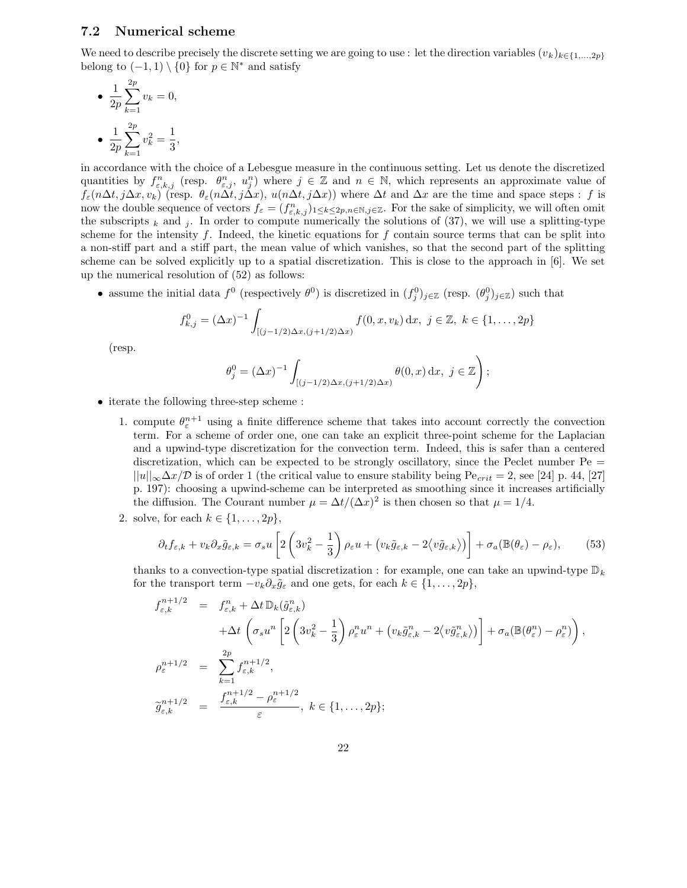### 7.2 Numerical scheme

We need to describe precisely the discrete setting we are going to use : let the direction variables  $(v_k)_{k\in\{1,\ldots,2p\}}$ belong to  $(-1,1) \setminus \{0\}$  for  $p \in \mathbb{N}^*$  and satisfy

• 
$$
\frac{1}{2p} \sum_{k=1}^{2p} v_k = 0,
$$
  
\n•  $\frac{1}{2p} \sum_{k=1}^{2p} v_k^2 = \frac{1}{3},$ 

in accordance with the choice of a Lebesgue measure in the continuous setting. Let us denote the discretized quantities by  $f_{\varepsilon,k,j}^n$  (resp.  $\theta_{\varepsilon,j}^n$ ,  $u_j^n$ ) where  $j \in \mathbb{Z}$  and  $n \in \mathbb{N}$ , which represents an approximate value of  $\int_{\varepsilon}$ (n∆t, j∆x, v<sub>k</sub>) (resp.  $\theta_{\varepsilon}$ (n $\Delta t$ , j $\Delta x$ ), u(n $\Delta t$ , j $\Delta x$ )) where  $\Delta t$  and  $\Delta x$  are the time and space steps : f is now the double sequence of vectors  $f_{\varepsilon} = (f_{\varepsilon,k,j}^n)_{1 \leq k \leq 2p, n \in \mathbb{N}, j \in \mathbb{Z}}$ . For the sake of simplicity, we will often omit the subscripts  $_k$  and j. In order to compute numerically the solutions of (37), we will use a splitting-type scheme for the intensity  $f$ . Indeed, the kinetic equations for  $f$  contain source terms that can be split into a non-stiff part and a stiff part, the mean value of which vanishes, so that the second part of the splitting scheme can be solved explicitly up to a spatial discretization. This is close to the approach in [6]. We set up the numerical resolution of (52) as follows:

• assume the initial data  $f^0$  (respectively  $\theta^0$ ) is discretized in  $(f_j^0)_{j\in\mathbb{Z}}$  (resp.  $(\theta_j^0)_{j\in\mathbb{Z}}$ ) such that

$$
f_{k,j}^0 = (\Delta x)^{-1} \int_{[(j-1/2)\Delta x, (j+1/2)\Delta x)} f(0, x, v_k) \, dx, \ j \in \mathbb{Z}, \ k \in \{1, \dots, 2p\}
$$

(resp.

$$
\theta_j^0 = (\Delta x)^{-1} \int_{[(j-1/2)\Delta x, (j+1/2)\Delta x)} \theta(0, x) \, dx, \ j \in \mathbb{Z} \Bigg);
$$

- iterate the following three-step scheme :
	- 1. compute  $\theta_{\varepsilon}^{n+1}$  using a finite difference scheme that takes into account correctly the convection term. For a scheme of order one, one can take an explicit three-point scheme for the Laplacian and a upwind-type discretization for the convection term. Indeed, this is safer than a centered discretization, which can be expected to be strongly oscillatory, since the Peclet number Pe =  $||u||_{\infty} \Delta x/\mathcal{D}$  is of order 1 (the critical value to ensure stability being Pe<sub>crit</sub> = 2, see [24] p. 44, [27] p. 197): choosing a upwind-scheme can be interpreted as smoothing since it increases artificially the diffusion. The Courant number  $\mu = \Delta t/(\Delta x)^2$  is then chosen so that  $\mu = 1/4$ .
	- 2. solve, for each  $k \in \{1, \ldots, 2p\},\$

$$
\partial_t f_{\varepsilon,k} + v_k \partial_x \tilde{g}_{\varepsilon,k} = \sigma_s u \left[ 2 \left( 3v_k^2 - \frac{1}{3} \right) \rho_\varepsilon u + \left( v_k \tilde{g}_{\varepsilon,k} - 2 \langle v \tilde{g}_{\varepsilon,k} \rangle \right) \right] + \sigma_a (\mathbb{B}(\theta_\varepsilon) - \rho_\varepsilon), \tag{53}
$$

thanks to a convection-type spatial discretization : for example, one can take an upwind-type  $\mathbb{D}_k$ for the transport term  $-v_k\partial_x\tilde{g}_{\varepsilon}$  and one gets, for each  $k \in \{1, \ldots, 2p\}$ ,

$$
f_{\varepsilon,k}^{n+1/2} = f_{\varepsilon,k}^n + \Delta t \, \mathbb{D}_k(\tilde{g}_{\varepsilon,k}^n)
$$
  
\n
$$
+ \Delta t \left( \sigma_s u^n \left[ 2 \left( 3v_k^2 - \frac{1}{3} \right) \rho_{\varepsilon}^n u^n + \left( v_k \tilde{g}_{\varepsilon,k}^n - 2 \langle v \tilde{g}_{\varepsilon,k}^n \rangle \right) \right] + \sigma_a(\mathbb{B}(\theta_{\varepsilon}^n) - \rho_{\varepsilon}^n) \right),
$$
  
\n
$$
\rho_{\varepsilon}^{n+1/2} = \sum_{k=1}^{2p} f_{\varepsilon,k}^{n+1/2},
$$
  
\n
$$
\tilde{g}_{\varepsilon,k}^{n+1/2} = \frac{f_{\varepsilon,k}^{n+1/2} - \rho_{\varepsilon}^{n+1/2}}{\varepsilon}, \ k \in \{1, ..., 2p\};
$$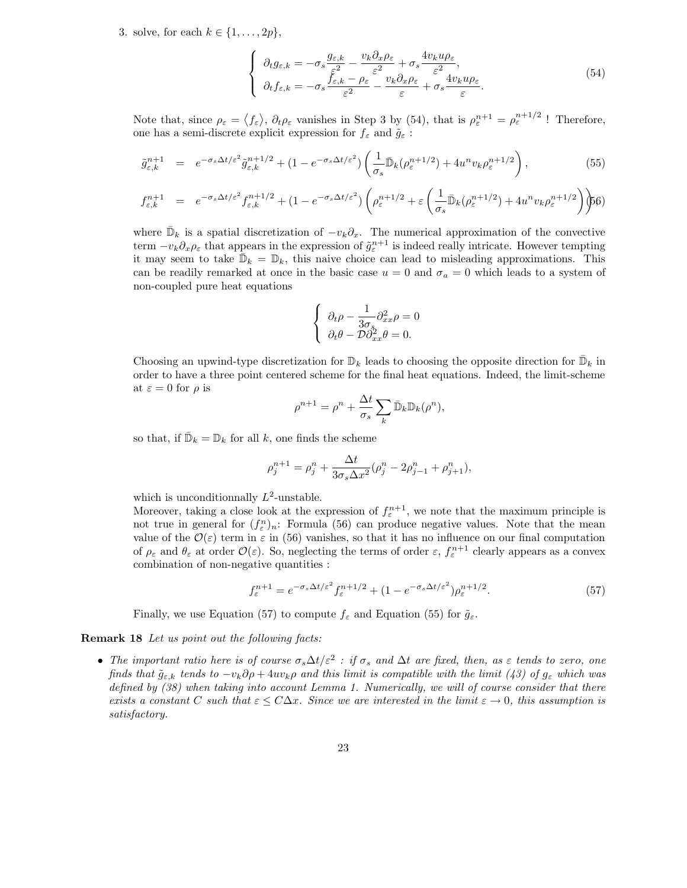3. solve, for each  $k \in \{1, \ldots, 2p\},\$ 

$$
\begin{cases}\n\partial_t g_{\varepsilon,k} = -\sigma_s \frac{g_{\varepsilon,k}}{\varepsilon^2} - \frac{v_k \partial_x \rho_{\varepsilon}}{\varepsilon^2} + \sigma_s \frac{4v_k u \rho_{\varepsilon}}{\varepsilon^2}, \\
\partial_t f_{\varepsilon,k} = -\sigma_s \frac{f_{\varepsilon,k} - \rho_{\varepsilon}}{\varepsilon^2} - \frac{v_k \partial_x \rho_{\varepsilon}}{\varepsilon} + \sigma_s \frac{4v_k u \rho_{\varepsilon}}{\varepsilon}.\n\end{cases}
$$
\n(54)

Note that, since  $\rho_{\varepsilon} = \langle f_{\varepsilon} \rangle$ ,  $\partial_t \rho_{\varepsilon}$  vanishes in Step 3 by (54), that is  $\rho_{\varepsilon}^{n+1} = \rho_{\varepsilon}^{n+1/2}$ ! Therefore, one has a semi-discrete explicit expression for  $f_{\varepsilon}$  and  $\tilde{g}_{\varepsilon}$ :

$$
\tilde{g}_{\varepsilon,k}^{n+1} = e^{-\sigma_s \Delta t/\varepsilon^2} \tilde{g}_{\varepsilon,k}^{n+1/2} + (1 - e^{-\sigma_s \Delta t/\varepsilon^2}) \left( \frac{1}{\sigma_s} \bar{\mathbb{D}}_k (\rho_{\varepsilon}^{n+1/2}) + 4u^n v_k \rho_{\varepsilon}^{n+1/2} \right),\tag{55}
$$

$$
f_{\varepsilon,k}^{n+1} = e^{-\sigma_s \Delta t/\varepsilon^2} f_{\varepsilon,k}^{n+1/2} + (1 - e^{-\sigma_s \Delta t/\varepsilon^2}) \left( \rho_{\varepsilon}^{n+1/2} + \varepsilon \left( \frac{1}{\sigma_s} \bar{\mathbb{D}}_k (\rho_{\varepsilon}^{n+1/2}) + 4u^n v_k \rho_{\varepsilon}^{n+1/2} \right) \right)
$$

where  $\bar{\mathbb{D}}_k$  is a spatial discretization of  $-v_k\partial_x$ . The numerical approximation of the convective term  $-v_k\partial_x\rho_{\varepsilon}$  that appears in the expression of  $\tilde{g}_{\varepsilon}^{n+1}$  is indeed really intricate. However tempting it may seem to take  $\bar{\mathbb{D}}_k = \mathbb{D}_k$ , this naive choice can lead to misleading approximations. This can be readily remarked at once in the basic case  $u = 0$  and  $\sigma_a = 0$  which leads to a system of non-coupled pure heat equations

$$
\label{eq:1D20} \left\{ \begin{array}{l} \partial_t \rho - \frac{1}{3\sigma_s} \partial^2_{xx} \rho = 0 \\ \partial_t \theta - \mathcal{D} \partial^2_{xx} \theta = 0. \end{array} \right.
$$

Choosing an upwind-type discretization for  $\mathbb{D}_k$  leads to choosing the opposite direction for  $\bar{\mathbb{D}}_k$  in order to have a three point centered scheme for the final heat equations. Indeed, the limit-scheme at  $\varepsilon = 0$  for  $\rho$  is

$$
\rho^{n+1} = \rho^n + \frac{\Delta t}{\sigma_s} \sum_k \bar{\mathbb{D}}_k \mathbb{D}_k(\rho^n),
$$

so that, if  $\bar{\mathbb{D}}_k = \mathbb{D}_k$  for all  $k$ , one finds the scheme

$$
\rho_j^{n+1} = \rho_j^n + \frac{\Delta t}{3\sigma_s \Delta x^2} (\rho_j^n - 2\rho_{j-1}^n + \rho_{j+1}^n),
$$

which is unconditionnally  $L^2$ -unstable.

Moreover, taking a close look at the expression of  $f_{\varepsilon}^{n+1}$ , we note that the maximum principle is not true in general for  $(f_{\varepsilon}^n)_n$ : Formula (56) can produce negative values. Note that the mean value of the  $\mathcal{O}(\varepsilon)$  term in  $\varepsilon$  in (56) vanishes, so that it has no influence on our final computation of  $\rho_{\varepsilon}$  and  $\theta_{\varepsilon}$  at order  $\mathcal{O}(\varepsilon)$ . So, neglecting the terms of order  $\varepsilon$ ,  $f_{\varepsilon}^{n+1}$  clearly appears as a convex combination of non-negative quantities :

$$
f_{\varepsilon}^{n+1} = e^{-\sigma_s \Delta t/\varepsilon^2} f_{\varepsilon}^{n+1/2} + (1 - e^{-\sigma_s \Delta t/\varepsilon^2}) \rho_{\varepsilon}^{n+1/2}.
$$
 (57)

Finally, we use Equation (57) to compute  $f_{\varepsilon}$  and Equation (55) for  $\tilde{g}_{\varepsilon}$ .

Remark 18 Let us point out the following facts:

• The important ratio here is of course  $\sigma_s \Delta t/\varepsilon^2$ : if  $\sigma_s$  and  $\Delta t$  are fixed, then, as  $\varepsilon$  tends to zero, one finds that  $\tilde{g}_{\varepsilon,k}$  tends to  $-v_k\partial\rho + 4uv_k\rho$  and this limit is compatible with the limit (43) of  $g_{\varepsilon}$  which was defined by (38) when taking into account Lemma 1. Numerically, we will of course consider that there exists a constant C such that  $\varepsilon \le C\Delta x$ . Since we are interested in the limit  $\varepsilon \to 0$ , this assumption is satisfactory.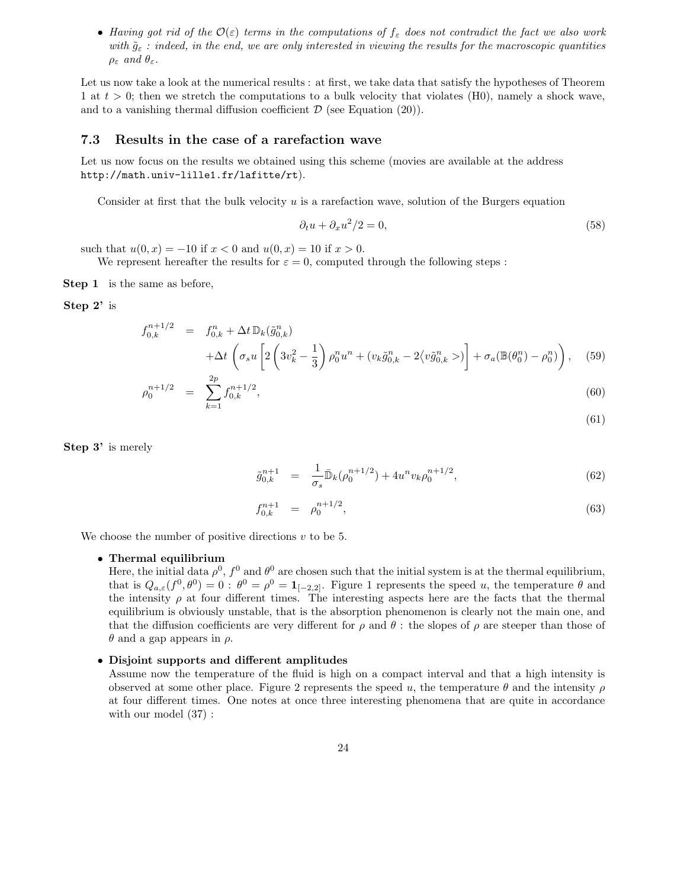• Having got rid of the  $\mathcal{O}(\varepsilon)$  terms in the computations of  $f_{\varepsilon}$  does not contradict the fact we also work with  $\tilde{g}_{\varepsilon}$ : indeed, in the end, we are only interested in viewing the results for the macroscopic quantities  $\rho_{\varepsilon}$  and  $\theta_{\varepsilon}$ .

Let us now take a look at the numerical results : at first, we take data that satisfy the hypotheses of Theorem 1 at  $t > 0$ ; then we stretch the computations to a bulk velocity that violates (H0), namely a shock wave, and to a vanishing thermal diffusion coefficient  $\mathcal D$  (see Equation (20)).

### 7.3 Results in the case of a rarefaction wave

Let us now focus on the results we obtained using this scheme (movies are available at the address http://math.univ-lille1.fr/lafitte/rt).

Consider at first that the bulk velocity  $u$  is a rarefaction wave, solution of the Burgers equation

$$
\partial_t u + \partial_x u^2 / 2 = 0,\tag{58}
$$

such that  $u(0, x) = -10$  if  $x < 0$  and  $u(0, x) = 10$  if  $x > 0$ .

We represent hereafter the results for  $\varepsilon = 0$ , computed through the following steps :

Step 1 is the same as before,

#### Step 2' is

$$
f_{0,k}^{n+1/2} = f_{0,k}^{n} + \Delta t \, \mathbb{D}_k(\tilde{g}_{0,k}^n)
$$
  
 
$$
+ \Delta t \left( \sigma_s u \left[ 2 \left( 3v_k^2 - \frac{1}{3} \right) \rho_0^n u^n + (v_k \tilde{g}_{0,k}^n - 2 \langle v \tilde{g}_{0,k}^n \rangle) \right] + \sigma_a(\mathbb{B}(\theta_0^n) - \rho_0^n) \right), \quad (59)
$$

$$
\rho_0^{n+1/2} = \sum_{k=1}^{2p} f_{0,k}^{n+1/2},\tag{60}
$$

$$
(61)
$$

Step 3' is merely

$$
\tilde{g}_{0,k}^{n+1} = \frac{1}{\sigma_s} \bar{\mathbb{D}}_k (\rho_0^{n+1/2}) + 4u^n v_k \rho_0^{n+1/2}, \qquad (62)
$$

$$
f_{0,k}^{n+1} = \rho_0^{n+1/2}, \tag{63}
$$

We choose the number of positive directions  $v$  to be 5.

#### • Thermal equilibrium

Here, the initial data  $\rho^0$ ,  $f^0$  and  $\theta^0$  are chosen such that the initial system is at the thermal equilibrium, that is  $Q_{a,\varepsilon}(f^0,\theta^0)=0$ :  $\theta^0=\rho^0=\mathbf{1}_{[-2,2]}$ . Figure 1 represents the speed u, the temperature  $\theta$  and the intensity  $\rho$  at four different times. The interesting aspects here are the facts that the thermal equilibrium is obviously unstable, that is the absorption phenomenon is clearly not the main one, and that the diffusion coefficients are very different for  $\rho$  and  $\theta$ : the slopes of  $\rho$  are steeper than those of  $θ$  and a gap appears in  $ρ$ .

#### • Disjoint supports and different amplitudes

Assume now the temperature of the fluid is high on a compact interval and that a high intensity is observed at some other place. Figure 2 represents the speed u, the temperature  $\theta$  and the intensity  $\rho$ at four different times. One notes at once three interesting phenomena that are quite in accordance with our model (37) :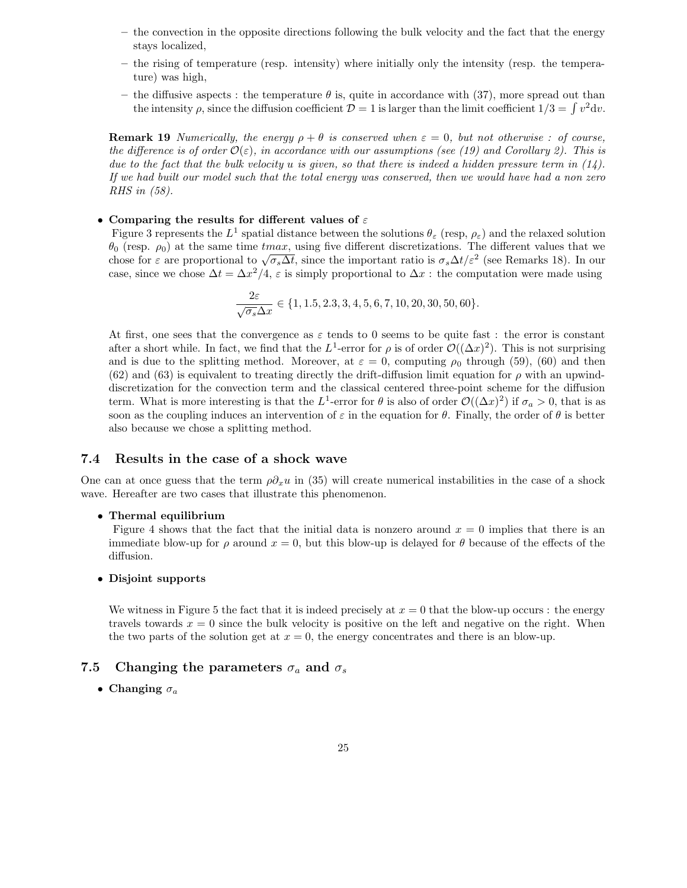- the convection in the opposite directions following the bulk velocity and the fact that the energy stays localized,
- the rising of temperature (resp. intensity) where initially only the intensity (resp. the temperature) was high,
- the diffusive aspects : the temperature  $\theta$  is, quite in accordance with (37), more spread out than the intensity  $\rho$ , since the diffusion coefficient  $\mathcal{D} = 1$  is larger than the limit coefficient  $1/3 = \int v^2 dv$ .

**Remark 19** Numerically, the energy  $\rho + \theta$  is conserved when  $\varepsilon = 0$ , but not otherwise : of course, the difference is of order  $\mathcal{O}(\varepsilon)$ , in accordance with our assumptions (see (19) and Corollary 2). This is due to the fact that the bulk velocity u is given, so that there is indeed a hidden pressure term in  $(14)$ . If we had built our model such that the total energy was conserved, then we would have had a non zero RHS in (58).

#### • Comparing the results for different values of  $\varepsilon$

Figure 3 represents the  $L^1$  spatial distance between the solutions  $\theta_\varepsilon$  (resp,  $\rho_\varepsilon$ ) and the relaxed solution  $\theta_0$  (resp.  $\rho_0$ ) at the same time tmax, using five different discretizations. The different values that we chose for  $\varepsilon$  are proportional to  $\sqrt{\sigma_s \Delta t}$ , since the important ratio is  $\sigma_s \Delta t/\varepsilon^2$  (see Remarks 18). In our case, since we chose  $\Delta t = \Delta x^2/4$ ,  $\varepsilon$  is simply proportional to  $\Delta x$ : the computation were made using

$$
\frac{2\varepsilon}{\sqrt{\sigma_s}\Delta x} \in \{1, 1.5, 2.3, 3, 4, 5, 6, 7, 10, 20, 30, 50, 60\}.
$$

At first, one sees that the convergence as  $\varepsilon$  tends to 0 seems to be quite fast : the error is constant after a short while. In fact, we find that the  $L^1$ -error for  $\rho$  is of order  $\mathcal{O}((\Delta x)^2)$ . This is not surprising and is due to the splitting method. Moreover, at  $\varepsilon = 0$ , computing  $\rho_0$  through (59), (60) and then (62) and (63) is equivalent to treating directly the drift-diffusion limit equation for  $\rho$  with an upwinddiscretization for the convection term and the classical centered three-point scheme for the diffusion term. What is more interesting is that the  $L^1$ -error for  $\theta$  is also of order  $\mathcal{O}((\Delta x)^2)$  if  $\sigma_a > 0$ , that is as soon as the coupling induces an intervention of  $\varepsilon$  in the equation for  $\theta$ . Finally, the order of  $\theta$  is better also because we chose a splitting method.

### 7.4 Results in the case of a shock wave

One can at once guess that the term  $\rho \partial_x u$  in (35) will create numerical instabilities in the case of a shock wave. Hereafter are two cases that illustrate this phenomenon.

#### • Thermal equilibrium

Figure 4 shows that the fact that the initial data is nonzero around  $x = 0$  implies that there is an immediate blow-up for  $\rho$  around  $x = 0$ , but this blow-up is delayed for  $\theta$  because of the effects of the diffusion.

#### • Disjoint supports

We witness in Figure 5 the fact that it is indeed precisely at  $x = 0$  that the blow-up occurs : the energy travels towards  $x = 0$  since the bulk velocity is positive on the left and negative on the right. When the two parts of the solution get at  $x = 0$ , the energy concentrates and there is an blow-up.

## 7.5 Changing the parameters  $\sigma_a$  and  $\sigma_s$

• Changing  $\sigma_a$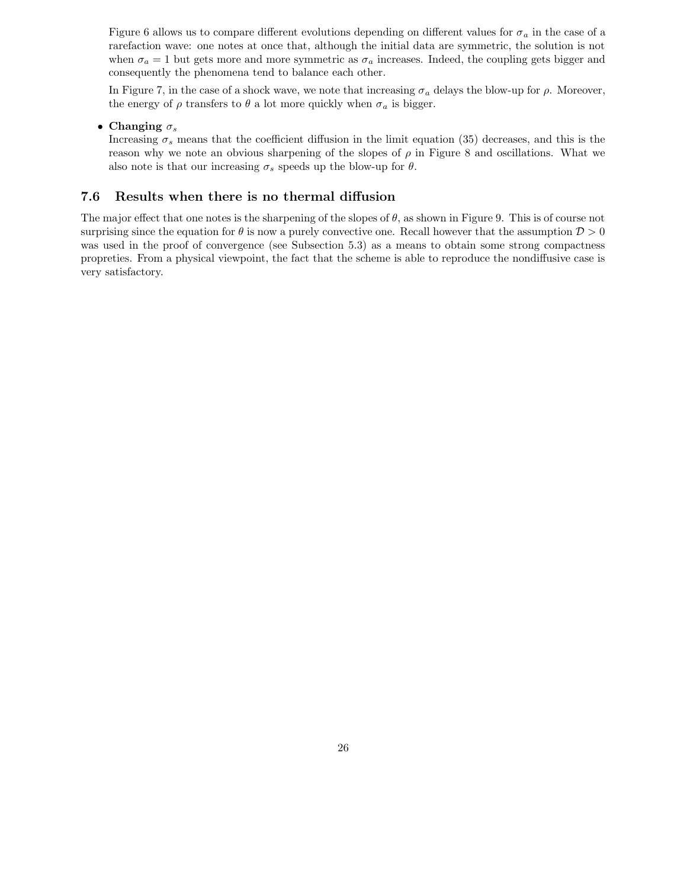Figure 6 allows us to compare different evolutions depending on different values for  $\sigma_a$  in the case of a rarefaction wave: one notes at once that, although the initial data are symmetric, the solution is not when  $\sigma_a = 1$  but gets more and more symmetric as  $\sigma_a$  increases. Indeed, the coupling gets bigger and consequently the phenomena tend to balance each other.

In Figure 7, in the case of a shock wave, we note that increasing  $\sigma_a$  delays the blow-up for  $\rho$ . Moreover, the energy of  $\rho$  transfers to  $\theta$  a lot more quickly when  $\sigma_a$  is bigger.

• Changing  $\sigma_s$ 

Increasing  $\sigma_s$  means that the coefficient diffusion in the limit equation (35) decreases, and this is the reason why we note an obvious sharpening of the slopes of  $\rho$  in Figure 8 and oscillations. What we also note is that our increasing  $\sigma_s$  speeds up the blow-up for  $\theta$ .

## 7.6 Results when there is no thermal diffusion

The major effect that one notes is the sharpening of the slopes of  $\theta$ , as shown in Figure 9. This is of course not surprising since the equation for  $\theta$  is now a purely convective one. Recall however that the assumption  $\mathcal{D} > 0$ was used in the proof of convergence (see Subsection 5.3) as a means to obtain some strong compactness propreties. From a physical viewpoint, the fact that the scheme is able to reproduce the nondiffusive case is very satisfactory.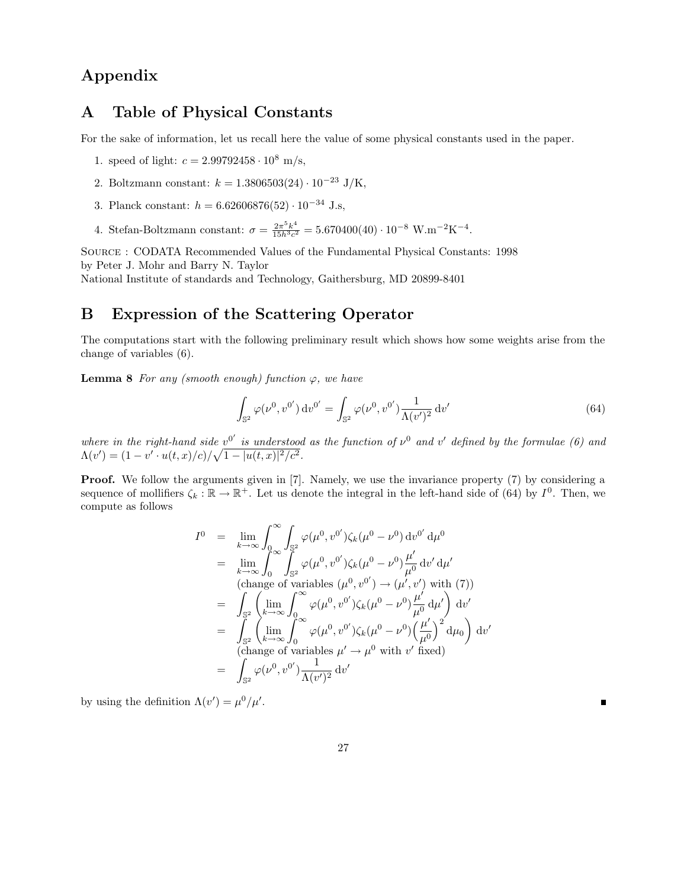# Appendix

# A Table of Physical Constants

For the sake of information, let us recall here the value of some physical constants used in the paper.

- 1. speed of light:  $c = 2.99792458 \cdot 10^8$  m/s,
- 2. Boltzmann constant:  $k = 1.3806503(24) \cdot 10^{-23}$  J/K,
- 3. Planck constant:  $h = 6.62606876(52) \cdot 10^{-34}$  J.s,
- 4. Stefan-Boltzmann constant:  $\sigma = \frac{2\pi^5 k^4}{15h^3 c^2}$  $\frac{2\pi^3 k^4}{15h^3c^2} = 5.670400(40) \cdot 10^{-8} \text{ W.m}^{-2}\text{K}^{-4}.$

Source : CODATA Recommended Values of the Fundamental Physical Constants: 1998 by Peter J. Mohr and Barry N. Taylor National Institute of standards and Technology, Gaithersburg, MD 20899-8401

## B Expression of the Scattering Operator

The computations start with the following preliminary result which shows how some weights arise from the change of variables (6).

**Lemma 8** For any (smooth enough) function  $\varphi$ , we have

$$
\int_{\mathbb{S}^2} \varphi(\nu^0, v^{0'}) \, \mathrm{d}v^{0'} = \int_{\mathbb{S}^2} \varphi(\nu^0, v^{0'}) \frac{1}{\Lambda(v')^2} \, \mathrm{d}v' \tag{64}
$$

П

where in the right-hand side  $v^{0'}$  is understood as the function of  $v^{0}$  and  $v'$  defined by the formulae (6) and  $\Lambda(v') = (1 - v' \cdot u(t, x)/c) / \sqrt{1 - |u(t, x)|^2/c^2}.$ 

**Proof.** We follow the arguments given in [7]. Namely, we use the invariance property (7) by considering a sequence of mollifiers  $\zeta_k : \mathbb{R} \to \mathbb{R}^+$ . Let us denote the integral in the left-hand side of (64) by  $I^0$ . Then, we compute as follows

$$
I^{0} = \lim_{k \to \infty} \int_{0}^{\infty} \int_{\mathbb{S}^{2}} \varphi(\mu^{0}, v^{0'}) \zeta_{k}(\mu^{0} - \nu^{0}) dv^{0'} d\mu^{0}
$$
  
\n
$$
= \lim_{k \to \infty} \int_{0}^{\infty} \int_{\mathbb{S}^{2}}^{\infty} \varphi(\mu^{0}, v^{0'}) \zeta_{k}(\mu^{0} - \nu^{0}) \frac{\mu'}{\mu^{0}} dv' d\mu'
$$
  
\n(change of variables  $(\mu^{0}, v^{0'}) \rightarrow (\mu', v')$  with (7))  
\n
$$
= \int_{\mathbb{S}^{2}} \left( \lim_{k \to \infty} \int_{0}^{\infty} \varphi(\mu^{0}, v^{0'}) \zeta_{k}(\mu^{0} - \nu^{0}) \frac{\mu'}{\mu^{0}} d\mu' \right) dv'
$$
  
\n
$$
= \int_{\mathbb{S}^{2}} \left( \lim_{k \to \infty} \int_{0}^{\infty} \varphi(\mu^{0}, v^{0'}) \zeta_{k}(\mu^{0} - \nu^{0}) \left( \frac{\mu'}{\mu^{0}} \right)^{2} d\mu_{0} \right) dv'
$$
  
\n(change of variables  $\mu' \rightarrow \mu^{0}$  with  $v'$  fixed)  
\n
$$
= \int_{\mathbb{S}^{2}} \varphi(\nu^{0}, v^{0'}) \frac{1}{\Lambda(v')^{2}} dv'
$$

by using the definition  $\Lambda(v') = \mu^0/\mu'.$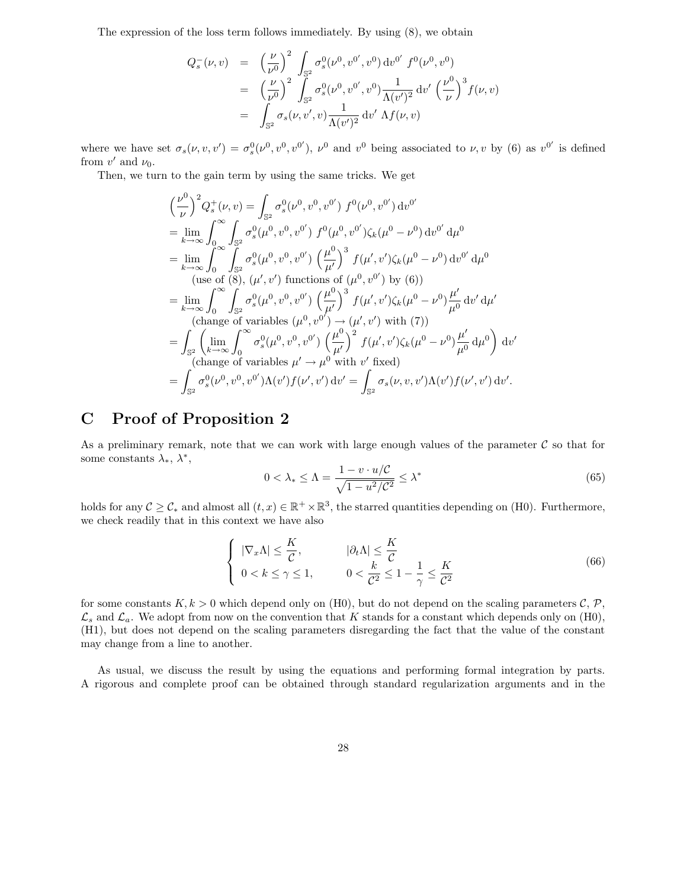The expression of the loss term follows immediately. By using (8), we obtain

$$
Q_s^-(\nu, v) = \left(\frac{\nu}{\nu^0}\right)^2 \int_{\mathbb{S}^2} \sigma_s^0(\nu^0, v^{0'}, v^0) dv^{0'} f^0(\nu^0, v^0)
$$
  
\n
$$
= \left(\frac{\nu}{\nu^0}\right)^2 \int_{\mathbb{S}^2} \sigma_s^0(\nu^0, v^{0'}, v^0) \frac{1}{\Lambda(v')^2} dv' \left(\frac{\nu^0}{\nu}\right)^3 f(\nu, v)
$$
  
\n
$$
= \int_{\mathbb{S}^2} \sigma_s(\nu, v', v) \frac{1}{\Lambda(v')^2} dv' \Lambda f(\nu, v)
$$

where we have set  $\sigma_s(\nu, v, v') = \sigma_s^0(\nu^0, v^0, v^{0'})$ ,  $\nu^0$  and  $v^0$  being associated to  $\nu, v$  by (6) as  $v^{0'}$  is defined from  $v'$  and  $\nu_0$ .

Then, we turn to the gain term by using the same tricks. We get

$$
\left(\frac{\nu^{0}}{\nu}\right)^{2} Q_{s}^{+}(\nu, v) = \int_{\mathbb{S}^{2}} \sigma_{s}^{0}(\nu^{0}, v^{0}, v^{0'}) f^{0}(\nu^{0}, v^{0'}) dv^{0'}
$$
\n
$$
= \lim_{k \to \infty} \int_{0}^{\infty} \int_{\mathbb{S}^{2}} \sigma_{s}^{0}(\mu^{0}, v^{0}, v^{0'}) f^{0}(\mu^{0}, v^{0'}) \zeta_{k}(\mu^{0} - \nu^{0}) dv^{0'} d\mu^{0}
$$
\n
$$
= \lim_{k \to \infty} \int_{0}^{\infty} \int_{\mathbb{S}^{2}} \sigma_{s}^{0}(\mu^{0}, v^{0}, v^{0'}) \left(\frac{\mu^{0}}{\mu'}\right)^{3} f(\mu', v') \zeta_{k}(\mu^{0} - \nu^{0}) dv^{0'} d\mu^{0}
$$
\n(use of (8),  $(\mu', v')$  functions of  $(\mu^{0}, v^{0'})$  by (6))\n
$$
= \lim_{k \to \infty} \int_{0}^{\infty} \int_{\mathbb{S}^{2}} \sigma_{s}^{0}(\mu^{0}, v^{0}, v^{0'}) \left(\frac{\mu^{0}}{\mu'}\right)^{3} f(\mu', v') \zeta_{k}(\mu^{0} - \nu^{0}) \frac{\mu'}{\mu^{0}} dv' d\mu'
$$
\n(change of variables  $(\mu^{0}, v^{0'}) \rightarrow (\mu', v')$  with (7))\n
$$
= \int_{\mathbb{S}^{2}} \left(\lim_{k \to \infty} \int_{0}^{\infty} \sigma_{s}^{0}(\mu^{0}, v^{0}, v^{0'}) \left(\frac{\mu^{0}}{\mu'}\right)^{2} f(\mu', v') \zeta_{k}(\mu^{0} - \nu^{0}) \frac{\mu'}{\mu^{0}} d\mu^{0}\right) dv'
$$
\n(change of variables  $\mu' \rightarrow \mu^{0}$  with  $v'$  fixed)\n
$$
= \int_{\mathbb{S}^{2}} \sigma_{s}^{0}(\nu^{0}, v^{0}, v^{0'}) \Lambda(v') f(\nu', v') dv' = \int_{\mathbb{S}^{2}} \sigma_{s}(\nu, v, v') \Lambda(v') f(\nu', v') dv'.
$$

# C Proof of Proposition 2

As a preliminary remark, note that we can work with large enough values of the parameter  $\mathcal C$  so that for some constants  $\lambda_*, \lambda^*,$ 

$$
0 < \lambda_* \le \Lambda = \frac{1 - v \cdot u/\mathcal{C}}{\sqrt{1 - u^2/\mathcal{C}^2}} \le \lambda^* \tag{65}
$$

holds for any  $\mathcal{C} \geq \mathcal{C}_{*}$  and almost all  $(t, x) \in \mathbb{R}^{+} \times \mathbb{R}^{3}$ , the starred quantities depending on (H0). Furthermore, we check readily that in this context we have also

$$
\begin{cases} |\nabla_x \Lambda| \leq \frac{K}{C}, & |\partial_t \Lambda| \leq \frac{K}{C} \\ 0 < k \leq \gamma \leq 1, & 0 < \frac{k}{C^2} \leq 1 - \frac{1}{\gamma} \leq \frac{K}{C^2} \end{cases} \tag{66}
$$

for some constants  $K, k > 0$  which depend only on (H0), but do not depend on the scaling parameters  $\mathcal{C}, \mathcal{P}$ ,  $\mathcal{L}_s$  and  $\mathcal{L}_a$ . We adopt from now on the convention that K stands for a constant which depends only on (H0), (H1), but does not depend on the scaling parameters disregarding the fact that the value of the constant may change from a line to another.

As usual, we discuss the result by using the equations and performing formal integration by parts. A rigorous and complete proof can be obtained through standard regularization arguments and in the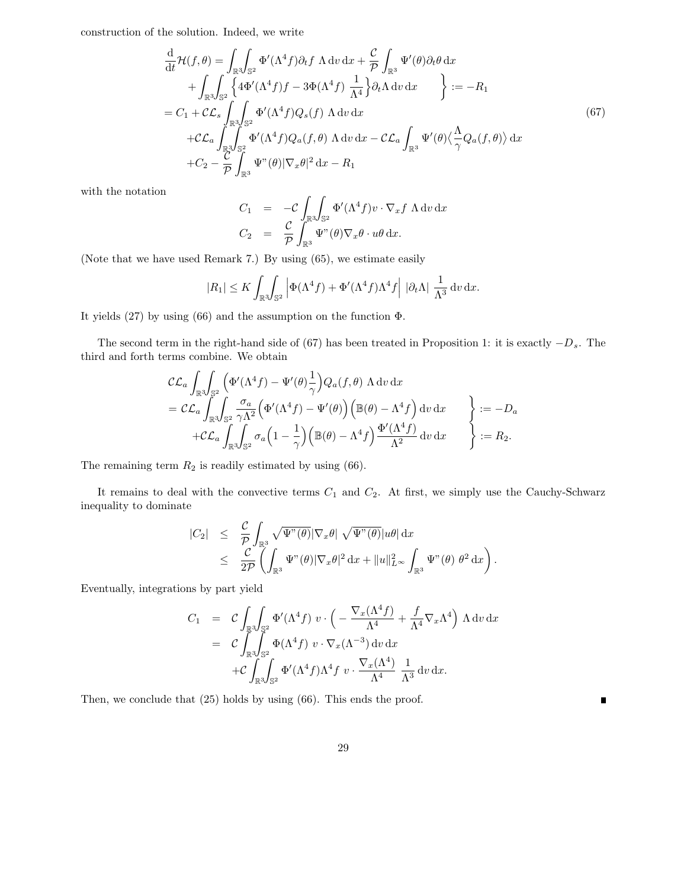construction of the solution. Indeed, we write

$$
\frac{d}{dt}\mathcal{H}(f,\theta) = \int_{\mathbb{R}^3} \int_{\mathbb{S}^2} \Phi'(\Lambda^4 f) \partial_t f \Lambda \, dv \, dx + \frac{\mathcal{C}}{\mathcal{P}} \int_{\mathbb{R}^3} \Psi'(\theta) \partial_t \theta \, dx \n+ \int_{\mathbb{R}^3} \int_{\mathbb{S}^2} \left\{ 4\Phi'(\Lambda^4 f) f - 3\Phi(\Lambda^4 f) \frac{1}{\Lambda^4} \right\} \partial_t \Lambda \, dv \, dx \right\} := -R_1 \n= C_1 + \mathcal{C} \mathcal{L}_s \int_{\mathbb{R}^3} \int_{\mathbb{S}^2} \Phi'(\Lambda^4 f) Q_s(f) \Lambda \, dv \, dx \n+ \mathcal{C} \mathcal{L}_a \int_{\mathbb{R}^3} \int_{\mathbb{S}^2} \Phi'(\Lambda^4 f) Q_a(f,\theta) \Lambda \, dv \, dx - \mathcal{C} \mathcal{L}_a \int_{\mathbb{R}^3} \Psi'(\theta) \langle \frac{\Lambda}{\gamma} Q_a(f,\theta) \rangle \, dx \n+ C_2 - \frac{\mathcal{C}}{\mathcal{P}} \int_{\mathbb{R}^3} \Psi''(\theta) |\nabla_x \theta|^2 \, dx - R_1
$$
\n(67)

with the notation

$$
C_1 = -C \int_{\mathbb{R}^3} \int_{\mathbb{S}^2} \Phi'(\Lambda^4 f) v \cdot \nabla_x f \Lambda dv dx
$$
  

$$
C_2 = \frac{C}{\mathcal{P}} \int_{\mathbb{R}^3} \Psi''(\theta) \nabla_x \theta \cdot u\theta dx.
$$

(Note that we have used Remark 7.) By using (65), we estimate easily

$$
|R_1| \leq K \int_{\mathbb{R}^3} \int_{\mathbb{S}^2} \left| \Phi(\Lambda^4 f) + \Phi'(\Lambda^4 f) \Lambda^4 f \right| \left| \partial_t \Lambda \right| \frac{1}{\Lambda^3} \, \mathrm{d}v \, \mathrm{d}x.
$$

It yields (27) by using (66) and the assumption on the function Φ.

The second term in the right-hand side of (67) has been treated in Proposition 1: it is exactly  $-D_s$ . The third and forth terms combine. We obtain

$$
\mathcal{CL}_{a} \int_{\mathbb{R}^{3}} \int_{\mathbb{S}^{2}} \left( \Phi'(\Lambda^{4} f) - \Psi'(\theta) \frac{1}{\gamma} \right) Q_{a}(f, \theta) \Lambda \, dv \, dx \n= \mathcal{CL}_{a} \int_{\mathbb{R}^{3}} \int_{\mathbb{S}^{2}} \frac{\sigma_{a}}{\gamma \Lambda^{2}} \left( \Phi'(\Lambda^{4} f) - \Psi'(\theta) \right) \left( \mathbb{B}(\theta) - \Lambda^{4} f \right) \, dv \, dx \n+ \mathcal{CL}_{a} \int_{\mathbb{R}^{3}} \int_{\mathbb{S}^{2}} \sigma_{a} \left( 1 - \frac{1}{\gamma} \right) \left( \mathbb{B}(\theta) - \Lambda^{4} f \right) \frac{\Phi'(\Lambda^{4} f)}{\Lambda^{2}} \, dv \, dx \qquad \bigg\} := R_{2}.
$$

The remaining term  $R_2$  is readily estimated by using (66).

It remains to deal with the convective terms  $C_1$  and  $C_2$ . At first, we simply use the Cauchy-Schwarz inequality to dominate

$$
\begin{array}{rcl}\n|C_2| & \leq & \displaystyle\frac{\mathcal{C}}{\mathcal{P}}\int_{\mathbb{R}^3}\sqrt{\Psi^{"}(\theta)}|\nabla_x\theta|\,\sqrt{\Psi^{"}(\theta)}|u\theta|\,\mathrm{d}x \\
& \leq & \displaystyle\frac{\mathcal{C}}{2\mathcal{P}}\left(\int_{\mathbb{R}^3}\Psi^{"}(\theta)|\nabla_x\theta|^2\,\mathrm{d}x+\|u\|_{L^\infty}^2\int_{\mathbb{R}^3}\Psi^{"}(\theta)\,\theta^2\,\mathrm{d}x\right).\n\end{array}
$$

Eventually, integrations by part yield

$$
C_1 = C \int_{\mathbb{R}^3} \int_{\mathbb{S}^2} \Phi'(\Lambda^4 f) v \cdot \left( -\frac{\nabla_x(\Lambda^4 f)}{\Lambda^4} + \frac{f}{\Lambda^4} \nabla_x \Lambda^4 \right) \Lambda dv dx
$$
  
=  $C \int_{\mathbb{R}^3} \int_{\mathbb{S}^2} \Phi(\Lambda^4 f) v \cdot \nabla_x(\Lambda^{-3}) dv dx$   
+  $C \int_{\mathbb{R}^3} \int_{\mathbb{S}^2} \Phi'(\Lambda^4 f) \Lambda^4 f v \cdot \frac{\nabla_x(\Lambda^4)}{\Lambda^4} \frac{1}{\Lambda^3} dv dx.$ 

Then, we conclude that (25) holds by using (66). This ends the proof.

 $\blacksquare$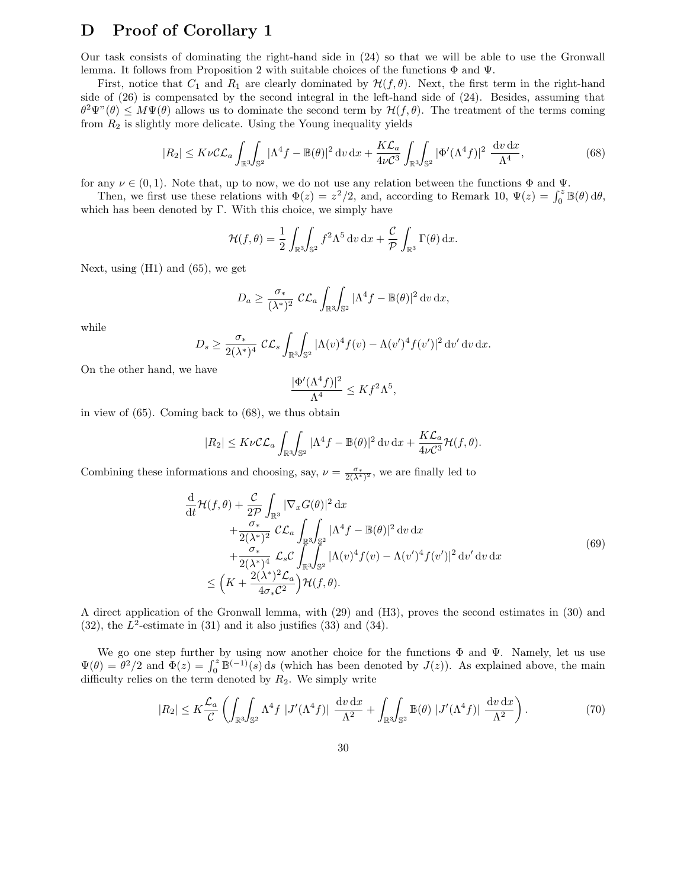## D Proof of Corollary 1

Our task consists of dominating the right-hand side in (24) so that we will be able to use the Gronwall lemma. It follows from Proposition 2 with suitable choices of the functions  $\Phi$  and  $\Psi$ .

First, notice that  $C_1$  and  $R_1$  are clearly dominated by  $\mathcal{H}(f,\theta)$ . Next, the first term in the right-hand side of (26) is compensated by the second integral in the left-hand side of (24). Besides, assuming that  $\theta^2\Psi''(\theta) \leq M\Psi(\theta)$  allows us to dominate the second term by  $\mathcal{H}(f,\theta)$ . The treatment of the terms coming from  $R_2$  is slightly more delicate. Using the Young inequality yields

$$
|R_2| \leq K\nu C \mathcal{L}_a \int_{\mathbb{R}^3} \int_{\mathbb{S}^2} |\Lambda^4 f - \mathbb{B}(\theta)|^2 \, dv \, dx + \frac{K \mathcal{L}_a}{4\nu C^3} \int_{\mathbb{R}^3} \int_{\mathbb{S}^2} |\Phi'(\Lambda^4 f)|^2 \, \frac{dv \, dx}{\Lambda^4},\tag{68}
$$

for any  $\nu \in (0,1)$ . Note that, up to now, we do not use any relation between the functions  $\Phi$  and  $\Psi$ .

Then, we first use these relations with  $\Phi(z) = z^2/2$ , and, according to Remark 10,  $\Psi(z) = \int_0^z \mathbb{B}(\theta) d\theta$ , which has been denoted by Γ. With this choice, we simply have

$$
\mathcal{H}(f,\theta) = \frac{1}{2} \int_{\mathbb{R}^3} \int_{\mathbb{S}^2} f^2 \Lambda^5 \, \mathrm{d}v \, \mathrm{d}x + \frac{\mathcal{C}}{\mathcal{P}} \int_{\mathbb{R}^3} \Gamma(\theta) \, \mathrm{d}x.
$$

Next, using (H1) and (65), we get

$$
D_a \ge \frac{\sigma_*}{(\lambda^*)^2} \ \mathcal{CL}_a \int_{\mathbb{R}^3} \int_{\mathbb{S}^2} |\Lambda^4 f - \mathbb{B}(\theta)|^2 \, dv \, dx,
$$

while

$$
D_s \geq \frac{\sigma_*}{2(\lambda^*)^4} \mathcal{CL}_s \int_{\mathbb{R}^3} \int_{\mathbb{S}^2} |\Lambda(v)|^4 f(v) - \Lambda(v')^4 f(v')|^2 dv' dv dx.
$$

On the other hand, we have

$$
\frac{|\Phi'(\Lambda^4 f)|^2}{\Lambda^4} \leq K f^2 \Lambda^5,
$$

in view of (65). Coming back to (68), we thus obtain

$$
|R_2| \leq K\nu c \mathcal{L}_a \int_{\mathbb{R}^3} \int_{\mathbb{S}^2} |\Lambda^4 f - \mathbb{B}(\theta)|^2 dv dx + \frac{K\mathcal{L}_a}{4\nu c^3} \mathcal{H}(f,\theta).
$$

Combining these informations and choosing, say,  $\nu = \frac{\sigma_*}{2(\lambda^*)^2}$ , we are finally led to

$$
\frac{\mathrm{d}}{\mathrm{d}t} \mathcal{H}(f,\theta) + \frac{\mathcal{C}}{2\mathcal{P}} \int_{\mathbb{R}^3} |\nabla_x G(\theta)|^2 \,\mathrm{d}x \n+ \frac{\sigma_*}{2(\lambda^*)^2} \mathcal{C} \mathcal{L}_a \int_{\mathbb{R}^3} \int_{\mathbb{S}^2} |\Lambda^4 f - \mathbb{B}(\theta)|^2 \,\mathrm{d}v \,\mathrm{d}x \n+ \frac{\sigma_*}{2(\lambda^*)^4} \mathcal{L}_s \mathcal{C} \int_{\mathbb{R}^3} \int_{\mathbb{S}^2} |\Lambda(v)^4 f(v) - \Lambda(v')^4 f(v')|^2 \,\mathrm{d}v' \,\mathrm{d}v \,\mathrm{d}x \n\leq \left( K + \frac{2(\lambda^*)^2 \mathcal{L}_a}{4\sigma_* C^2} \right) \mathcal{H}(f,\theta).
$$
\n(69)

A direct application of the Gronwall lemma, with (29) and (H3), proves the second estimates in (30) and  $(32)$ , the  $L^2$ -estimate in  $(31)$  and it also justifies  $(33)$  and  $(34)$ .

We go one step further by using now another choice for the functions  $\Phi$  and  $\Psi$ . Namely, let us use  $\Psi(\theta) = \theta^2/2$  and  $\Phi(z) = \int_0^z \mathbb{B}^{(-1)}(s) ds$  (which has been denoted by  $J(z)$ ). As explained above, the main difficulty relies on the term denoted by  $R_2$ . We simply write

$$
|R_2| \le K \frac{\mathcal{L}_a}{\mathcal{C}} \left( \int_{\mathbb{R}^3} \int_{\mathbb{S}^2} \Lambda^4 f \left| J'(\Lambda^4 f) \right| \, \frac{dv \, dx}{\Lambda^2} + \int_{\mathbb{R}^3} \int_{\mathbb{S}^2} \mathbb{B}(\theta) \left| J'(\Lambda^4 f) \right| \, \frac{dv \, dx}{\Lambda^2} \right). \tag{70}
$$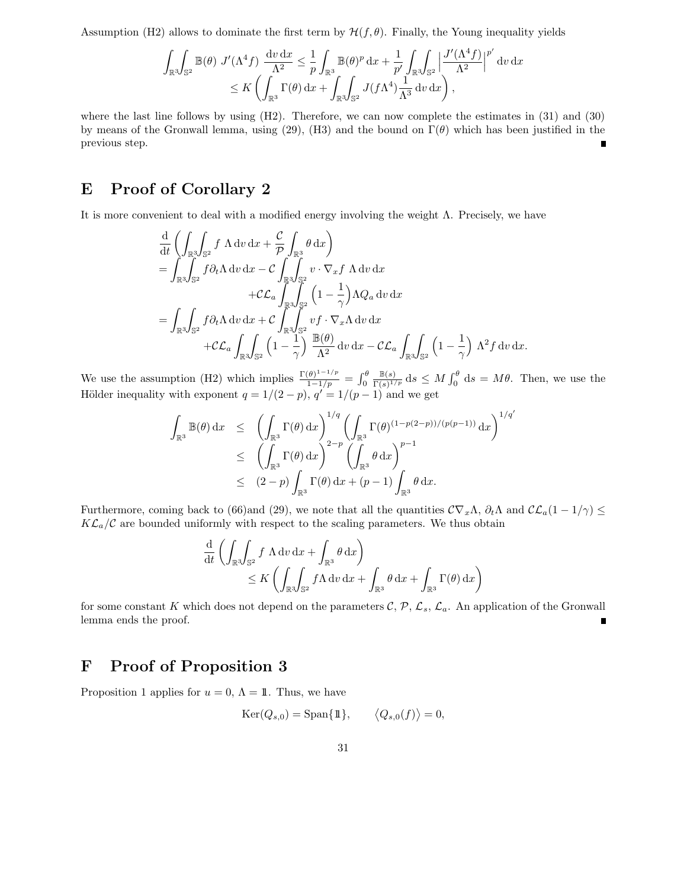Assumption (H2) allows to dominate the first term by  $\mathcal{H}(f, \theta)$ . Finally, the Young inequality yields

$$
\int_{\mathbb{R}^3} \int_{\mathbb{S}^2} \mathbb{B}(\theta) J'(\Lambda^4 f) \frac{dv dx}{\Lambda^2} \leq \frac{1}{p} \int_{\mathbb{R}^3} \mathbb{B}(\theta)^p dx + \frac{1}{p'} \int_{\mathbb{R}^3} \int_{\mathbb{S}^2} \left| \frac{J'(\Lambda^4 f)}{\Lambda^2} \right|^{p'} dv dx
$$
  

$$
\leq K \left( \int_{\mathbb{R}^3} \Gamma(\theta) dx + \int_{\mathbb{R}^3} \int_{\mathbb{S}^2} J(f\Lambda^4) \frac{1}{\Lambda^3} dv dx \right),
$$

where the last line follows by using (H2). Therefore, we can now complete the estimates in (31) and (30) by means of the Gronwall lemma, using (29), (H3) and the bound on  $\Gamma(\theta)$  which has been justified in the previous step.

# E Proof of Corollary 2

It is more convenient to deal with a modified energy involving the weight  $\Lambda$ . Precisely, we have

$$
\frac{d}{dt} \left( \int_{\mathbb{R}^3} \int_{\mathbb{S}^2} f \Lambda \, dv \, dx + \frac{c}{\mathcal{P}} \int_{\mathbb{R}^3} \theta \, dx \right) \n= \int_{\mathbb{R}^3} \int_{\mathbb{S}^2} f \partial_t \Lambda \, dv \, dx - C \int_{\mathbb{R}^3} \int_{\mathbb{S}^2} v \cdot \nabla_x f \Lambda \, dv \, dx \n+ C \mathcal{L}_a \int_{\mathbb{R}^3} \int_{\mathbb{S}^2} \left( 1 - \frac{1}{\gamma} \right) \Lambda Q_a \, dv \, dx \n= \int_{\mathbb{R}^3} \int_{\mathbb{S}^2} f \partial_t \Lambda \, dv \, dx + C \int_{\mathbb{R}^3} \int_{\mathbb{S}^2} v f \cdot \nabla_x \Lambda \, dv \, dx \n+ C \mathcal{L}_a \int_{\mathbb{R}^3} \int_{\mathbb{S}^2} \left( 1 - \frac{1}{\gamma} \right) \frac{\mathbb{B}(\theta)}{\Lambda^2} dv \, dx - C \mathcal{L}_a \int_{\mathbb{R}^3} \int_{\mathbb{S}^2} \left( 1 - \frac{1}{\gamma} \right) \Lambda^2 f \, dv \, dx.
$$

We use the assumption (H2) which implies  $\frac{\Gamma(\theta)^{1-1/p}}{1-1/p} = \int_0^{\theta} \frac{\mathbb{B}(s)}{\Gamma(s)^{1/p}}$  $\frac{\mathbb{B}(s)}{\Gamma(s)^{1/p}}$  ds  $\leq M \int_0^\theta ds = M\theta$ . Then, we use the Hölder inequality with exponent  $q = 1/(2 - p)$ ,  $q' = 1/(p - 1)$  and we get

$$
\int_{\mathbb{R}^3} \mathbb{B}(\theta) dx \leq \left( \int_{\mathbb{R}^3} \Gamma(\theta) dx \right)^{1/q} \left( \int_{\mathbb{R}^3} \Gamma(\theta)^{(1-p(2-p))/(p(p-1))} dx \right)^{1/q'}
$$
  
\n
$$
\leq \left( \int_{\mathbb{R}^3} \Gamma(\theta) dx \right)^{2-p} \left( \int_{\mathbb{R}^3} \theta dx \right)^{p-1}
$$
  
\n
$$
\leq (2-p) \int_{\mathbb{R}^3} \Gamma(\theta) dx + (p-1) \int_{\mathbb{R}^3} \theta dx.
$$

Furthermore, coming back to (66)and (29), we note that all the quantities  $\mathcal{C}\nabla_x\Lambda$ ,  $\partial_t\Lambda$  and  $\mathcal{CL}_a(1-1/\gamma) \leq$  $K\mathcal{L}_a/\mathcal{C}$  are bounded uniformly with respect to the scaling parameters. We thus obtain

$$
\frac{d}{dt} \left( \int_{\mathbb{R}^3} \int_{\mathbb{S}^2} f \Lambda dv dx + \int_{\mathbb{R}^3} \theta dx \right) \n\leq K \left( \int_{\mathbb{R}^3} \int_{\mathbb{S}^2} f \Lambda dv dx + \int_{\mathbb{R}^3} \theta dx + \int_{\mathbb{R}^3} \Gamma(\theta) dx \right)
$$

for some constant K which does not depend on the parameters  $\mathcal{C}, \mathcal{P}, \mathcal{L}_s, \mathcal{L}_a$ . An application of the Gronwall lemma ends the proof.

## F Proof of Proposition 3

Proposition 1 applies for  $u = 0$ ,  $\Lambda = 11$ . Thus, we have

$$
Ker(Q_{s,0}) = \text{Span}\{\mathbb{1}\}, \qquad \langle Q_{s,0}(f) \rangle = 0,
$$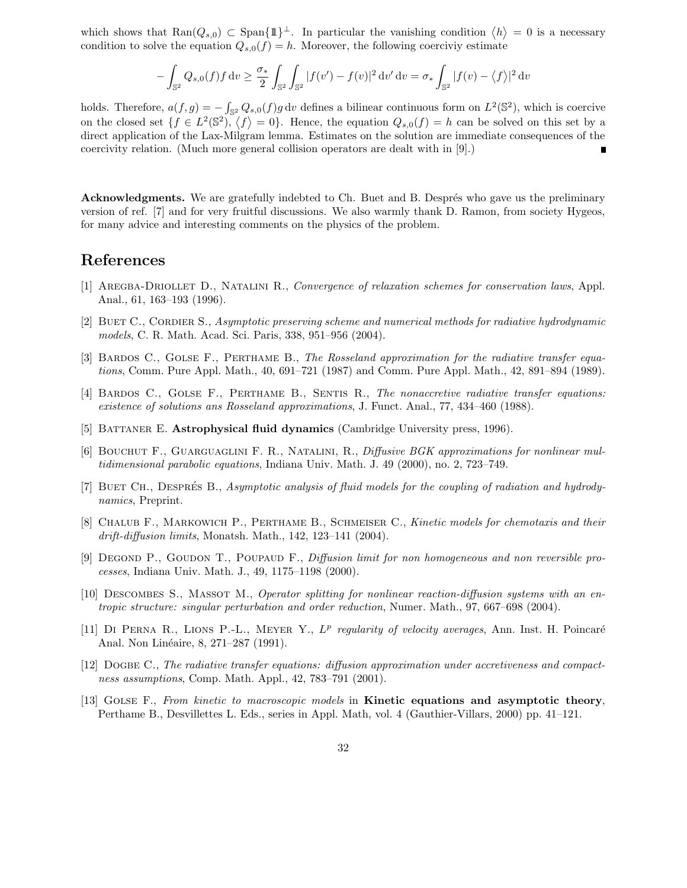which shows that  $\text{Ran}(Q_{s,0}) \subset \text{Span}(\{1\}^{\perp}$ . In particular the vanishing condition  $\langle h \rangle = 0$  is a necessary condition to solve the equation  $Q_{s,0}(f) = h$ . Moreover, the following coercivity estimate

$$
-\int_{\mathbb{S}^2} Q_{s,0}(f) f \, dv \ge \frac{\sigma_*}{2} \int_{\mathbb{S}^2} \int_{\mathbb{S}^2} |f(v') - f(v)|^2 \, dv' \, dv = \sigma_* \int_{\mathbb{S}^2} |f(v) - \langle f \rangle|^2 \, dv
$$

holds. Therefore,  $a(f,g) = \int_{\mathbb{S}^2} Q_{s,0}(f)g \,dv$  defines a bilinear continuous form on  $L^2(\mathbb{S}^2)$ , which is coercive on the closed set  $\{f \in L^2(\mathbb{S}^2), \langle f \rangle = 0\}$ . Hence, the equation  $Q_{s,0}(f) = h$  can be solved on this set by a direct application of the Lax-Milgram lemma. Estimates on the solution are immediate consequences of the coercivity relation. (Much more general collision operators are dealt with in [9].)

Acknowledgments. We are gratefully indebted to Ch. Buet and B. Després who gave us the preliminary version of ref. [7] and for very fruitful discussions. We also warmly thank D. Ramon, from society Hygeos, for many advice and interesting comments on the physics of the problem.

## References

- [1] Aregba-Driollet D., Natalini R., Convergence of relaxation schemes for conservation laws, Appl. Anal., 61, 163–193 (1996).
- [2] BUET C., CORDIER S., Asymptotic preserving scheme and numerical methods for radiative hydrodynamic models, C. R. Math. Acad. Sci. Paris, 338, 951–956 (2004).
- [3] BARDOS C., GOLSE F., PERTHAME B., The Rosseland approximation for the radiative transfer equations, Comm. Pure Appl. Math., 40, 691–721 (1987) and Comm. Pure Appl. Math., 42, 891–894 (1989).
- [4] BARDOS C., GOLSE F., PERTHAME B., SENTIS R., The nonaccretive radiative transfer equations: existence of solutions ans Rosseland approximations, J. Funct. Anal., 77, 434–460 (1988).
- [5] BATTANER E. **Astrophysical fluid dynamics** (Cambridge University press, 1996).
- [6] Bouchut F., Guarguaglini F. R., Natalini, R., Diffusive BGK approximations for nonlinear multidimensional parabolic equations, Indiana Univ. Math. J. 49 (2000), no. 2, 723–749.
- [7] BUET CH., DESPRÉS B., Asymptotic analysis of fluid models for the coupling of radiation and hydrodynamics, Preprint.
- [8] CHALUB F., MARKOWICH P., PERTHAME B., SCHMEISER C., Kinetic models for chemotaxis and their drift-diffusion limits, Monatsh. Math., 142, 123–141 (2004).
- [9] DEGOND P., GOUDON T., POUPAUD F., *Diffusion limit for non homogeneous and non reversible pro*cesses, Indiana Univ. Math. J., 49, 1175–1198 (2000).
- [10] Descombes S., Massot M., Operator splitting for nonlinear reaction-diffusion systems with an entropic structure: singular perturbation and order reduction, Numer. Math., 97, 667–698 (2004).
- [11] DI PERNA R., LIONS P.-L., MEYER Y.,  $L^p$  regularity of velocity averages, Ann. Inst. H. Poincaré Anal. Non Linéaire, 8, 271–287 (1991).
- [12] Dogbe C., The radiative transfer equations: diffusion approximation under accretiveness and compactness assumptions, Comp. Math. Appl., 42, 783–791 (2001).
- [13] GOLSE F., From kinetic to macroscopic models in Kinetic equations and asymptotic theory, Perthame B., Desvillettes L. Eds., series in Appl. Math, vol. 4 (Gauthier-Villars, 2000) pp. 41–121.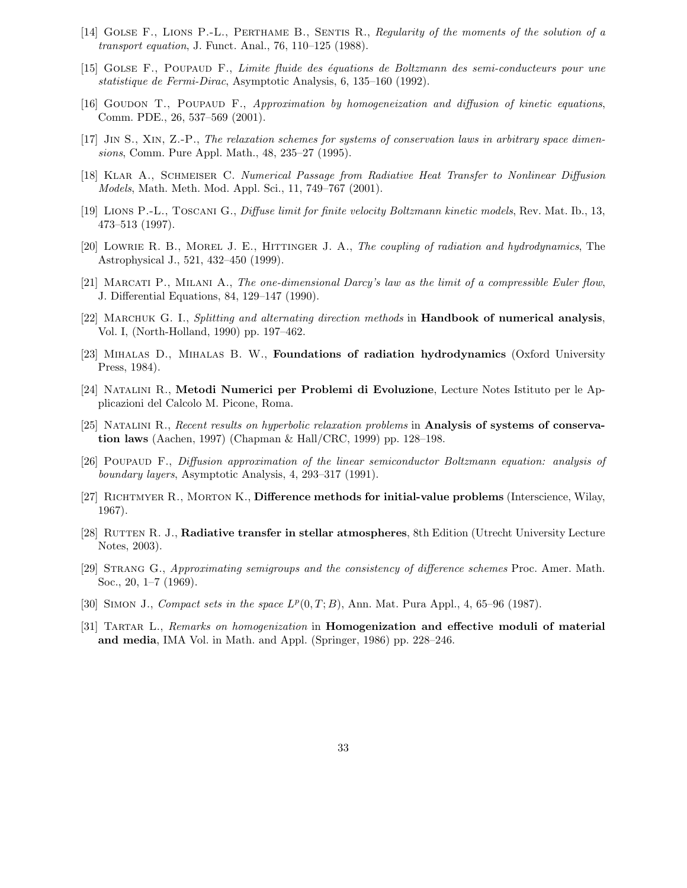- [14] Golse F., Lions P.-L., Perthame B., Sentis R., Regularity of the moments of the solution of a transport equation, J. Funct. Anal., 76, 110–125 (1988).
- [15] Golse F., Poupaud F., Limite fluide des ´equations de Boltzmann des semi-conducteurs pour une statistique de Fermi-Dirac, Asymptotic Analysis, 6, 135–160 (1992).
- [16] GOUDON T., POUPAUD F., Approximation by homogeneization and diffusion of kinetic equations, Comm. PDE., 26, 537–569 (2001).
- [17] Jin S., Xin, Z.-P., The relaxation schemes for systems of conservation laws in arbitrary space dimensions, Comm. Pure Appl. Math., 48, 235–27 (1995).
- [18] Klar A., Schmeiser C. Numerical Passage from Radiative Heat Transfer to Nonlinear Diffusion Models, Math. Meth. Mod. Appl. Sci., 11, 749–767 (2001).
- [19] Lions P.-L., Toscani G., Diffuse limit for finite velocity Boltzmann kinetic models, Rev. Mat. Ib., 13, 473–513 (1997).
- [20] LOWRIE R. B., MOREL J. E., HITTINGER J. A., The coupling of radiation and hydrodynamics, The Astrophysical J., 521, 432–450 (1999).
- [21] Marcati P., Milani A., The one-dimensional Darcy's law as the limit of a compressible Euler flow, J. Differential Equations, 84, 129–147 (1990).
- [22] MARCHUK G. I., Splitting and alternating direction methods in **Handbook of numerical analysis**, Vol. I, (North-Holland, 1990) pp. 197–462.
- [23] Mihalas D., Mihalas B. W., Foundations of radiation hydrodynamics (Oxford University Press, 1984).
- [24] Natalini R., Metodi Numerici per Problemi di Evoluzione, Lecture Notes Istituto per le Applicazioni del Calcolo M. Picone, Roma.
- [25] Natalini R., Recent results on hyperbolic relaxation problems in Analysis of systems of conservation laws (Aachen, 1997) (Chapman & Hall/CRC, 1999) pp. 128–198.
- [26] Poupaud F., Diffusion approximation of the linear semiconductor Boltzmann equation: analysis of boundary layers, Asymptotic Analysis, 4, 293–317 (1991).
- [27] RICHTMYER R., MORTON K., Difference methods for initial-value problems (Interscience, Wilay, 1967).
- [28] RUTTEN R. J., Radiative transfer in stellar atmospheres, 8th Edition (Utrecht University Lecture Notes, 2003).
- [29] Strang G., Approximating semigroups and the consistency of difference schemes Proc. Amer. Math. Soc., 20, 1–7 (1969).
- [30] SIMON J., Compact sets in the space  $L^p(0,T;B)$ , Ann. Mat. Pura Appl., 4, 65-96 (1987).
- [31] TARTAR L., Remarks on homogenization in **Homogenization and effective moduli of material** and media, IMA Vol. in Math. and Appl. (Springer, 1986) pp. 228–246.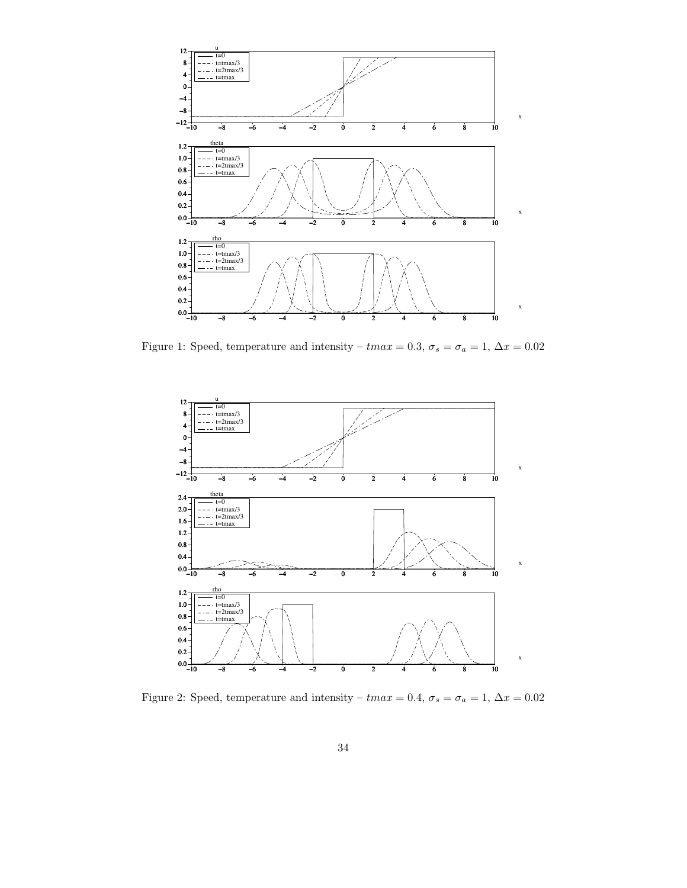

Figure 1: Speed, temperature and intensity –  $tmax = 0.3$ ,  $\sigma_s = \sigma_a = 1$ ,  $\Delta x = 0.02$ 



Figure 2: Speed, temperature and intensity –  $tmax = 0.4$ ,  $\sigma_s = \sigma_a = 1$ ,  $\Delta x = 0.02$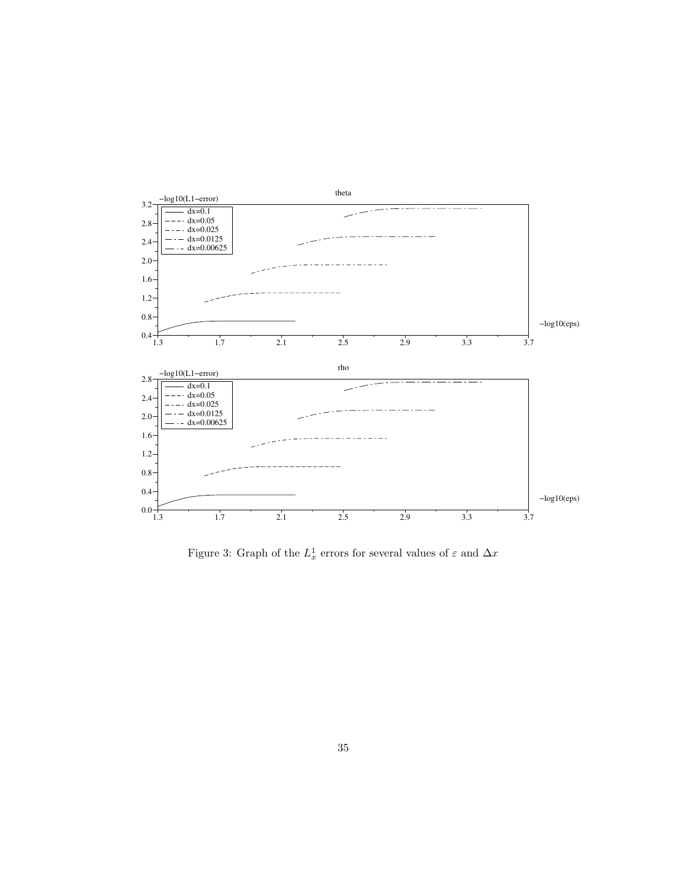

Figure 3: Graph of the  $L_x^1$  errors for several values of  $\varepsilon$  and  $\Delta x$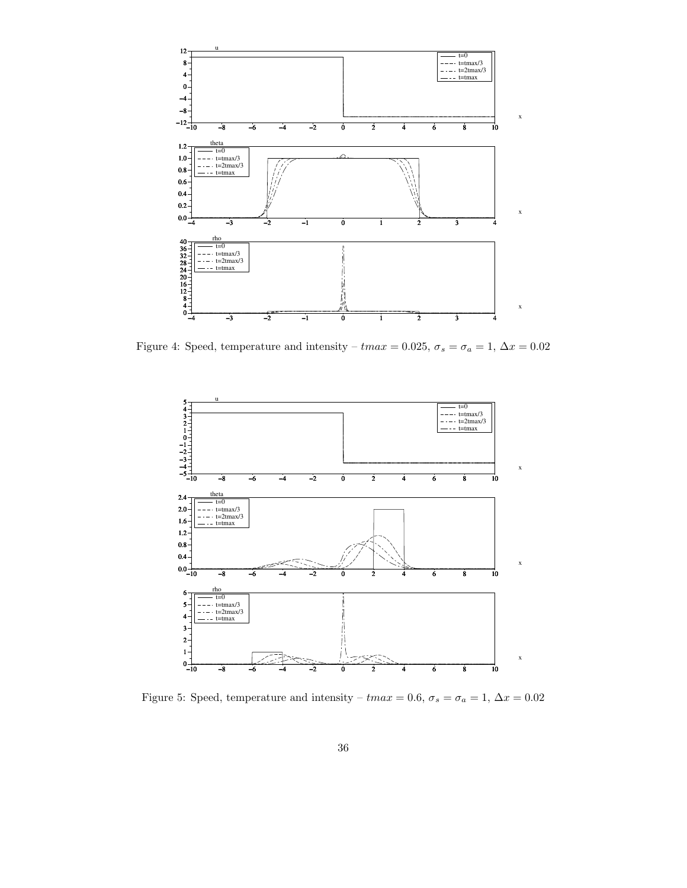

Figure 4: Speed, temperature and intensity –  $tmax = 0.025$ ,  $\sigma_s = \sigma_a = 1$ ,  $\Delta x = 0.02$ 



Figure 5: Speed, temperature and intensity –  $tmax=0.6,$   $\sigma_s=\sigma_a=1,$   $\Delta x=0.02$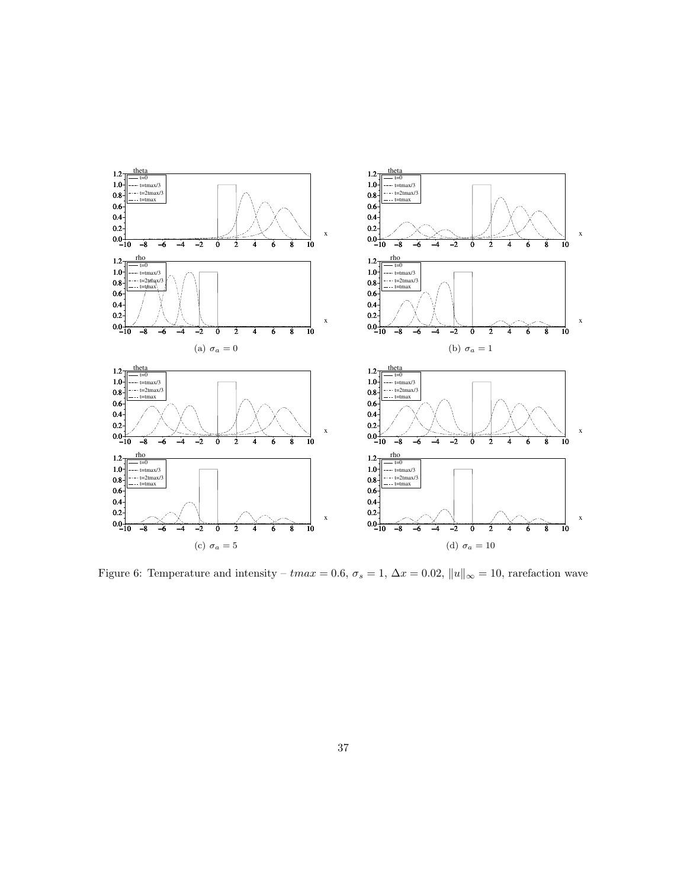

Figure 6: Temperature and intensity –  $tmax = 0.6$ ,  $\sigma_s = 1$ ,  $\Delta x = 0.02$ ,  $||u||_{\infty} = 10$ , rarefaction wave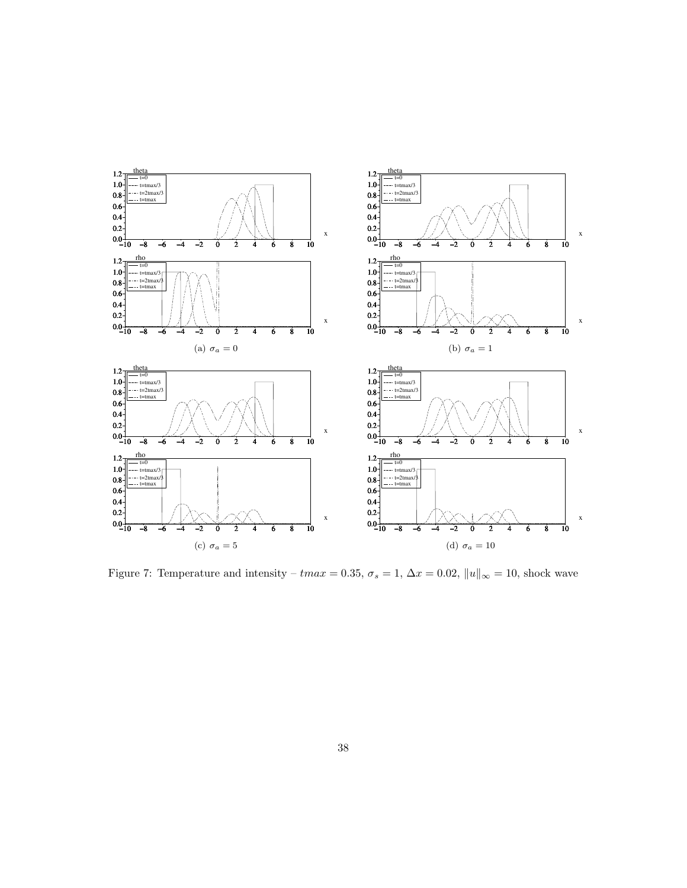

Figure 7: Temperature and intensity –  $tmax = 0.35$ ,  $\sigma_s = 1$ ,  $\Delta x = 0.02$ ,  $||u||_{\infty} = 10$ , shock wave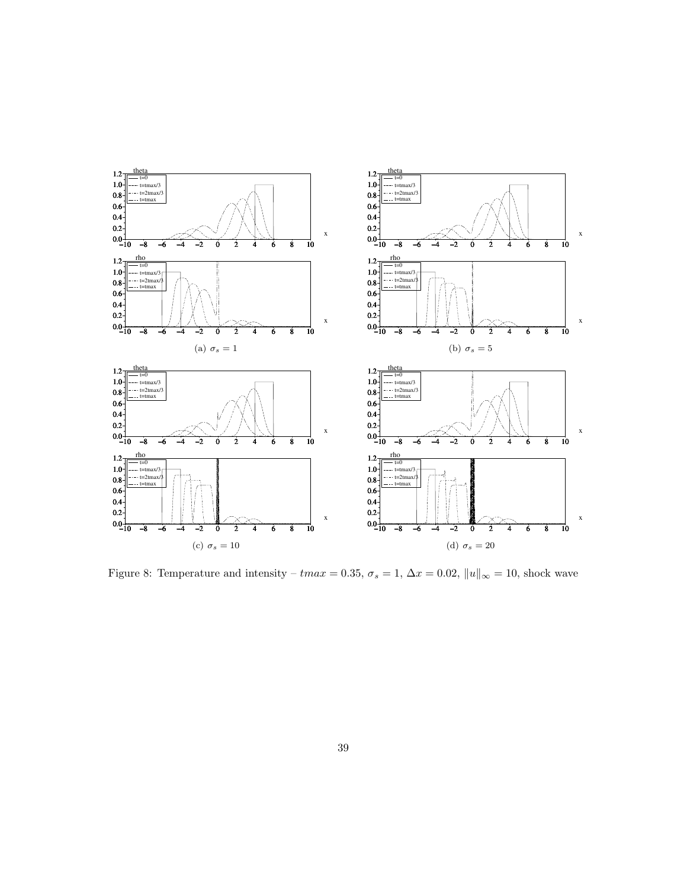

Figure 8: Temperature and intensity –  $tmax = 0.35$ ,  $\sigma_s = 1$ ,  $\Delta x = 0.02$ ,  $||u||_{\infty} = 10$ , shock wave